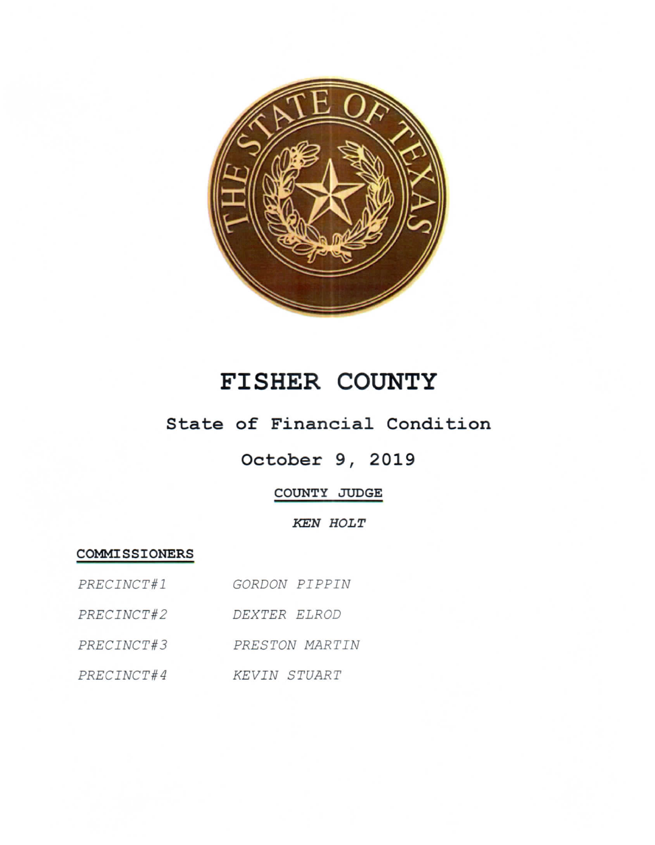

# FISHER COUNTY

## State of Financial Condition

# October 9, 2019

### COUNTY JUDGE

#### **KEN HOLT**

#### COMMISSIONERS

| PRECINCT#1 | GORDON PIPPIN  |
|------------|----------------|
| PRECINCT#2 | DEXTER ELROD   |
| PRECINCT#3 | PRESTON MARTIN |
| PRECINCT#4 | KEVIN STUART   |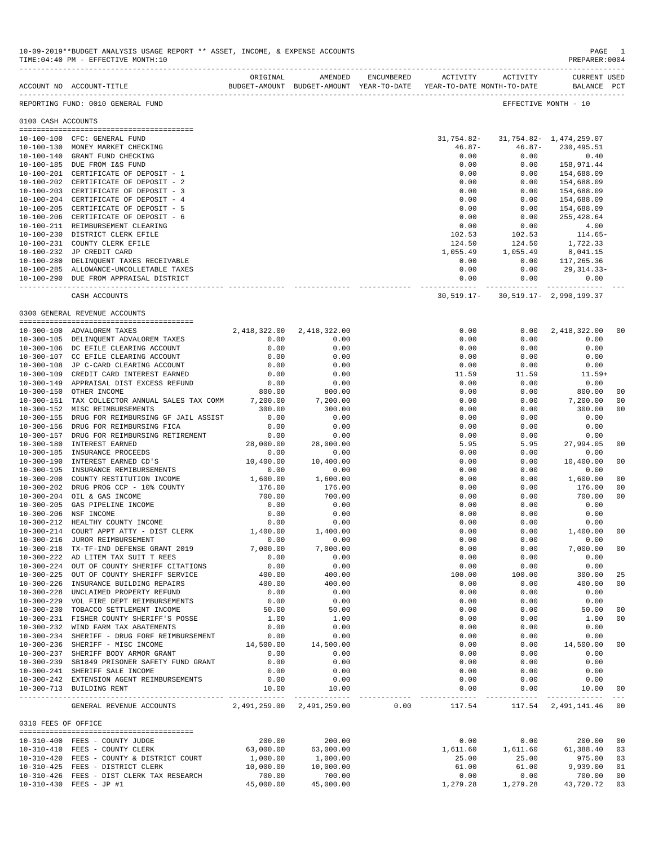|                     | ACCOUNT NO ACCOUNT-TITLE                                                         | ORIGINAL                  | AMENDED                   | ENCUMBERED | <b>ACTIVITY</b><br>BUDGET-AMOUNT BUDGET-AMOUNT YEAR-TO-DATE YEAR-TO-DATE MONTH-TO-DATE | ACTIVITY                                                                    | <b>CURRENT USED</b><br>BALANCE PCT |                      |
|---------------------|----------------------------------------------------------------------------------|---------------------------|---------------------------|------------|----------------------------------------------------------------------------------------|-----------------------------------------------------------------------------|------------------------------------|----------------------|
|                     | REPORTING FUND: 0010 GENERAL FUND                                                |                           |                           |            |                                                                                        |                                                                             | EFFECTIVE MONTH - 10               |                      |
| 0100 CASH ACCOUNTS  |                                                                                  |                           |                           |            |                                                                                        |                                                                             |                                    |                      |
|                     | 10-100-100 CFC: GENERAL FUND                                                     |                           |                           |            | 31,754.82-                                                                             |                                                                             | 31, 754.82 - 1, 474, 259.07        |                      |
|                     | 10-100-130 MONEY MARKET CHECKING                                                 |                           |                           |            | $46.87 -$                                                                              | $46.87 -$                                                                   | 230,495.51                         |                      |
|                     | 10-100-140 GRANT FUND CHECKING                                                   |                           |                           |            | 0.00                                                                                   | 0.00                                                                        | 0.40                               |                      |
|                     | 10-100-185 DUE FROM I&S FUND                                                     |                           |                           |            | 0.00                                                                                   | 0.00                                                                        | 158,971.44                         |                      |
|                     | 10-100-201 CERTIFICATE OF DEPOSIT - 1                                            |                           |                           |            | 0.00                                                                                   | 0.00                                                                        | 154,688.09                         |                      |
|                     | 10-100-202 CERTIFICATE OF DEPOSIT - 2                                            |                           |                           |            | 0.00                                                                                   | 0.00                                                                        | 154,688.09                         |                      |
|                     | 10-100-203 CERTIFICATE OF DEPOSIT - 3                                            |                           |                           |            | 0.00                                                                                   | 0.00                                                                        | 154,688.09                         |                      |
|                     | 10-100-204 CERTIFICATE OF DEPOSIT - 4                                            |                           |                           |            | 0.00                                                                                   | 0.00                                                                        | 154,688.09                         |                      |
|                     | 10-100-205 CERTIFICATE OF DEPOSIT - 5                                            |                           |                           |            | 0.00                                                                                   | 0.00                                                                        | 154,688.09                         |                      |
|                     | 10-100-206 CERTIFICATE OF DEPOSIT - 6                                            |                           |                           |            | 0.00                                                                                   | 0.00                                                                        | 255,428.64                         |                      |
|                     | 10-100-211 REIMBURSEMENT CLEARING                                                |                           |                           |            | 0.00                                                                                   | 0.00                                                                        | 4.00                               |                      |
|                     | 10-100-230 DISTRICT CLERK EFILE                                                  |                           |                           |            | 102.53                                                                                 | 102.53                                                                      | 114.65-                            |                      |
|                     | 10-100-231 COUNTY CLERK EFILE                                                    |                           |                           |            | 124.50                                                                                 | 124.50                                                                      | 1,722.33                           |                      |
|                     | 10-100-232 JP CREDIT CARD                                                        |                           |                           |            | 1,055.49                                                                               | 1,055.49                                                                    | 8,041.15                           |                      |
|                     | 10-100-280 DELINQUENT TAXES RECEIVABLE                                           |                           |                           |            | 0.00                                                                                   | 0.00                                                                        | 117,265.36                         |                      |
|                     | 10-100-285 ALLOWANCE-UNCOLLETABLE TAXES                                          |                           |                           |            | 0.00                                                                                   | 0.00                                                                        | 29,314.33-                         |                      |
|                     | 10-100-290 DUE FROM APPRAISAL DISTRICT                                           |                           |                           |            | 0.00                                                                                   | 0.00                                                                        | 0.00                               |                      |
|                     | CASH ACCOUNTS                                                                    |                           |                           |            |                                                                                        | ---------- ------------ -------------<br>30,519.17- 30,519.17- 2,990,199.37 |                                    |                      |
|                     | 0300 GENERAL REVENUE ACCOUNTS                                                    |                           |                           |            |                                                                                        |                                                                             |                                    |                      |
|                     |                                                                                  |                           |                           |            |                                                                                        |                                                                             |                                    |                      |
|                     | 10-300-100 ADVALOREM TAXES                                                       |                           | 2,418,322.00 2,418,322.00 |            | 0.00                                                                                   | 0.00                                                                        | 2,418,322.00                       | 00                   |
|                     | 10-300-105 DELINQUENT ADVALOREM TAXES                                            | 0.00                      | 0.00                      |            | 0.00                                                                                   | 0.00                                                                        | 0.00                               |                      |
|                     | 10-300-106 DC EFILE CLEARING ACCOUNT                                             | 0.00                      | 0.00                      |            | 0.00                                                                                   | 0.00                                                                        | 0.00                               |                      |
|                     | 10-300-107 CC EFILE CLEARING ACCOUNT                                             | 0.00                      | 0.00                      |            | 0.00                                                                                   | 0.00                                                                        | 0.00                               |                      |
|                     | 10-300-108 JP C-CARD CLEARING ACCOUNT                                            | 0.00                      | 0.00                      |            | 0.00                                                                                   | 0.00                                                                        | 0.00                               |                      |
|                     | 10-300-109 CREDIT CARD INTEREST EARNED                                           | 0.00                      | 0.00                      |            | 11.59                                                                                  | 11.59                                                                       | $11.59+$                           |                      |
|                     | 10-300-149 APPRAISAL DIST EXCESS REFUND                                          | 0.00                      | 0.00                      |            | 0.00                                                                                   | 0.00                                                                        | 0.00                               |                      |
|                     | 10-300-150 OTHER INCOME                                                          | 800.00                    | 800.00                    |            | 0.00                                                                                   | 0.00                                                                        | 800.00                             | 00                   |
|                     | 10-300-151 TAX COLLECTOR ANNUAL SALES TAX COMM 7,200.00                          |                           | 7,200.00                  |            | 0.00                                                                                   | 0.00                                                                        | 7,200.00                           | 00                   |
|                     | 10-300-152 MISC REIMBURSEMENTS                                                   | 300.00                    | 300.00                    |            | 0.00                                                                                   | 0.00                                                                        | 300.00                             | 00                   |
|                     | 10-300-155 DRUG FOR REIMBURSING GF JAIL ASSIST                                   | 0.00                      | 0.00                      |            | 0.00                                                                                   | 0.00                                                                        | 0.00                               |                      |
|                     | 10-300-156 DRUG FOR REIMBURSING FICA                                             | 0.00                      | 0.00                      |            | 0.00                                                                                   | 0.00                                                                        | 0.00                               |                      |
| $10 - 300 - 157$    | DRUG FOR REIMBURSING RETIREMENT                                                  | 0.00                      | 0.00                      |            | 0.00                                                                                   | 0.00                                                                        | 0.00                               |                      |
|                     | 10-300-180 INTEREST EARNED                                                       | 28,000.00                 | 28,000.00                 |            | 5.95                                                                                   | 5.95                                                                        | 27,994.05                          | 00                   |
| $10 - 300 - 185$    | INSURANCE PROCEEDS                                                               | 0.00                      | 0.00                      |            | 0.00                                                                                   | 0.00                                                                        | 0.00                               |                      |
| 10-300-190          | INTEREST EARNED CD'S                                                             | 10,400.00                 | 10,400.00                 |            | 0.00                                                                                   | 0.00                                                                        | 10,400.00                          | 00                   |
|                     | 10-300-195 INSURANCE REMIBURSEMENTS                                              | 0.00                      | 0.00                      |            | 0.00                                                                                   | 0.00                                                                        | 0.00                               |                      |
| $10 - 300 - 200$    | COUNTY RESTITUTION INCOME                                                        | 1,600.00                  | 1,600.00                  |            | 0.00                                                                                   | 0.00                                                                        | 1,600.00                           | 00                   |
| $10 - 300 - 202$    | DRUG PROG CCP - 10% COUNTY                                                       | 176.00                    | 176.00                    |            | 0.00                                                                                   | 0.00                                                                        | 176.00                             | 00                   |
|                     | 10-300-204 OIL & GAS INCOME                                                      | 700.00                    | 700.00                    |            | 0.00                                                                                   | 0.00                                                                        | 700.00                             | 00                   |
| $10 - 300 - 205$    | GAS PIPELINE INCOME                                                              | 0.00                      | 0.00                      |            | 0.00                                                                                   | 0.00                                                                        | 0.00                               |                      |
|                     | 10-300-206 NSF INCOME                                                            | 0.00                      | 0.00                      |            | 0.00                                                                                   | 0.00                                                                        | 0.00                               |                      |
|                     | 10-300-212 HEALTHY COUNTY INCOME                                                 | 0.00                      | 0.00                      |            | 0.00                                                                                   | 0.00                                                                        | 0.00                               |                      |
| 10-300-214          | $COURT APPT ATTY - DIST CLERK 1,400.00$                                          |                           | 1,400.00                  |            | 0.00                                                                                   | 0.00                                                                        | 1,400.00                           | 00                   |
|                     | 10-300-216 JUROR REIMBURSEMENT                                                   | 0.00                      | 0.00                      |            | 0.00                                                                                   | 0.00                                                                        | 0.00                               |                      |
|                     | 10-300-218 TX-TF-IND DEFENSE GRANT 2019                                          | 7,000.00                  | 7,000.00                  |            | 0.00                                                                                   | 0.00                                                                        | 7,000.00                           | 00                   |
|                     | 10-300-222 AD LITEM TAX SUIT T REES                                              | 0.00                      | 0.00                      |            | 0.00                                                                                   | 0.00                                                                        | 0.00                               |                      |
|                     | 10-300-224 OUT OF COUNTY SHERIFF CITATIONS                                       | 0.00                      | 0.00                      |            | 0.00                                                                                   | 0.00                                                                        | 0.00                               |                      |
|                     | 10-300-225 OUT OF COUNTY SHERIFF SERVICE                                         | 400.00                    | 400.00                    |            | 100.00                                                                                 | 100.00                                                                      | 300.00                             | 25                   |
|                     | 10-300-226 INSURANCE BUILDING REPAIRS<br>UNCLAIMED PROPERTY REFUND               | 400.00<br>0.00            | 400.00<br>0.00            |            | 0.00<br>0.00                                                                           | 0.00                                                                        | 400.00<br>0.00                     | 00                   |
| $10 - 300 - 228$    |                                                                                  |                           |                           |            |                                                                                        | 0.00                                                                        |                                    |                      |
|                     | 10-300-229 VOL FIRE DEPT REIMBURSEMENTS                                          | 0.00                      | 0.00                      |            | 0.00                                                                                   | 0.00                                                                        | 0.00                               |                      |
|                     | 10-300-230 TOBACCO SETTLEMENT INCOME                                             | 50.00                     | 50.00                     |            | 0.00                                                                                   | 0.00                                                                        | 50.00                              | 00                   |
|                     | 10-300-231 FISHER COUNTY SHERIFF'S POSSE                                         | 1.00<br>0.00              | 1.00<br>0.00              |            | 0.00                                                                                   | 0.00                                                                        | 1.00<br>0.00                       | 00 <sup>o</sup>      |
|                     | 10-300-232 WIND FARM TAX ABATEMENTS                                              |                           |                           |            | 0.00                                                                                   | 0.00                                                                        |                                    |                      |
|                     | 10-300-234 SHERIFF - DRUG FORF REIMBURSEMENT<br>10-300-236 SHERIFF - MISC INCOME | 0.00                      | 0.00                      |            | 0.00                                                                                   | 0.00                                                                        | 0.00<br>14,500.00                  | 00                   |
|                     | 10-300-237 SHERIFF BODY ARMOR GRANT                                              | 14,500.00                 | 14,500.00                 |            | 0.00                                                                                   | 0.00                                                                        |                                    |                      |
|                     | 10-300-239 SB1849 PRISONER SAFETY FUND GRANT                                     | 0.00<br>0.00              | 0.00<br>0.00              |            | 0.00<br>0.00                                                                           | 0.00<br>0.00                                                                | 0.00<br>0.00                       |                      |
|                     |                                                                                  |                           |                           |            |                                                                                        |                                                                             |                                    |                      |
|                     | 10-300-241 SHERIFF SALE INCOME<br>10-300-242 EXTENSION AGENT REIMBURSEMENTS      | 0.00<br>0.00              | 0.00<br>0.00              |            | 0.00<br>0.00                                                                           | 0.00<br>0.00                                                                | 0.00<br>0.00                       |                      |
|                     | 10-300-713 BUILDING RENT                                                         | 10.00                     | 10.00                     |            | 0.00                                                                                   | 0.00                                                                        | 10.00                              | 00                   |
|                     | GENERAL REVENUE ACCOUNTS                                                         | 2,491,259.00 2,491,259.00 | --------------            | 0.00       | -------------<br>117.54                                                                | -----------                                                                 | 117.54 2,491,141.46 00             | $\sim$ $\sim$ $\sim$ |
| 0310 FEES OF OFFICE |                                                                                  |                           |                           |            |                                                                                        |                                                                             |                                    |                      |
|                     |                                                                                  |                           |                           |            |                                                                                        |                                                                             |                                    |                      |
|                     | 10-310-400 FEES - COUNTY JUDGE                                                   | 200.00                    | 200.00                    |            | 0.00                                                                                   | 0.00                                                                        | 200.00                             | 00                   |
|                     | 10-310-410 FEES - COUNTY CLERK                                                   | 63,000.00                 | 63,000.00                 |            | 1,611.60                                                                               | 1,611.60                                                                    | 61,388.40                          | 03                   |
|                     | 10-310-420 FEES - COUNTY & DISTRICT COURT                                        | 1,000.00                  | 1,000.00                  |            | 25.00                                                                                  | 25.00                                                                       | 975.00                             | 03                   |
|                     | 10-310-425 FEES - DISTRICT CLERK                                                 | 10,000.00                 | 10,000.00                 |            | 61.00                                                                                  | 61.00                                                                       | 9,939.00                           | 01                   |
|                     | 10-310-426 FEES - DIST CLERK TAX RESEARCH                                        | 700.00                    | 700.00                    |            | 0.00                                                                                   | 0.00                                                                        | 700.00                             | 00                   |
|                     | 10-310-430 FEES - JP #1                                                          | 45,000.00                 | 45,000.00                 |            | 1,279.28                                                                               | 1,279.28                                                                    | 43,720.72                          | 03                   |

10-09-2019\*\*BUDGET ANALYSIS USAGE REPORT \*\* ASSET, INCOME, & EXPENSE ACCOUNTS PAGE 1

TIME:04:40 PM - EFFECTIVE MONTH:10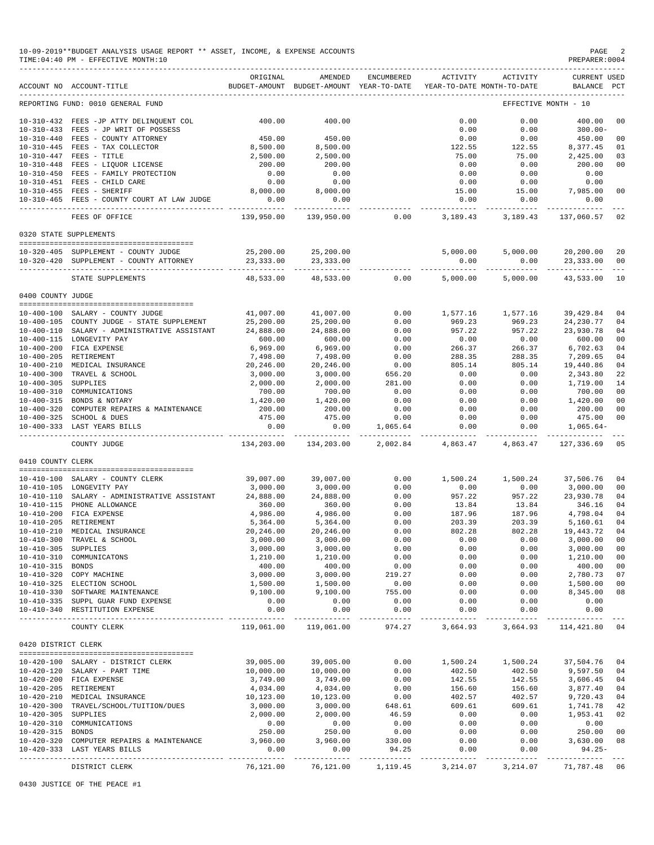|                     | 10-09-2019**BUDGET ANALYSIS USAGE REPORT ** ASSET, INCOME, & EXPENSE ACCOUNTS<br>TIME: 04:40 PM - EFFECTIVE MONTH: 10 |                          |                                                     |                    |                       |                                        | PAGE<br>PREPARER: 0004             |                     |
|---------------------|-----------------------------------------------------------------------------------------------------------------------|--------------------------|-----------------------------------------------------|--------------------|-----------------------|----------------------------------------|------------------------------------|---------------------|
|                     | ACCOUNT NO ACCOUNT-TITLE                                                                                              | ORIGINAL                 | AMENDED<br>BUDGET-AMOUNT BUDGET-AMOUNT YEAR-TO-DATE | ENCUMBERED         | ACTIVITY              | ACTIVITY<br>YEAR-TO-DATE MONTH-TO-DATE | <b>CURRENT USED</b><br>BALANCE PCT |                     |
|                     | REPORTING FUND: 0010 GENERAL FUND                                                                                     |                          |                                                     |                    |                       |                                        | EFFECTIVE MONTH - 10               |                     |
|                     | 10-310-432 FEES -JP ATTY DELINQUENT COL                                                                               | 400.00                   | 400.00                                              |                    | 0.00                  | 0.00                                   | 400.00                             | 00                  |
|                     | 10-310-433 FEES - JP WRIT OF POSSESS                                                                                  |                          |                                                     |                    | 0.00                  | 0.00                                   | $300.00 -$                         |                     |
|                     | 10-310-440 FEES - COUNTY ATTORNEY                                                                                     | 450.00                   | 450.00                                              |                    | 0.00                  | 0.00                                   | 450.00                             | 00                  |
|                     | 10-310-445 FEES - TAX COLLECTOR                                                                                       | 8,500.00                 | 8,500.00                                            |                    | 122.55                | 122.55                                 | 8,377.45                           | 01                  |
|                     | 10-310-447 FEES - TITLE                                                                                               | 2,500.00                 | 2,500.00                                            |                    | 75.00                 | 75.00                                  | 2,425.00                           | 03                  |
|                     | 10-310-448 FEES - LIQUOR LICENSE                                                                                      | 200.00                   | 200.00                                              |                    | 0.00                  | 0.00                                   | 200.00                             | 00                  |
|                     | 10-310-450 FEES - FAMILY PROTECTION                                                                                   | 0.00                     | 0.00                                                |                    | 0.00                  | 0.00                                   | 0.00                               |                     |
|                     | 10-310-451 FEES - CHILD CARE                                                                                          | 0.00                     | 0.00                                                |                    | 0.00                  | 0.00                                   | 0.00                               |                     |
|                     | 10-310-455 FEES - SHERIFF<br>10-310-465 FEES - COUNTY COURT AT LAW JUDGE                                              | 8,000.00<br>0.00         | 8,000.00<br>0.00                                    |                    | 15.00<br>0.00         | 15.00<br>0.00                          | 7,985.00<br>0.00                   | 00                  |
|                     | FEES OF OFFICE                                                                                                        | ----------<br>139,950.00 | 139,950.00                                          | 0.00               | _________<br>3,189.43 | ----------<br>3,189.43                 | 137,060.57                         | 02                  |
|                     | 0320 STATE SUPPLEMENTS                                                                                                |                          |                                                     |                    |                       |                                        |                                    |                     |
|                     |                                                                                                                       |                          |                                                     |                    |                       |                                        |                                    |                     |
|                     | 10-320-405 SUPPLEMENT - COUNTY JUDGE<br>10-320-420 SUPPLEMENT - COUNTY ATTORNEY                                       | 25,200.00<br>23, 333.00  | 25,200.00<br>23, 333.00                             |                    | 5,000.00<br>0.00      | 5,000.00<br>0.00                       | 20,200.00<br>23, 333.00            | 20<br>00            |
|                     | STATE SUPPLEMENTS                                                                                                     | 48,533.00                | ----------<br>48,533.00                             | 0.00               | 5,000.00              | 5,000.00                               | 43,533.00                          | $\frac{1}{2}$<br>10 |
| 0400 COUNTY JUDGE   |                                                                                                                       |                          |                                                     |                    |                       |                                        |                                    |                     |
|                     |                                                                                                                       |                          |                                                     |                    |                       |                                        |                                    |                     |
|                     | 10-400-100 SALARY - COUNTY JUDGE                                                                                      | 41,007.00                | 41,007.00                                           | 0.00               | 1,577.16              | 1,577.16                               | 39,429.84                          | 04                  |
|                     | 10-400-105 COUNTY JUDGE - STATE SUPPLEMENT                                                                            | 25,200.00                | 25,200.00                                           | 0.00               | 969.23                | 969.23                                 | 24, 230.77                         | 04                  |
|                     | 10-400-110 SALARY - ADMINISTRATIVE ASSISTANT                                                                          | 24,888.00                | 24,888.00                                           | 0.00               | 957.22                | 957.22<br>0.00                         | 23,930.78                          | 04<br>00            |
|                     | 10-400-115 LONGEVITY PAY<br>10-400-200 FICA EXPENSE                                                                   | 600.00<br>6,969.00       | 600.00<br>6,969.00                                  | 0.00<br>0.00       | 0.00<br>266.37        | 266.37                                 | 600.00<br>6,702.63                 | 04                  |
|                     | 10-400-205 RETIREMENT                                                                                                 | 7,498.00                 | 7,498.00                                            | 0.00               | 288.35                | 288.35                                 | 7,209.65                           | 04                  |
|                     | 10-400-210 MEDICAL INSURANCE                                                                                          | 20,246.00                | 20,246.00                                           | 0.00               | 805.14                | 805.14                                 | 19,440.86                          | 04                  |
|                     | 10-400-300 TRAVEL & SCHOOL                                                                                            | 3,000.00                 | 3,000.00                                            | 656.20             | 0.00                  | 0.00                                   | 2,343.80                           | 22                  |
| 10-400-305 SUPPLIES |                                                                                                                       | 2,000.00                 | 2,000.00                                            | 281.00             | 0.00                  | 0.00                                   | 1,719.00                           | 14                  |
|                     | 10-400-310 COMMUNICATIONS                                                                                             | 700.00                   | 700.00                                              | 0.00               | 0.00                  | 0.00                                   | 700.00                             | 00                  |
|                     | 10-400-315 BONDS & NOTARY                                                                                             | 1,420.00                 | 1,420.00                                            | 0.00               | 0.00                  | 0.00                                   | 1,420.00                           | 00                  |
|                     | 10-400-320 COMPUTER REPAIRS & MAINTENANCE                                                                             | 200.00                   | 200.00                                              | 0.00               | 0.00                  | 0.00                                   | 200.00                             | 00                  |
|                     | 10-400-325 SCHOOL & DUES                                                                                              | 475.00                   | 475.00                                              | 0.00               | 0.00                  | 0.00                                   | 475.00                             | 00                  |
|                     | 10-400-333 LAST YEARS BILLS                                                                                           | 0.00<br>-----------      | 0.00<br>------------                                | 1,065.64           | 0.00<br>-----------   | 0.00<br>-----------                    | $1,065.64-$                        |                     |
|                     | COUNTY JUDGE                                                                                                          | 134,203.00               | 134,203.00                                          | 2,002.84           | 4,863.47              | 4,863.47                               | 127,336.69                         | 05                  |
| 0410 COUNTY CLERK   |                                                                                                                       |                          |                                                     |                    |                       |                                        |                                    |                     |
|                     | 10-410-100 SALARY - COUNTY CLERK                                                                                      | 39,007.00                | 39,007.00                                           | 0.00               | 1,500.24              | 1,500.24                               | 37,506.76                          | 04                  |
|                     | 10-410-105 LONGEVITY PAY                                                                                              | 3,000.00                 | 3,000.00                                            | 0.00               | 0.00                  | 0.00                                   | 3,000.00                           | 00                  |
|                     | 10-410-110 SALARY - ADMINISTRATIVE ASSISTANT                                                                          | 24,888.00                | 24,888.00                                           | 0.00               | 957.22                | 957.22                                 | 23,930.78                          | 04                  |
|                     | 10-410-115 PHONE ALLOWANCE                                                                                            | 360.00                   | 360.00                                              | 0.00               | 13.84                 | 13.84                                  | 346.16                             | 04                  |
| $10 - 410 - 200$    | FICA EXPENSE                                                                                                          | 4,986.00                 | 4,986.00                                            | 0.00               | 187.96                | 187.96                                 | 4,798.04                           | 04                  |
|                     | 10-410-205 RETIREMENT                                                                                                 | 5,364.00                 | 5,364.00                                            | 0.00               | 203.39                | 203.39                                 | 5,160.61                           | 04                  |
|                     | 10-410-210 MEDICAL INSURANCE                                                                                          | 20,246.00                | 20,246.00                                           | 0.00               | 802.28                | 802.28                                 | 19,443.72 04                       |                     |
|                     | 10-410-300 TRAVEL & SCHOOL                                                                                            | 3,000.00                 | 3,000.00                                            | 0.00               | 0.00                  | 0.00                                   | 3,000.00 00                        |                     |
| 10-410-305 SUPPLIES |                                                                                                                       | 3,000.00                 | 3,000.00                                            | 0.00               | 0.00                  | 0.00                                   | 3,000.00 00                        |                     |
|                     | 10-410-310 COMMUNICATONS                                                                                              | 1,210.00                 | 1,210.00                                            | 0.00               | 0.00                  | 0.00                                   | 1,210.00                           | 00                  |
| 10-410-315 BONDS    |                                                                                                                       | 400.00                   | 400.00<br>3,000.00                                  | 0.00               | 0.00                  | 0.00                                   | 400.00<br>2,780.73 07              | 00                  |
|                     | 10-410-320 COPY MACHINE                                                                                               | 3,000.00                 |                                                     | 219.27<br>0.00     | 0.00<br>0.00          | 0.00                                   |                                    | 00                  |
|                     | 10-410-325 ELECTION SCHOOL<br>10-410-330 SOFTWARE MAINTENANCE                                                         | 1,500.00<br>9,100.00     | 1,500.00<br>9,100.00                                | 755.00             | 0.00                  | 0.00<br>0.00                           | 1,500.00<br>8,345.00               | 08                  |
|                     | 10-410-335 SUPPL GUAR FUND EXPENSE                                                                                    | 0.00                     | 0.00                                                | 0.00               | 0.00                  | 0.00                                   | 0.00                               |                     |
|                     | 10-410-340 RESTITUTION EXPENSE                                                                                        | 0.00<br>-----------      | 0.00                                                | 0.00               | 0.00<br>------------  | 0.00                                   | 0.00                               |                     |
|                     | COUNTY CLERK                                                                                                          |                          | -------------<br>119,061.00 119,061.00              | -------------      |                       | 974.27 3,664.93 3,664.93 114,421.80 04 |                                    |                     |
| 0420 DISTRICT CLERK |                                                                                                                       |                          |                                                     |                    |                       |                                        |                                    |                     |
|                     |                                                                                                                       |                          |                                                     |                    |                       |                                        |                                    |                     |
|                     | 10-420-100 SALARY - DISTRICT CLERK                                                                                    | 39,005.00                | 39,005.00                                           | 0.00               | 1,500.24              | 1,500.24                               | 37,504.76 04                       |                     |
|                     | 10-420-120 SALARY - PART TIME                                                                                         | 10,000.00                | 10,000.00<br>3,749.00                               | 0.00               | 402.50                | 402.50                                 | 9,597.50 04                        |                     |
|                     | 10-420-200 FICA EXPENSE<br>10-420-205 RETIREMENT                                                                      | 3,749.00<br>4,034.00     | 4,034.00                                            | 0.00<br>0.00       | 142.55<br>156.60      | 142.55<br>156.60                       | 3,606.45 04<br>3,877.40 04         |                     |
|                     | 10-420-210 MEDICAL INSURANCE                                                                                          | 10,123.00                | 10,123.00                                           | 0.00               | 402.57                | 402.57                                 | 9,720.43 04                        |                     |
|                     | 10-420-300 TRAVEL/SCHOOL/TUITION/DUES                                                                                 | 3,000.00                 | 3,000.00                                            | 648.61             | 609.61                | 609.61                                 | 1,741.78 42                        |                     |
| 10-420-305 SUPPLIES |                                                                                                                       | 2,000.00                 | 2,000.00                                            | 46.59              | 0.00                  | 0.00                                   | 1,953.41                           | 02                  |
|                     | 10-420-310 COMMUNICATIONS                                                                                             | 0.00                     | 0.00                                                | 0.00               | 0.00                  | 0.00                                   | 0.00                               |                     |
| 10-420-315 BONDS    |                                                                                                                       | 250.00                   |                                                     | 0.00               | 0.00                  | 0.00                                   | 250.00 00                          |                     |
|                     | 10-420-320 COMPUTER REPAIRS & MAINTENANCE                                                                             | 3,960.00                 | 250.00<br>3,960.00                                  | 330.00             | 0.00                  | 0.00                                   | 3,630.00 08                        |                     |
|                     | 10-420-333 LAST YEARS BILLS                                                                                           | 0.00                     | 0.00                                                | 94.25              | 0.00                  | 0.00                                   | $94.25 -$                          |                     |
|                     | DISTRICT CLERK                                                                                                        | ----------<br>76,121.00  | -------------                                       | 76,121.00 1,119.45 | 3,214.07              | 3,214.07                               | 71,787.48 06                       |                     |
|                     |                                                                                                                       |                          |                                                     |                    |                       |                                        |                                    |                     |

0430 JUSTICE OF THE PEACE #1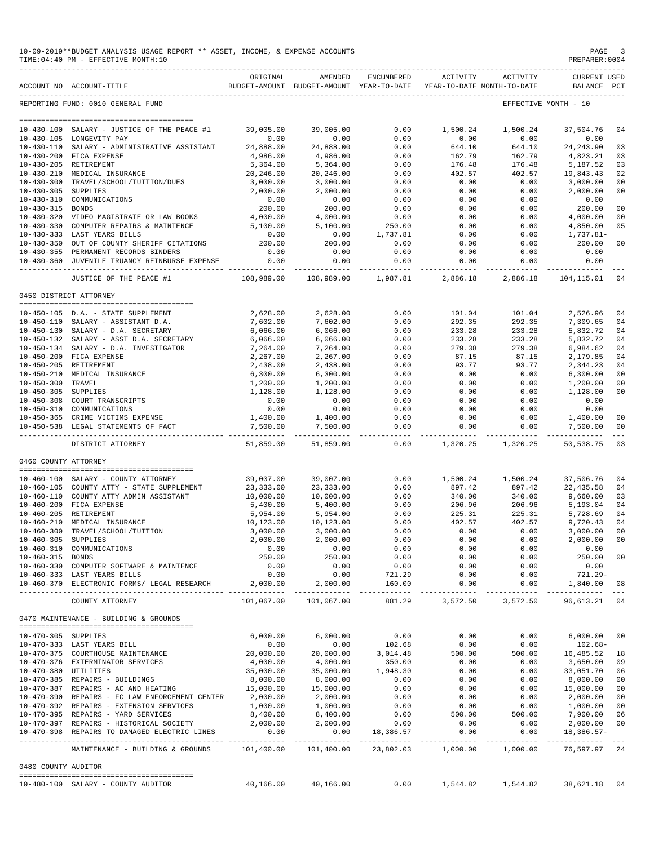|                      | 10-09-2019**BUDGET ANALYSIS USAGE REPORT ** ASSET, INCOME, & EXPENSE ACCOUNTS<br>TIME: 04:40 PM - EFFECTIVE MONTH: 10 |                          |                                                                                |                      |                           |                                         | PAGE<br>PREPARER: 0004                      |                      |
|----------------------|-----------------------------------------------------------------------------------------------------------------------|--------------------------|--------------------------------------------------------------------------------|----------------------|---------------------------|-----------------------------------------|---------------------------------------------|----------------------|
|                      | ACCOUNT NO ACCOUNT-TITLE                                                                                              | ORIGINAL                 | AMENDED<br>BUDGET-AMOUNT BUDGET-AMOUNT YEAR-TO-DATE YEAR-TO-DATE MONTH-TO-DATE | ENCUMBERED           |                           | ACTIVITY ACTIVITY                       | <b>CURRENT USED</b><br>BALANCE PCT          |                      |
|                      | REPORTING FUND: 0010 GENERAL FUND                                                                                     |                          |                                                                                |                      |                           |                                         | EFFECTIVE MONTH - 10                        |                      |
|                      |                                                                                                                       |                          |                                                                                |                      |                           |                                         |                                             |                      |
|                      | 10-430-100 SALARY - JUSTICE OF THE PEACE #1                                                                           | 39,005.00                | 39,005.00                                                                      | 0.00                 | 1,500.24                  | 1,500.24                                | 37,504.76                                   | 04                   |
|                      | 10-430-105 LONGEVITY PAY                                                                                              | 0.00                     | 0.00                                                                           | 0.00                 | 0.00                      | 0.00                                    | 0.00                                        |                      |
|                      | 10-430-110 SALARY - ADMINISTRATIVE ASSISTANT                                                                          | 24,888.00                | 24,888.00                                                                      | 0.00                 | 644.10                    | 644.10                                  | 24, 243.90                                  | 03                   |
|                      | 10-430-200 FICA EXPENSE<br>10-430-205 RETIREMENT                                                                      | 4,986.00<br>5,364.00     | 4,986.00<br>5,364.00                                                           | 0.00<br>0.00         | 162.79<br>176.48          | 162.79<br>176.48                        | 4,823.21<br>5,187.52                        | 03<br>03             |
|                      | 10-430-210 MEDICAL INSURANCE                                                                                          | 20,246.00                | 20,246.00                                                                      | 0.00                 | 402.57                    | 402.57                                  | 19,843.43                                   | 02                   |
|                      | 10-430-300 TRAVEL/SCHOOL/TUITION/DUES                                                                                 | 3,000.00                 | 3,000.00                                                                       | 0.00                 | 0.00                      | 0.00                                    | 3,000.00                                    | 0 <sub>0</sub>       |
| 10-430-305 SUPPLIES  |                                                                                                                       | 2,000.00                 | 2,000.00                                                                       | 0.00                 | 0.00                      | 0.00                                    | 2,000.00                                    | 0 <sub>0</sub>       |
|                      | 10-430-310 COMMUNICATIONS                                                                                             | 0.00                     | 0.00                                                                           | 0.00                 | 0.00                      | 0.00                                    | 0.00                                        |                      |
| 10-430-315 BONDS     |                                                                                                                       | 200.00                   | 200.00                                                                         | 0.00                 | 0.00                      | 0.00                                    | 200.00                                      | 0 <sub>0</sub>       |
|                      | 10-430-320 VIDEO MAGISTRATE OR LAW BOOKS                                                                              | 4,000.00                 | 4,000.00                                                                       | 0.00                 | 0.00                      | 0.00                                    | 4,000.00                                    | 0 <sub>0</sub>       |
|                      | 10-430-330 COMPUTER REPAIRS & MAINTENCE<br>10-430-333 LAST YEARS BILLS                                                | 5,100.00<br>0.00         | 5,100.00<br>0.00                                                               | 250.00<br>1,737.81   | 0.00<br>0.00              | 0.00<br>0.00                            | 4,850.00<br>1,737.81-                       | 05                   |
|                      | 10-430-350 OUT OF COUNTY SHERIFF CITATIONS                                                                            | 200.00                   | 200.00                                                                         | 0.00                 | 0.00                      | 0.00                                    | 200.00                                      | 0 <sub>0</sub>       |
|                      | 10-430-355 PERMANENT RECORDS BINDERS                                                                                  | 0.00                     | 0.00                                                                           | 0.00                 | 0.00                      | 0.00                                    | 0.00                                        |                      |
|                      | 10-430-360 JUVENILE TRUANCY REINBURSE EXPENSE                                                                         | 0.00                     | 0.00                                                                           | 0.00                 | 0.00                      | 0.00                                    | 0.00                                        |                      |
|                      | JUSTICE OF THE PEACE #1                                                                                               | ----------<br>108,989.00 | -----------<br>108,989.00                                                      | 1,987.81             | -----------<br>2,886.18   | 2,886.18                                | 104,115.01                                  | 04                   |
|                      | 0450 DISTRICT ATTORNEY                                                                                                |                          |                                                                                |                      |                           |                                         |                                             |                      |
|                      |                                                                                                                       |                          |                                                                                |                      |                           |                                         |                                             |                      |
|                      | 10-450-105 D.A. - STATE SUPPLEMENT                                                                                    | 2,628.00                 | 2,628.00                                                                       | 0.00                 | 101.04                    | 101.04                                  | 2,526.96                                    | 04                   |
|                      | 10-450-110 SALARY - ASSISTANT D.A.                                                                                    | 7,602.00                 | 7,602.00                                                                       | 0.00                 | 292.35                    | 292.35                                  | 7,309.65                                    | 04                   |
|                      | 10-450-130 SALARY - D.A. SECRETARY                                                                                    | 6,066.00                 | 6,066.00                                                                       | 0.00                 | 233.28                    | 233.28                                  | 5,832.72                                    | 04                   |
|                      | 10-450-132 SALARY - ASST D.A. SECRETARY                                                                               | 6,066.00                 | 6,066.00                                                                       | 0.00                 | 233.28<br>279.38          | 233.28                                  | 5,832.72                                    | 0 <sub>4</sub><br>04 |
|                      | 10-450-134 SALARY - D.A. INVESTIGATOR<br>10-450-200 FICA EXPENSE                                                      | 7,264.00<br>2,267.00     | 7,264.00<br>2,267.00                                                           | 0.00<br>0.00         | 87.15                     | 279.38<br>87.15                         | 6,984.62<br>2,179.85                        | 04                   |
|                      | 10-450-205 RETIREMENT                                                                                                 | 2,438.00                 | 2,438.00                                                                       | 0.00                 | 93.77                     | 93.77                                   | 2,344.23                                    | 0 <sub>4</sub>       |
|                      | 10-450-210 MEDICAL INSURANCE                                                                                          | 6,300.00                 | 6,300.00                                                                       | 0.00                 | 0.00                      | 0.00                                    | 6,300.00                                    | 0 <sub>0</sub>       |
| 10-450-300 TRAVEL    |                                                                                                                       | 1,200.00                 | 1,200.00                                                                       | 0.00                 | 0.00                      | 0.00                                    | 1,200.00                                    | 0 <sub>0</sub>       |
| 10-450-305 SUPPLIES  |                                                                                                                       | 1,128.00                 | 1,128.00                                                                       | 0.00                 | 0.00                      | 0.00                                    | 1,128.00                                    | 0 <sub>0</sub>       |
|                      | 10-450-308 COURT TRANSCRIPTS                                                                                          | 0.00                     | 0.00                                                                           | 0.00                 | 0.00                      | 0.00                                    | 0.00                                        |                      |
|                      | 10-450-310 COMMUNICATIONS                                                                                             | 0.00                     | 0.00                                                                           | 0.00                 | 0.00                      | 0.00                                    | 0.00                                        |                      |
|                      | 10-450-365 CRIME VICTIMS EXPENSE<br>10-450-538 LEGAL STATEMENTS OF FACT                                               | 1,400.00<br>7,500.00     | 1,400.00<br>7,500.00                                                           | 0.00<br>0.00         | 0.00<br>0.00              | 0.00<br>0.00                            | 1,400.00<br>7,500.00                        | 00<br>0 <sub>0</sub> |
|                      | DISTRICT ATTORNEY                                                                                                     | -----------<br>51,859.00 | ------------<br>51,859.00                                                      | ---------<br>0.00    | -------------<br>1,320.25 | 1,320.25                                | ______________________________<br>50,538.75 | 03                   |
| 0460 COUNTY ATTORNEY |                                                                                                                       |                          |                                                                                |                      |                           |                                         |                                             |                      |
|                      |                                                                                                                       |                          |                                                                                |                      |                           |                                         |                                             |                      |
|                      | 10-460-100 SALARY - COUNTY ATTORNEY<br>10-460-105 COUNTY ATTY - STATE SUPPLEMENT                                      | 39,007.00<br>23,333.00   | 39,007.00<br>23,333.00                                                         | 0.00<br>0.00         | 1,500.24<br>897.42        | 1,500.24<br>897.42                      | 37,506.76<br>22, 435.58                     | 04<br>04             |
|                      | 10-460-110 COUNTY ATTY ADMIN ASSISTANT                                                                                | 10,000.00                | 10,000.00                                                                      | 0.00                 | 340.00                    | 340.00                                  | 9,660.00                                    | 03                   |
|                      | 10-460-200 FICA EXPENSE                                                                                               | 5,400.00                 | 5,400.00                                                                       | 0.00                 | 206.96                    | 206.96                                  | 5,193.04                                    | 04                   |
|                      | 10-460-205 RETIREMENT                                                                                                 | 5,954.00                 | 5,954.00                                                                       | 0.00                 | 225.31                    | 225.31                                  | 5,728.69                                    | 0 <sub>4</sub>       |
|                      | 10-460-210 MEDICAL INSURANCE                                                                                          | 10,123.00                | 10,123.00                                                                      | 0.00                 | 402.57                    | 402.57                                  | 9,720.43                                    | 04                   |
|                      | 10-460-300 TRAVEL/SCHOOL/TUITION                                                                                      | 3,000.00                 | 3,000.00                                                                       | 0.00                 | 0.00                      | 0.00                                    | 3,000.00                                    | 00                   |
| 10-460-305 SUPPLIES  |                                                                                                                       | 2,000.00                 | 2,000.00                                                                       | 0.00                 | 0.00                      | 0.00                                    | 2,000.00                                    | 0 <sub>0</sub>       |
|                      | 10-460-310 COMMUNICATIONS                                                                                             | 0.00                     | 0.00<br>250.00                                                                 | 0.00                 | 0.00                      | 0.00                                    | 0.00                                        |                      |
| 10-460-315 BONDS     | 10-460-330 COMPUTER SOFTWARE & MAINTENCE                                                                              | 250.00<br>0.00           | 0.00                                                                           | 0.00<br>0.00         | 0.00<br>0.00              | 0.00<br>0.00                            | 250.00<br>0.00                              | 0 <sub>0</sub>       |
|                      | 10-460-333 LAST YEARS BILLS                                                                                           | 0.00                     | 0.00                                                                           | 721.29               | 0.00                      | 0.00                                    | 721.29-                                     |                      |
|                      | 10-460-370 ELECTRONIC FORMS/ LEGAL RESEARCH                                                                           | 2,000.00                 | 2,000.00                                                                       | 160.00               | 0.00                      | 0.00                                    | 1,840.00                                    | 08                   |
|                      | COUNTY ATTORNEY                                                                                                       | 101,067.00               | 101,067.00                                                                     | 881.29               | 3,572.50                  | 3,572.50                                | 96,613.21 04                                |                      |
|                      | 0470 MAINTENANCE - BUILDING & GROUNDS                                                                                 |                          |                                                                                |                      |                           |                                         |                                             |                      |
| 10-470-305 SUPPLIES  | --------------------------------------                                                                                | 6,000.00                 | 6,000.00                                                                       | 0.00                 | 0.00                      | 0.00                                    | 6,000.00                                    | 0 <sub>0</sub>       |
|                      | 10-470-333 LAST YEARS BILL                                                                                            | 0.00                     | 0.00                                                                           | 102.68               | 0.00                      | 0.00                                    | 102.68-                                     |                      |
|                      | 10-470-375 COURTHOUSE MAINTENANCE                                                                                     | 20,000.00                | 20,000.00                                                                      | 3,014.48             | 500.00                    | 500.00                                  | 16,485.52                                   | 18                   |
|                      | 10-470-376 EXTERMINATOR SERVICES                                                                                      | 4,000.00                 | 4,000.00                                                                       | 350.00               | 0.00                      | 0.00                                    | 3,650.00                                    | 09                   |
| 10-470-380 UTILITIES |                                                                                                                       | 35,000.00                | 35,000.00                                                                      | 1,948.30             | 0.00                      | 0.00                                    | 33,051.70                                   | 06                   |
|                      | 10-470-385 REPAIRS - BUILDINGS                                                                                        | 8,000.00                 | 8,000.00                                                                       | 0.00                 | 0.00                      | 0.00                                    | 8,000.00                                    | 0 <sub>0</sub>       |
|                      | 10-470-387 REPAIRS - AC AND HEATING                                                                                   | 15,000.00                | 15,000.00                                                                      | 0.00                 | 0.00                      | 0.00                                    | 15,000.00                                   | 0 <sub>0</sub>       |
|                      | 10-470-390 REPAIRS - FC LAW ENFORCEMENT CENTER                                                                        | 2,000.00                 | 2,000.00                                                                       | 0.00                 | 0.00                      | 0.00                                    | 2,000.00                                    | 0 <sub>0</sub>       |
|                      | 10-470-392 REPAIRS - EXTENSION SERVICES<br>10-470-395 REPAIRS - YARD SERVICES                                         | 1,000.00<br>8,400.00     | 1,000.00<br>8,400.00                                                           | 0.00<br>0.00         | 0.00<br>500.00            | 0.00<br>500.00                          | 1,000.00<br>7,900.00                        | 0 <sub>0</sub><br>06 |
|                      | 10-470-397 REPAIRS - HISTORICAL SOCIETY                                                                               | 2,000.00                 | 2,000.00                                                                       | 0.00                 | 0.00                      | 0.00                                    | 2,000.00                                    | 0 <sub>0</sub>       |
|                      | 10-470-398 REPAIRS TO DAMAGED ELECTRIC LINES                                                                          | 0.00                     |                                                                                | $0.00$ 18,386.57     | 0.00                      | 0.00                                    | 18,386.57-                                  |                      |
|                      | MAINTENANCE - BUILDING & GROUNDS                                                                                      | 101,400.00               |                                                                                | 101,400.00 23,802.03 | -------------<br>1,000.00 | 1,000.00                                | 76,597.97 24                                |                      |
| 0480 COUNTY AUDITOR  |                                                                                                                       |                          |                                                                                |                      |                           |                                         |                                             |                      |
|                      | 10-480-100 SALARY - COUNTY AUDITOR                                                                                    | 40,166.00                | 40,166.00                                                                      | 0.00                 |                           | 1,544.82    1,544.82    38,621.18    04 |                                             |                      |
|                      |                                                                                                                       |                          |                                                                                |                      |                           |                                         |                                             |                      |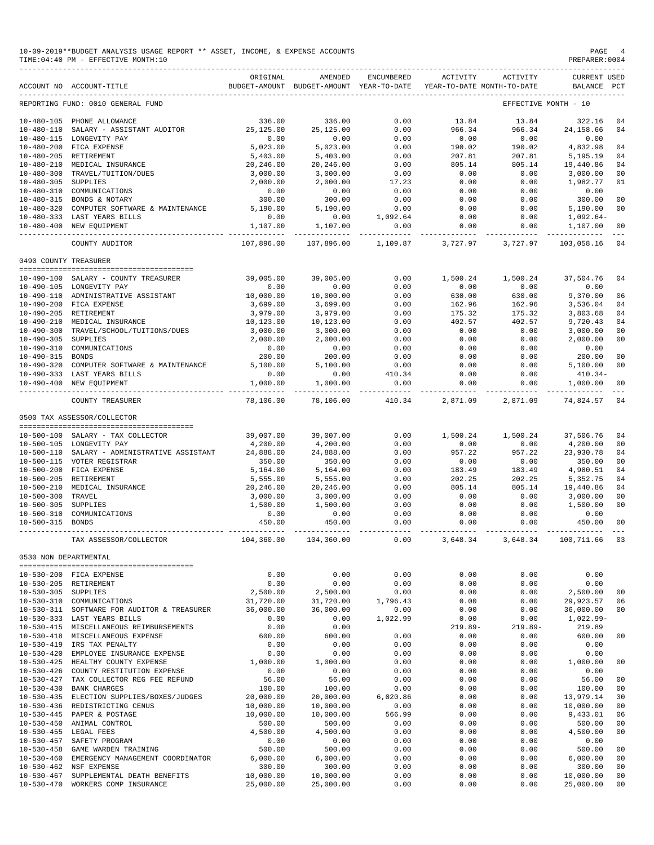|                       | 10-09-2019**BUDGET ANALYSIS USAGE REPORT ** ASSET, INCOME, & EXPENSE ACCOUNTS<br>TIME: 04:40 PM - EFFECTIVE MONTH: 10 |                                                                        |                                                                                |                                                                            |                                                                                          |                   | PAGE<br>PREPARER: 0004                                                                                          |                      |
|-----------------------|-----------------------------------------------------------------------------------------------------------------------|------------------------------------------------------------------------|--------------------------------------------------------------------------------|----------------------------------------------------------------------------|------------------------------------------------------------------------------------------|-------------------|-----------------------------------------------------------------------------------------------------------------|----------------------|
|                       | ACCOUNT NO ACCOUNT-TITLE                                                                                              | ORIGINAL                                                               | AMENDED<br>BUDGET-AMOUNT BUDGET-AMOUNT YEAR-TO-DATE YEAR-TO-DATE MONTH-TO-DATE | ENCUMBERED                                                                 |                                                                                          | ACTIVITY ACTIVITY | <b>CURRENT USED</b><br>BALANCE PCT                                                                              |                      |
|                       | REPORTING FUND: 0010 GENERAL FUND                                                                                     |                                                                        |                                                                                |                                                                            |                                                                                          |                   | EFFECTIVE MONTH - 10                                                                                            |                      |
|                       | 10-480-105 PHONE ALLOWANCE                                                                                            | 336.00                                                                 | 336.00                                                                         | 0.00                                                                       | 13.84                                                                                    | 13.84             | 322.16                                                                                                          | 04                   |
|                       | 10-480-110 SALARY - ASSISTANT AUDITOR                                                                                 | 25,125.00                                                              | 25, 125.00                                                                     | 0.00                                                                       | 966.34                                                                                   | 966.34            | 24, 158.66                                                                                                      | 04                   |
|                       | 10-480-115 LONGEVITY PAY                                                                                              | 0.00                                                                   | 0.00                                                                           | 0.00                                                                       | 0.00                                                                                     | 0.00              | 0.00                                                                                                            |                      |
|                       | 10-480-200 FICA EXPENSE                                                                                               | 5,023.00                                                               | 5,023.00                                                                       | 0.00                                                                       | 190.02                                                                                   | 190.02            | 4,832.98                                                                                                        | 04                   |
|                       | 10-480-205 RETIREMENT                                                                                                 | 5,403.00                                                               | 5,403.00                                                                       | 0.00                                                                       | 207.81                                                                                   | 207.81            | 5,195.19                                                                                                        | 04                   |
|                       | 10-480-210 MEDICAL INSURANCE<br>10-480-300 TRAVEL/TUITION/DUES                                                        | 20,246.00<br>3,000.00                                                  | 20,246.00<br>3,000.00                                                          | 0.00<br>0.00                                                               | 805.14<br>0.00                                                                           | 805.14<br>0.00    | 19,440.86<br>3,000.00                                                                                           | 04<br>0 <sub>0</sub> |
| 10-480-305 SUPPLIES   |                                                                                                                       | 2,000.00                                                               | 2,000.00                                                                       | 17.23                                                                      | 0.00                                                                                     | 0.00              | 1,982.77                                                                                                        | 01                   |
|                       | 10-480-310 COMMUNICATIONS                                                                                             | 0.00                                                                   | 0.00                                                                           | 0.00                                                                       | 0.00                                                                                     | 0.00              | 0.00                                                                                                            |                      |
|                       | 10-480-315 BONDS & NOTARY                                                                                             | 300.00                                                                 | 300.00                                                                         | 0.00                                                                       | 0.00                                                                                     | 0.00              | 300.00                                                                                                          | 0 <sub>0</sub>       |
|                       | 10-480-320 COMPUTER SOFTWARE & MAINTENANCE                                                                            | 5,190.00                                                               | 5,190.00                                                                       | 0.00                                                                       | 0.00                                                                                     | 0.00              | 5,190.00                                                                                                        | 00                   |
|                       | 10-480-333 LAST YEARS BILLS<br>10-480-400 NEW EQUIPMENT                                                               | 0.00<br>1,107.00                                                       | 0.00<br>1,107.00                                                               | 1,092.64<br>0.00                                                           | 0.00<br>0.00                                                                             | 0.00<br>0.00      | $1,092.64-$<br>1,107.00                                                                                         | 0 <sub>0</sub>       |
|                       |                                                                                                                       |                                                                        |                                                                                |                                                                            |                                                                                          |                   |                                                                                                                 | $\frac{1}{2}$        |
|                       | COUNTY AUDITOR                                                                                                        | 107,896.00                                                             | 107,896.00                                                                     | 1,109.87                                                                   | 3,727.97                                                                                 | 3,727.97          | 103,058.16                                                                                                      | 04                   |
| 0490 COUNTY TREASURER |                                                                                                                       |                                                                        |                                                                                |                                                                            |                                                                                          |                   |                                                                                                                 |                      |
|                       | 10-490-100 SALARY - COUNTY TREASURER                                                                                  | 39,005.00                                                              | 39,005.00                                                                      | 0.00                                                                       | 1,500.24                                                                                 | 1,500.24          | 37,504.76                                                                                                       | 04                   |
|                       | 10-490-105 LONGEVITY PAY                                                                                              | 0.00                                                                   | 0.00                                                                           | 0.00                                                                       | 0.00                                                                                     | 0.00              | 0.00                                                                                                            |                      |
|                       | 10-490-110 ADMINISTRATIVE ASSISTANT                                                                                   | 10,000.00                                                              | 10,000.00                                                                      | 0.00                                                                       | 630.00                                                                                   | 630.00            | 9,370.00                                                                                                        | 06                   |
|                       | 10-490-200 FICA EXPENSE                                                                                               | 3,699.00                                                               | 3,699.00                                                                       | 0.00                                                                       | 162.96                                                                                   | 162.96            | 3,536.04                                                                                                        | 04                   |
|                       | 10-490-205 RETIREMENT                                                                                                 | 3,979.00                                                               | 3,979.00                                                                       | 0.00                                                                       | 175.32<br>402.57                                                                         | 175.32            | 3,803.68                                                                                                        | 04                   |
|                       | 10-490-210 MEDICAL INSURANCE<br>10-490-300 TRAVEL/SCHOOL/TUITIONS/DUES                                                | 10,123.00<br>3,000.00                                                  | 10,123.00<br>3,000.00                                                          | 0.00<br>0.00                                                               | 0.00                                                                                     | 402.57<br>0.00    | 9,720.43<br>3,000.00                                                                                            | 04<br>0 <sub>0</sub> |
| 10-490-305 SUPPLIES   |                                                                                                                       | 2,000.00                                                               | 2,000.00                                                                       | 0.00                                                                       | 0.00                                                                                     | 0.00              | 2,000.00                                                                                                        | 0 <sub>0</sub>       |
|                       | 10-490-310 COMMUNICATIONS                                                                                             | 0.00                                                                   | 0.00                                                                           | 0.00                                                                       | 0.00                                                                                     | 0.00              | 0.00                                                                                                            |                      |
| 10-490-315 BONDS      |                                                                                                                       | 200.00                                                                 | 200.00                                                                         | 0.00                                                                       | 0.00                                                                                     | 0.00              | 200.00                                                                                                          | 00                   |
|                       | 10-490-320 COMPUTER SOFTWARE & MAINTENANCE                                                                            | 5,100.00                                                               | 5,100.00                                                                       | 0.00                                                                       | 0.00                                                                                     | 0.00              | 5,100.00                                                                                                        | 0 <sub>0</sub>       |
|                       | 10-490-333 LAST YEARS BILLS                                                                                           | 0.00                                                                   | 0.00                                                                           | 410.34                                                                     | 0.00                                                                                     | 0.00              | $410.34-$                                                                                                       |                      |
|                       | 10-490-400 NEW EQUIPMENT                                                                                              | 1,000.00<br>______________                                             | 1,000.00<br>______________                                                     | 0.00<br>_____________                                                      | 0.00                                                                                     | 0.00              | 1,000.00                                                                                                        | 00<br>$\frac{1}{2}$  |
|                       | COUNTY TREASURER                                                                                                      | 78,106.00                                                              | 78,106.00                                                                      | 410.34                                                                     | 2,871.09                                                                                 | 2,871.09          | 74,824.57                                                                                                       | 04                   |
|                       | 0500 TAX ASSESSOR/COLLECTOR                                                                                           |                                                                        |                                                                                |                                                                            |                                                                                          |                   |                                                                                                                 |                      |
|                       |                                                                                                                       | 39,007.00                                                              |                                                                                | 0.00                                                                       |                                                                                          |                   |                                                                                                                 |                      |
|                       | 10-500-100 SALARY - TAX COLLECTOR<br>10-500-105 LONGEVITY PAY                                                         | 4,200.00                                                               | 39,007.00<br>4,200.00                                                          | 0.00                                                                       | 1,500.24<br>0.00                                                                         | 1,500.24<br>0.00  | 37,506.76<br>4,200.00                                                                                           | 04<br>0 <sub>0</sub> |
|                       | 10-500-110 SALARY - ADMINISTRATIVE ASSISTANT                                                                          | 24,888.00                                                              | 24,888.00                                                                      | 0.00                                                                       | 957.22                                                                                   | 957.22            | 23,930.78                                                                                                       | 04                   |
|                       | 10-500-115 VOTER REGISTRAR                                                                                            | 350.00                                                                 | 350.00                                                                         | 0.00                                                                       | 0.00                                                                                     | 0.00              | 350.00                                                                                                          | 00                   |
|                       | 10-500-200 FICA EXPENSE                                                                                               | 5,164.00                                                               | 5,164.00                                                                       | 0.00                                                                       | 183.49                                                                                   | 183.49            | 4,980.51                                                                                                        | 04                   |
|                       | 10-500-205 RETIREMENT                                                                                                 | 5,555.00                                                               | 5,555.00                                                                       | 0.00                                                                       | 202.25                                                                                   | 202.25            | 5,352.75                                                                                                        | 04                   |
|                       | 10-500-210 MEDICAL INSURANCE                                                                                          | 20,246.00                                                              | 20,246.00                                                                      | 0.00                                                                       | 805.14                                                                                   | 805.14            | 19,440.86                                                                                                       | 04                   |
| 10-500-300 TRAVEL     |                                                                                                                       | 3,000.00                                                               | 3,000.00                                                                       | 0.00                                                                       | 0.00                                                                                     | 0.00              | 3,000.00                                                                                                        | 00                   |
| 10-500-305 SUPPLIES   | 10-500-310 COMMUNICATIONS                                                                                             | 1,500.00<br>0.00                                                       | 1,500.00<br>0.00                                                               | 0.00<br>0.00                                                               | 0.00<br>0.00                                                                             | 0.00<br>0.00      | 1,500.00<br>0.00                                                                                                | 0 <sub>0</sub>       |
| 10-500-315 BONDS      |                                                                                                                       | 450.00                                                                 | 450.00                                                                         | 0.00                                                                       | 0.00                                                                                     | 0.00              | 450.00                                                                                                          | 0 <sub>0</sub>       |
|                       | TAX ASSESSOR/COLLECTOR                                                                                                | $104,360.00$ $104,360.00$ $0.00$ $3,648.34$ $3,648.34$ $100,711.66$ 03 |                                                                                |                                                                            |                                                                                          |                   |                                                                                                                 |                      |
|                       |                                                                                                                       |                                                                        |                                                                                |                                                                            |                                                                                          |                   |                                                                                                                 |                      |
| 0530 NON DEPARTMENTAL | --------------------------------------                                                                                |                                                                        |                                                                                |                                                                            |                                                                                          |                   |                                                                                                                 |                      |
|                       | 10-530-200 FICA EXPENSE                                                                                               | 0.00                                                                   | $\begin{array}{c} 0.00 \\ 0.00 \end{array}$                                    | 0.00                                                                       | $0.00$<br>$0.00$                                                                         | 0.00              | 0.00                                                                                                            |                      |
| 10-530-305 SUPPLIES   | 10-530-205 RETIREMENT                                                                                                 | 0.00<br>2,500.00                                                       |                                                                                | 0.00                                                                       | 0.00                                                                                     | 0.00<br>0.00      | 0.00                                                                                                            | 00                   |
|                       | 10-530-310 COMMUNICATIONS                                                                                             | 31,720.00                                                              | 2,500.00 0.00<br>31,720.00 1,796.43<br>36,000.00 0.00                          |                                                                            |                                                                                          | 0.00              | 2,500.00<br>29,923.57<br>36,000.00<br>1,022.99-                                                                 | 06                   |
|                       | 10-530-311 SOFTWARE FOR AUDITOR & TREASURER                                                                           | 36,000.00                                                              |                                                                                | $1,796.43$<br>$5,000.00$<br>$0.00$<br>$0.00$<br>$0.00$<br>$0.00$<br>$0.00$ | $0.00$<br>$0.00$                                                                         | 0.00              |                                                                                                                 | 0 <sub>0</sub>       |
|                       | 10-530-333 LAST YEARS BILLS                                                                                           | 0.00                                                                   |                                                                                |                                                                            | $219.8$<br>0.00<br>0.00                                                                  | 0.00              |                                                                                                                 |                      |
|                       | 10-530-415 MISCELLANEOUS REIMBURSEMENTS                                                                               | $0.00$<br>600.00                                                       |                                                                                |                                                                            |                                                                                          | $219.89 -$        | 219.89                                                                                                          |                      |
|                       | 10-530-418 MISCELLANEOUS EXPENSE                                                                                      |                                                                        |                                                                                |                                                                            |                                                                                          | 0.00              | 600.00                                                                                                          | 0 <sub>0</sub>       |
|                       | 10-530-419 IRS TAX PENALTY                                                                                            | 0.00                                                                   | $0.00$<br>$0.00$<br>$1,000.00$                                                 |                                                                            |                                                                                          | 0.00              | 0.00                                                                                                            |                      |
|                       | 10-530-420 EMPLOYEE INSURANCE EXPENSE<br>10-530-425 HEALTHY COUNTY EXPENSE                                            | 0.00<br>$0.00$<br>$1,000.00$                                           |                                                                                | 0.00<br>0.00                                                               | 0.00<br>0.00                                                                             |                   | $\begin{array}{ccc} 0\, .\, 0\, 0 & 0\, .\, 0\, 0 \\ 0\, .\, 0\, 0 & 1\, ,\, 0\, 0\, 0\, .\, 0\, 0 \end{array}$ | 0 <sub>0</sub>       |
|                       | 10-530-426 COUNTY RESTITUTION EXPENSE                                                                                 | 0.00                                                                   |                                                                                |                                                                            |                                                                                          | 0.00              | 0.00                                                                                                            |                      |
|                       | 10-530-427 TAX COLLECTOR REG FEE REFUND                                                                               | $56.00$<br>100.00                                                      | $0.00$<br>56.00<br>100.00                                                      | $\begin{array}{c} 0.00 \\ 0.00 \end{array}$                                |                                                                                          | 0.00              | 56.00                                                                                                           | 0 <sub>0</sub>       |
|                       | 10-530-430 BANK CHARGES                                                                                               |                                                                        |                                                                                | 0.00                                                                       |                                                                                          | 0.00              | 100.00                                                                                                          | 0 <sub>0</sub>       |
|                       | 10-530-435 ELECTION SUPPLIES/BOXES/JUDGES                                                                             | 20,000.00                                                              | 20,000.00                                                                      | $6,020.86$<br>$0.00$                                                       | $\begin{array}{c} 0 \\ 0 \\ 0.0 \\ 0.0 \\ 0.00 \\ 0.00 \\ 0.00 \\ 0.00 \\ 0 \end{array}$ | 0.00              | $13,979.14$<br>$10,000.00$                                                                                      | 30                   |
|                       | 10-530-436 REDISTRICTING CENUS                                                                                        | 10,000.00                                                              | 10,000.00                                                                      |                                                                            |                                                                                          | 0.00              |                                                                                                                 | 0 <sub>0</sub>       |
|                       | 10-530-445 PAPER & POSTAGE                                                                                            | 10,000.00                                                              | 10,000.00                                                                      | 566.99                                                                     |                                                                                          | 0.00              | 9,433.01                                                                                                        | 06                   |
|                       | 10-530-450 ANIMAL CONTROL                                                                                             | 500.00                                                                 | $500.00$<br>4,500.00                                                           | 0.00                                                                       |                                                                                          | 0.00              | 500.00                                                                                                          | 0 <sub>0</sub>       |
|                       | 10-530-455 LEGAL FEES                                                                                                 | 4,500.00                                                               |                                                                                | 0.00                                                                       | 0.00                                                                                     | 0.00              | 4,500.00                                                                                                        | 0 <sub>0</sub>       |
|                       |                                                                                                                       |                                                                        |                                                                                | 0.00<br>0.00                                                               | 0.00<br>0.00                                                                             | 0.00<br>0.00      | 0.00<br>500.00                                                                                                  | 0 <sub>0</sub>       |
|                       |                                                                                                                       |                                                                        | $0.00$<br>500.00<br>6,000.00                                                   | 0.00                                                                       | 0.00                                                                                     | 0.00              | 6,000.00                                                                                                        | 0 <sub>0</sub>       |
|                       | 10-530-462 NSF EXPENSE                                                                                                | 300.00                                                                 | 300.00                                                                         |                                                                            | 0.00                                                                                     | 0.00              | 300.00                                                                                                          | 0 <sub>0</sub>       |
|                       | 10-530-467 SUPPLEMENTAL DEATH BENEFITS 10,000.00                                                                      |                                                                        | 10,000.00                                                                      | $0.00$<br>$0.00$                                                           | 0.00                                                                                     |                   | $0.00$ $10,000.00$                                                                                              | 0 <sub>0</sub>       |
|                       | 10-530-470 WORKERS COMP INSURANCE                                                                                     | 25,000.00                                                              | 25,000.00                                                                      | 0.00                                                                       | 0.00                                                                                     | 0.00              | 25,000.00                                                                                                       | 0 <sub>0</sub>       |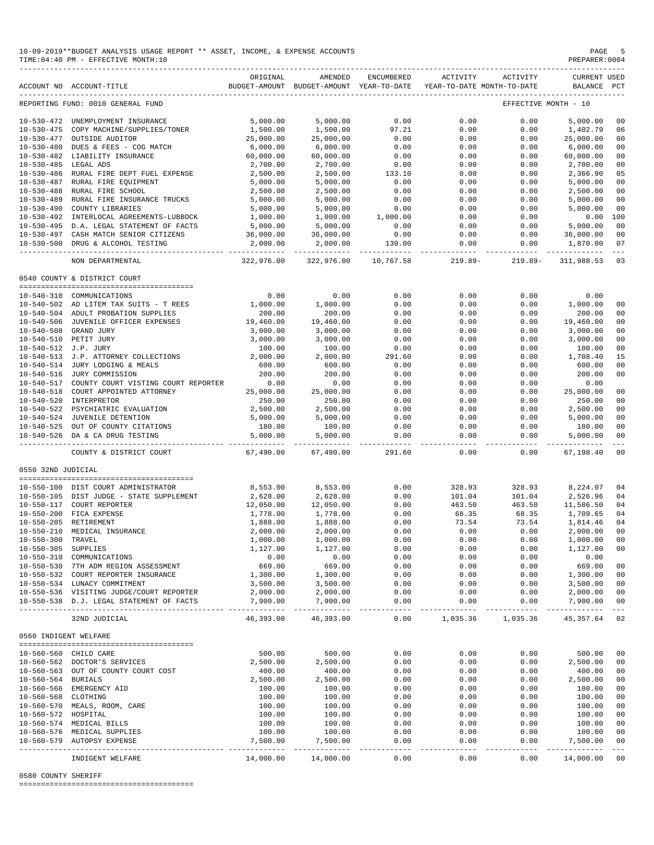|                       | 10-09-2019**BUDGET ANALYSIS USAGE REPORT ** ASSET, INCOME, & EXPENSE ACCOUNTS<br>TIME: 04:40 PM - EFFECTIVE MONTH: 10 |                         |                                                                                |                        |                             |                    | PAGE 5<br>PREPARER: 0004           |                                                                                                                                                                                                                                                                                                                                                                                                    |
|-----------------------|-----------------------------------------------------------------------------------------------------------------------|-------------------------|--------------------------------------------------------------------------------|------------------------|-----------------------------|--------------------|------------------------------------|----------------------------------------------------------------------------------------------------------------------------------------------------------------------------------------------------------------------------------------------------------------------------------------------------------------------------------------------------------------------------------------------------|
|                       | ACCOUNT NO ACCOUNT-TITLE                                                                                              | ORIGINAL                | AMENDED<br>BUDGET-AMOUNT BUDGET-AMOUNT YEAR-TO-DATE YEAR-TO-DATE MONTH-TO-DATE | ENCUMBERED             | ACTIVITY                    | ACTIVITY           | <b>CURRENT USED</b><br>BALANCE PCT |                                                                                                                                                                                                                                                                                                                                                                                                    |
|                       | REPORTING FUND: 0010 GENERAL FUND                                                                                     |                         |                                                                                |                        |                             |                    | EFFECTIVE MONTH - 10               |                                                                                                                                                                                                                                                                                                                                                                                                    |
|                       | 10-530-472 UNEMPLOYMENT INSURANCE                                                                                     | 5,000.00                | 5,000.00                                                                       | 0.00                   | 0.00                        | 0.00               | 5,000.00                           | 00                                                                                                                                                                                                                                                                                                                                                                                                 |
|                       | 10-530-475 COPY MACHINE/SUPPLIES/TONER                                                                                | 1,500.00                | 1,500.00                                                                       | 97.21                  | 0.00                        | 0.00               | 1,402.79                           | 06                                                                                                                                                                                                                                                                                                                                                                                                 |
|                       | 10-530-477 OUTSIDE AUDITOR                                                                                            | 25,000.00               | 25,000.00                                                                      | 0.00                   | 0.00                        | 0.00               | 25,000.00                          | 00                                                                                                                                                                                                                                                                                                                                                                                                 |
|                       | 10-530-480 DUES & FEES - COG MATCH                                                                                    | 6,000.00                | 6,000.00                                                                       | 0.00                   | 0.00                        | 0.00               | 6,000.00                           | 00                                                                                                                                                                                                                                                                                                                                                                                                 |
|                       | 10-530-482 LIABILITY INSURANCE                                                                                        | 60,000.00               | 60,000.00                                                                      | 0.00                   | 0.00                        | 0.00               | 60,000.00                          | 00                                                                                                                                                                                                                                                                                                                                                                                                 |
| 10-530-485 LEGAL ADS  |                                                                                                                       | 2,700.00                | 2,700.00                                                                       | 0.00                   | 0.00                        | 0.00               | 2,700.00                           | 00                                                                                                                                                                                                                                                                                                                                                                                                 |
|                       | 10-530-486 RURAL FIRE DEPT FUEL EXPENSE                                                                               | 2,500.00                | 2,500.00                                                                       | 133.10                 | 0.00                        | 0.00               | 2,366.90                           | 05                                                                                                                                                                                                                                                                                                                                                                                                 |
|                       | 10-530-487 RURAL FIRE EQUIPMENT                                                                                       | 5,000.00                | 5,000.00                                                                       | 0.00                   | 0.00                        | 0.00               | 5,000.00                           | 00                                                                                                                                                                                                                                                                                                                                                                                                 |
|                       | 10-530-488 RURAL FIRE SCHOOL                                                                                          | 2,500.00                | 2,500.00                                                                       | 0.00                   | 0.00                        | 0.00               | 2,500.00                           | 00                                                                                                                                                                                                                                                                                                                                                                                                 |
|                       | 10-530-489 RURAL FIRE INSURANCE TRUCKS                                                                                | 5,000.00                | 5,000.00                                                                       | 0.00                   | 0.00                        | 0.00               | 5,000.00                           | 00                                                                                                                                                                                                                                                                                                                                                                                                 |
|                       | 10-530-490 COUNTY LIBRARIES                                                                                           | 5,000.00                | 5,000.00                                                                       | 0.00                   | 0.00                        | 0.00               | 5,000.00                           | 00                                                                                                                                                                                                                                                                                                                                                                                                 |
|                       | 10-530-492 INTERLOCAL AGREEMENTS-LUBBOCK                                                                              | 1,000.00                | 1,000.00                                                                       | 1,000.00               | 0.00                        | 0.00               | 0.00 100                           |                                                                                                                                                                                                                                                                                                                                                                                                    |
|                       | 10-530-495 D.A. LEGAL STATEMENT OF FACTS                                                                              | 5,000.00                | 5,000.00                                                                       | 0.00<br>0.00           | 0.00                        | 0.00               | 5,000.00                           | 00                                                                                                                                                                                                                                                                                                                                                                                                 |
|                       | 10-530-497 CASH MATCH SENIOR CITIZENS                                                                                 | 36,000.00               | 36,000.00                                                                      |                        | 0.00                        | 0.00               | 36,000.00                          | 00                                                                                                                                                                                                                                                                                                                                                                                                 |
|                       | 10-530-500 DRUG & ALCOHOL TESTING                                                                                     | 2,000.00<br>----------- | 2,000.00<br>--------------                                                     | 130.00                 | 0.00<br>. _ _ _ _ _ _ _ _ _ | 0.00<br>. <u>.</u> | 1,870.00                           | 07<br>$- - - -$                                                                                                                                                                                                                                                                                                                                                                                    |
|                       | NON DEPARTMENTAL                                                                                                      | 322,976.00              | 322,976.00                                                                     | 10,767.58              | $219.89 -$                  | $219.89 -$         | 311,988.53                         | 03                                                                                                                                                                                                                                                                                                                                                                                                 |
|                       | 0540 COUNTY & DISTRICT COURT                                                                                          |                         |                                                                                |                        |                             |                    |                                    |                                                                                                                                                                                                                                                                                                                                                                                                    |
|                       |                                                                                                                       |                         |                                                                                |                        |                             |                    |                                    |                                                                                                                                                                                                                                                                                                                                                                                                    |
|                       | 10-540-310 COMMUNICATIONS<br>10-540-502 AD LITEM TAX SUITS - T REES                                                   | 0.00                    | 0.00                                                                           | 0.00                   | 0.00                        | 0.00               | 0.00                               |                                                                                                                                                                                                                                                                                                                                                                                                    |
|                       | 10-540-504 ADULT PROBATION SUPPLIES                                                                                   | 1,000.00<br>200.00      | 1,000.00<br>200.00                                                             | 0.00<br>0.00           | 0.00<br>0.00                | 0.00<br>0.00       | 1,000.00<br>200.00                 | 00<br>00                                                                                                                                                                                                                                                                                                                                                                                           |
|                       |                                                                                                                       | 19,460.00               | 19,460.00                                                                      | 0.00                   | 0.00                        | 0.00               | 19,460.00                          | 00                                                                                                                                                                                                                                                                                                                                                                                                 |
|                       | 10-540-506 JUVENILE OFFICER EXPENSES<br>10-540-508 GRAND JURY                                                         | 3,000.00                | 3,000.00                                                                       | 0.00                   | 0.00                        | 0.00               | 3,000.00                           | 00                                                                                                                                                                                                                                                                                                                                                                                                 |
|                       | 10-540-510 PETIT JURY                                                                                                 | 3,000.00                | 3,000.00                                                                       | 0.00                   | 0.00                        | 0.00               | 3,000.00                           | 00                                                                                                                                                                                                                                                                                                                                                                                                 |
| 10-540-512 J.P. JURY  |                                                                                                                       | 100.00                  | 100.00                                                                         | 0.00                   | 0.00                        | 0.00               | 100.00                             | 00                                                                                                                                                                                                                                                                                                                                                                                                 |
|                       | 10-540-513 J.P. ATTORNEY COLLECTIONS                                                                                  | 2,000.00                | 2,000.00                                                                       | 291.60                 | 0.00                        | 0.00               | 1,708.40                           | 15                                                                                                                                                                                                                                                                                                                                                                                                 |
|                       | 10-540-514 JURY LODGING & MEALS                                                                                       | 600.00                  | 600.00                                                                         | 0.00                   | 0.00                        | 0.00               | 600.00                             | 00                                                                                                                                                                                                                                                                                                                                                                                                 |
|                       | 10-540-516 JURY COMMISSION                                                                                            | 200.00                  | 200.00                                                                         | 0.00                   | 0.00                        | 0.00               | 200.00                             | 00                                                                                                                                                                                                                                                                                                                                                                                                 |
|                       | 10-540-517 COUNTY COURT VISTING COURT REPORTER                                                                        | 0.00                    | 0.00                                                                           | 0.00                   | 0.00                        | 0.00               | 0.00                               |                                                                                                                                                                                                                                                                                                                                                                                                    |
|                       | 10-540-518 COURT APPOINTED ATTORNEY                                                                                   | 25,000.00               | 25,000.00                                                                      | 0.00                   | 0.00                        | 0.00               | 25,000.00                          | 00                                                                                                                                                                                                                                                                                                                                                                                                 |
|                       | 10-540-520 INTERPRETOR                                                                                                | 250.00                  | 250.00                                                                         | 0.00                   | 0.00                        | 0.00               | 250.00                             | 00                                                                                                                                                                                                                                                                                                                                                                                                 |
|                       | 10-540-522 PSYCHIATRIC EVALUATION                                                                                     | 2,500.00                | 2,500.00                                                                       | 0.00                   | 0.00                        | 0.00               | 2,500.00                           | 0 <sub>0</sub>                                                                                                                                                                                                                                                                                                                                                                                     |
|                       | 10-540-525 OUT OF COUNTY CITATIONS<br>10-540-526 DA & CA BRIC TIGHT                                                   | 5,000.00                | 5,000.00                                                                       | 0.00                   | 0.00                        | 0.00               | 5,000.00                           | 00                                                                                                                                                                                                                                                                                                                                                                                                 |
|                       |                                                                                                                       | 180.00                  | 180.00                                                                         | 0.00                   | 0.00                        | 0.00               | 180.00                             | 00                                                                                                                                                                                                                                                                                                                                                                                                 |
|                       |                                                                                                                       | 5,000.00<br>----------  | 5,000.00<br>-----------                                                        | 0.00<br>______________ | 0.00<br>-----               | 0.00               | 5,000.00<br>----- -------------    | 00<br>$\sim$ $ \sim$                                                                                                                                                                                                                                                                                                                                                                               |
|                       | COUNTY & DISTRICT COURT                                                                                               | 67,490.00               | 67,490.00                                                                      | 291.60                 | 0.00                        | 0.00               | 67,198.40                          | 00                                                                                                                                                                                                                                                                                                                                                                                                 |
| 0550 32ND JUDICIAL    |                                                                                                                       |                         |                                                                                |                        |                             |                    |                                    |                                                                                                                                                                                                                                                                                                                                                                                                    |
|                       |                                                                                                                       |                         |                                                                                |                        |                             |                    |                                    |                                                                                                                                                                                                                                                                                                                                                                                                    |
|                       | 10-550-100 DIST COURT ADMINISTRATOR                                                                                   | 8,553.00                | 8,553.00                                                                       | 0.00                   | 328.93                      | 328.93             | 8,224.07 04                        |                                                                                                                                                                                                                                                                                                                                                                                                    |
|                       | 10-550-105 DIST JUDGE - STATE SUPPLEMENT                                                                              | 2,628.00                | 2,628.00                                                                       | 0.00                   | 101.04                      | 101.04             | 2,526.96                           | 04                                                                                                                                                                                                                                                                                                                                                                                                 |
|                       | 10-550-117 COURT REPORTER<br>10-550-200 FICA EXPENSE                                                                  | 12,050.00               | 12,050.00                                                                      | 0.00                   | 463.50<br>68.35             | 463.50             | 11,586.50                          | 04<br>04                                                                                                                                                                                                                                                                                                                                                                                           |
|                       | 10-550-205 RETIREMENT                                                                                                 | 1,778.00                | 1,778.00                                                                       | 0.00                   |                             | 68.35              | 1,709.65                           |                                                                                                                                                                                                                                                                                                                                                                                                    |
| $10 - 550 - 210$      | MEDICAL INSURANCE                                                                                                     | 1,888.00<br>2,000.00    | 1,888.00<br>2,000.00                                                           | 0.00<br>0.00           | 73.54<br>0.00               | 73.54<br>0.00      | 1,814.46<br>2,000.00               | 04<br>00                                                                                                                                                                                                                                                                                                                                                                                           |
| $10 - 550 - 300$      | TRAVEL                                                                                                                | 1,000.00                | 1,000.00                                                                       | 0.00                   | 0.00                        | 0.00               | 1,000.00                           | 00                                                                                                                                                                                                                                                                                                                                                                                                 |
| 10-550-305 SUPPLIES   |                                                                                                                       | 1,127.00                | 1,127.00                                                                       | 0.00                   | 0.00                        | 0.00               | 1,127.00                           | 0 <sub>0</sub>                                                                                                                                                                                                                                                                                                                                                                                     |
|                       | 10-550-310 COMMUNICATIONS                                                                                             | 0.00                    | 0.00                                                                           | 0.00                   | 0.00                        | 0.00               | 0.00                               |                                                                                                                                                                                                                                                                                                                                                                                                    |
|                       | 10-550-530 7TH ADM REGION ASSESSMENT                                                                                  | 669.00                  | 669.00                                                                         | 0.00                   | 0.00                        | 0.00               | 669.00                             | 00                                                                                                                                                                                                                                                                                                                                                                                                 |
|                       | 10-550-532 COURT REPORTER INSURANCE                                                                                   | 1,300.00                | 1,300.00                                                                       | 0.00                   | 0.00                        | 0.00               | 1,300.00                           | 00                                                                                                                                                                                                                                                                                                                                                                                                 |
|                       | 10-550-534 LUNACY COMMITMENT                                                                                          | 3,500.00                | 3,500.00                                                                       | 0.00                   | 0.00                        | 0.00               | 3,500.00                           | 00                                                                                                                                                                                                                                                                                                                                                                                                 |
|                       | 10-550-536 VISITING JUDGE/COURT REPORTER                                                                              | 2,000.00                | 2,000.00                                                                       | 0.00                   | 0.00                        | 0.00               | 2,000.00                           | 00                                                                                                                                                                                                                                                                                                                                                                                                 |
|                       | 10-550-538 D.J. LEGAL STATEMENT OF FACTS                                                                              | 7,900.00<br>----------- | 7,900.00<br>------------                                                       | 0.00<br>$- - - -$      | 0.00<br>------              | 0.00<br>---------  | 7,900.00<br>. _ _ _ _ _ _ _ _ _ _  | 00<br>$\frac{1}{2} \frac{1}{2} \frac{1}{2} \frac{1}{2} \frac{1}{2} \frac{1}{2} \frac{1}{2} \frac{1}{2} \frac{1}{2} \frac{1}{2} \frac{1}{2} \frac{1}{2} \frac{1}{2} \frac{1}{2} \frac{1}{2} \frac{1}{2} \frac{1}{2} \frac{1}{2} \frac{1}{2} \frac{1}{2} \frac{1}{2} \frac{1}{2} \frac{1}{2} \frac{1}{2} \frac{1}{2} \frac{1}{2} \frac{1}{2} \frac{1}{2} \frac{1}{2} \frac{1}{2} \frac{1}{2} \frac{$ |
|                       | 32ND JUDICIAL                                                                                                         | 46,393.00               | 46,393.00                                                                      | 0.00                   | 1,035.36                    | 1,035.36           | 45, 357.64                         | 02                                                                                                                                                                                                                                                                                                                                                                                                 |
| 0560 INDIGENT WELFARE |                                                                                                                       |                         |                                                                                |                        |                             |                    |                                    |                                                                                                                                                                                                                                                                                                                                                                                                    |
|                       |                                                                                                                       |                         |                                                                                |                        |                             |                    |                                    |                                                                                                                                                                                                                                                                                                                                                                                                    |
|                       | 10-560-560 CHILD CARE                                                                                                 | 500.00                  | 500.00                                                                         | 0.00                   | 0.00                        | 0.00               | 500.00                             | 00                                                                                                                                                                                                                                                                                                                                                                                                 |
|                       | 10-560-562 DOCTOR'S SERVICES                                                                                          | 2,500.00                | 2,500.00                                                                       | 0.00                   | 0.00                        | 0.00               | 2,500.00                           | 0 <sub>0</sub>                                                                                                                                                                                                                                                                                                                                                                                     |
|                       | 10-560-563 OUT OF COUNTY COURT COST                                                                                   | 400.00                  | 400.00                                                                         | 0.00                   | 0.00                        | 0.00               | 400.00                             | 00                                                                                                                                                                                                                                                                                                                                                                                                 |
| 10-560-564 BURIALS    |                                                                                                                       | 2,500.00                | 2,500.00                                                                       | 0.00                   | 0.00                        | 0.00               | 2,500.00                           | 00                                                                                                                                                                                                                                                                                                                                                                                                 |
|                       | 10-560-566 EMERGENCY AID                                                                                              | 100.00                  | 100.00                                                                         | 0.00                   | 0.00                        | 0.00               | 100.00                             | 00                                                                                                                                                                                                                                                                                                                                                                                                 |
| 10-560-568 CLOTHING   |                                                                                                                       | 100.00                  | 100.00                                                                         | 0.00                   | 0.00                        | 0.00               | 100.00                             | 0 <sub>0</sub>                                                                                                                                                                                                                                                                                                                                                                                     |
|                       | 10-560-570 MEALS, ROOM, CARE                                                                                          | 100.00                  | 100.00                                                                         | 0.00                   | 0.00                        | 0.00               | 100.00                             | 00                                                                                                                                                                                                                                                                                                                                                                                                 |
| 10-560-572 HOSPITAL   |                                                                                                                       | 100.00                  | 100.00                                                                         | 0.00                   | 0.00                        | 0.00               | 100.00                             | 00                                                                                                                                                                                                                                                                                                                                                                                                 |
|                       | 10-560-574 MEDICAL BILLS                                                                                              | 100.00                  | 100.00                                                                         | 0.00                   | 0.00                        | 0.00               | 100.00                             | 00                                                                                                                                                                                                                                                                                                                                                                                                 |
|                       | 10-560-576 MEDICAL SUPPLIES                                                                                           | 100.00<br>7,500.00      | 100.00                                                                         | 0.00                   | 0.00                        | 0.00               | 100.00<br>7,500.00                 | 00<br>00                                                                                                                                                                                                                                                                                                                                                                                           |
|                       | 10-560-579 AUTOPSY EXPENSE                                                                                            | ----------              | 7,500.00                                                                       | 0.00                   | 0.00                        | 0.00<br>-----      | --------------                     | $- - -$                                                                                                                                                                                                                                                                                                                                                                                            |
|                       | INDIGENT WELFARE                                                                                                      | 14,000.00               | 14,000.00                                                                      | 0.00                   | 0.00                        | 0.00               | 14,000.00                          | 0 <sub>0</sub>                                                                                                                                                                                                                                                                                                                                                                                     |

0580 COUNTY SHERIFF

========================================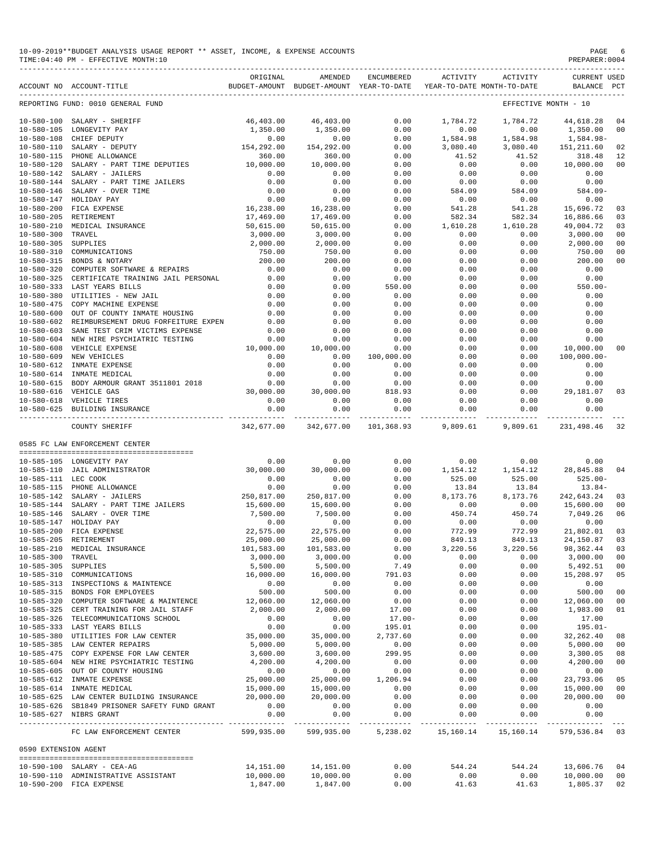| 10-09-2019**BUDGET ANALYSIS USAGE REPORT ** ASSET, INCOME, & EXPENSE ACCOUNTS | PAGE           |
|-------------------------------------------------------------------------------|----------------|
| TIME: 04:40 PM - EFFECTIVE MONTH: 10                                          | PREPARER: 0004 |

|                                      | ACCOUNT NO ACCOUNT-TITLE                                           | ORIGINAL            | AMENDED<br>BUDGET-AMOUNT BUDGET-AMOUNT YEAR-TO-DATE | ENCUMBERED           | ACTIVITY           | ACTIVITY<br>YEAR-TO-DATE MONTH-TO-DATE | <b>CURRENT USED</b><br>BALANCE PCT |                |
|--------------------------------------|--------------------------------------------------------------------|---------------------|-----------------------------------------------------|----------------------|--------------------|----------------------------------------|------------------------------------|----------------|
|                                      | REPORTING FUND: 0010 GENERAL FUND                                  |                     |                                                     |                      |                    |                                        | EFFECTIVE MONTH - 10               |                |
|                                      | 10-580-100 SALARY - SHERIFF                                        | 46,403.00           | 46,403.00                                           | 0.00                 | 1,784.72           | 1,784.72                               | 44,618.28                          | 04             |
| $10 - 580 - 105$                     | LONGEVITY PAY                                                      | 1,350.00            | 1,350.00                                            | 0.00                 | 0.00               | 0.00                                   | 1,350.00                           | 0 <sup>0</sup> |
| $10 - 580 - 108$                     | CHIEF DEPUTY                                                       | 0.00                | 0.00                                                | 0.00                 | 1,584.98           | 1,584.98                               | 1,584.98-                          |                |
| $10 - 580 - 110$                     | SALARY - DEPUTY                                                    | 154,292.00          | 154,292.00                                          | 0.00                 | 3,080.40           | 3,080.40                               | 151,211.60                         | 02             |
| 10-580-115                           | PHONE ALLOWANCE                                                    | 360.00<br>10,000.00 | 360.00                                              | 0.00<br>0.00         | 41.52<br>0.00      | 41.52<br>0.00                          | 318.48<br>10,000.00                | 12             |
| $10 - 580 - 120$<br>$10 - 580 - 142$ | SALARY - PART TIME DEPUTIES<br>SALARY - JAILERS                    | 0.00                | 10,000.00<br>0.00                                   | 0.00                 | 0.00               | 0.00                                   | 0.00                               | 00             |
| $10 - 580 - 144$                     | SALARY - PART TIME JAILERS                                         | 0.00                | 0.00                                                | 0.00                 | 0.00               | 0.00                                   | 0.00                               |                |
| $10 - 580 - 146$                     | SALARY - OVER TIME                                                 | 0.00                | 0.00                                                | 0.00                 | 584.09             | 584.09                                 | $584.09 -$                         |                |
| $10 - 580 - 147$                     | HOLIDAY PAY                                                        | 0.00                | 0.00                                                | 0.00                 | 0.00               | 0.00                                   | 0.00                               |                |
| $10 - 580 - 200$                     | FICA EXPENSE                                                       | 16,238.00           | 16,238.00                                           | 0.00                 | 541.28             | 541.28                                 | 15,696.72                          | 03             |
| $10 - 580 - 205$                     | RETIREMENT                                                         | 17,469.00           | 17,469.00                                           | 0.00                 | 582.34             | 582.34                                 | 16,886.66                          | 03             |
| $10 - 580 - 210$                     | MEDICAL INSURANCE                                                  | 50,615.00           | 50,615.00                                           | 0.00                 | 1,610.28           | 1,610.28                               | 49,004.72                          | 03             |
| $10 - 580 - 300$                     | TRAVEL                                                             | 3,000.00            | 3,000.00                                            | 0.00                 | 0.00               | 0.00                                   | 3,000.00                           | 0 <sup>0</sup> |
| $10 - 580 - 305$                     | SUPPLIES                                                           | 2,000.00            | 2,000.00                                            | 0.00                 | 0.00               | 0.00                                   | 2,000.00                           | 0 <sub>0</sub> |
| $10 - 580 - 310$                     | COMMUNICATIONS                                                     | 750.00              | 750.00                                              | 0.00                 | 0.00               | 0.00                                   | 750.00                             | 0 <sub>0</sub> |
| $10 - 580 - 315$<br>$10 - 580 - 320$ | BONDS & NOTARY<br>COMPUTER SOFTWARE & REPAIRS                      | 200.00<br>0.00      | 200.00<br>0.00                                      | 0.00<br>0.00         | 0.00<br>0.00       | 0.00<br>0.00                           | 200.00<br>0.00                     | 00             |
| $10 - 580 - 325$                     | CERTIFICATE TRAINING JAIL PERSONAL                                 | 0.00                | 0.00                                                | 0.00                 | 0.00               | 0.00                                   | 0.00                               |                |
| $10 - 580 - 333$                     | LAST YEARS BILLS                                                   | 0.00                | 0.00                                                | 550.00               | 0.00               | 0.00                                   | $550.00 -$                         |                |
| $10 - 580 - 380$                     | UTILITIES - NEW JAIL                                               | 0.00                | 0.00                                                | 0.00                 | 0.00               | 0.00                                   | 0.00                               |                |
| $10 - 580 - 475$                     | COPY MACHINE EXPENSE                                               | 0.00                | 0.00                                                | 0.00                 | 0.00               | 0.00                                   | 0.00                               |                |
| $10 - 580 - 600$                     | OUT OF COUNTY INMATE HOUSING                                       | 0.00                | 0.00                                                | 0.00                 | 0.00               | 0.00                                   | 0.00                               |                |
| $10 - 580 - 602$                     | REIMBURSEMENT DRUG FORFEITURE EXPEN                                | 0.00                | 0.00                                                | 0.00                 | 0.00               | 0.00                                   | 0.00                               |                |
| $10 - 580 - 603$                     | SANE TEST CRIM VICTIMS EXPENSE                                     | 0.00                | 0.00                                                | 0.00                 | 0.00               | 0.00                                   | 0.00                               |                |
| $10 - 580 - 604$                     | NEW HIRE PSYCHIATRIC TESTING                                       | 0.00                | 0.00                                                | 0.00                 | 0.00               | 0.00                                   | 0.00                               |                |
| $10 - 580 - 608$                     | VEHICLE EXPENSE                                                    | 10,000.00           | 10,000.00                                           | 0.00                 | 0.00               | 0.00                                   | 10,000.00                          | 0 <sup>0</sup> |
| $10 - 580 - 609$                     | NEW VEHICLES                                                       | 0.00                | 0.00                                                | 100,000.00           | 0.00               | 0.00                                   | 100,000.00-                        |                |
| $10 - 580 - 612$                     | INMATE EXPENSE                                                     | 0.00                | 0.00                                                | 0.00                 | 0.00               | 0.00                                   | 0.00                               |                |
| $10 - 580 - 614$                     | INMATE MEDICAL                                                     | 0.00                | 0.00                                                | 0.00                 | 0.00               | 0.00                                   | 0.00                               |                |
| $10 - 580 - 615$                     | BODY ARMOUR GRANT 3511801 2018                                     | 0.00                | 0.00                                                | 0.00                 | 0.00               | 0.00                                   | 0.00                               |                |
| $10 - 580 - 616$                     | VEHICLE GAS<br>10-580-618 VEHICLE TIRES                            | 30,000.00<br>0.00   | 30,000.00<br>0.00                                   | 818.93<br>0.00       | 0.00<br>0.00       | 0.00<br>0.00                           | 29,181.07<br>0.00                  | 03             |
|                                      | 10-580-625 BUILDING INSURANCE                                      | 0.00                | 0.00                                                | 0.00                 | 0.00               | 0.00                                   | 0.00                               |                |
|                                      |                                                                    | -------------       | -------------                                       | $- - - - -$          | -----              | ----------                             |                                    |                |
|                                      | COUNTY SHERIFF                                                     | 342,677.00          | 342,677.00                                          | 101,368.93           | 9,809.61           | 9,809.61                               | 231, 498.46                        | 32             |
|                                      | 0585 FC LAW ENFORCEMENT CENTER                                     |                     |                                                     |                      |                    |                                        |                                    |                |
|                                      | 10-585-105 LONGEVITY PAY                                           | 0.00                | 0.00                                                | 0.00                 | 0.00               | 0.00                                   | 0.00                               |                |
|                                      | 10-585-110 JAIL ADMINISTRATOR                                      | 30,000.00           | 30,000.00                                           | 0.00                 | 1,154.12           | 1,154.12                               | 28,845.88                          | 04             |
| 10-585-111 LEC COOK                  |                                                                    | 0.00                | 0.00                                                | 0.00                 | 525.00             | 525.00                                 | $525.00 -$                         |                |
|                                      | 10-585-115 PHONE ALLOWANCE                                         | 0.00                | 0.00                                                | 0.00                 | 13.84              | 13.84                                  | $13.84-$                           |                |
| 10-585-142                           | SALARY - JAILERS                                                   | 250,817.00          | 250,817.00                                          | 0.00                 | 8,173.76           | 8,173.76                               | 242,643.24                         | 03             |
|                                      | 10-585-144 SALARY - PART TIME JAILERS<br>SALARY - OVER TIME        | 15,600.00           | 15,600.00                                           | 0.00                 | 0.00<br>450.74     | 0.00                                   | 15,600.00                          | 00             |
| $10 - 585 - 146$<br>$10 - 585 - 147$ | HOLIDAY PAY                                                        | 7,500.00<br>0.00    | 7,500.00<br>0.00                                    | 0.00<br>0.00         | 0.00               | 450.74<br>0.00                         | 7,049.26<br>0.00                   | 06             |
| $10 - 585 - 200$                     | FICA EXPENSE                                                       | 22,575.00           | 22,575.00                                           | 0.00                 | 772.99             | 772.99                                 | 21,802.01                          | 03             |
| $10 - 585 - 205$                     | RETIREMENT                                                         | 25,000.00           | 25,000.00                                           | 0.00                 | 849.13             | 849.13                                 | 24,150.87                          | 03             |
|                                      | 10-585-210 MEDICAL INSURANCE                                       | 101,583.00          | 101,583.00                                          | 0.00                 | 3,220.56           | 3,220.56                               | 98,362.44                          | 03             |
| $10 - 585 - 300$                     | TRAVEL                                                             | 3,000.00            | 3,000.00                                            | 0.00                 | 0.00               | 0.00                                   | 3,000.00                           | 00             |
| 10-585-305 SUPPLIES                  |                                                                    | 5,500.00            | 5,500.00                                            | 7.49                 | 0.00               | 0.00                                   | 5,492.51                           | 0 <sub>0</sub> |
|                                      | 10-585-310 COMMUNICATIONS                                          | 16,000.00           | 16,000.00                                           | 791.03               | 0.00               | 0.00                                   | 15,208.97                          | 05             |
|                                      | 10-585-313 INSPECTIONS & MAINTENCE                                 | 0.00                | 0.00                                                | 0.00                 | 0.00               | 0.00                                   | 0.00                               |                |
|                                      | 10-585-315 BONDS FOR EMPLOYEES                                     | 500.00              | 500.00                                              | 0.00                 | 0.00               | 0.00                                   | 500.00                             | 0 <sub>0</sub> |
|                                      | 10-585-320 COMPUTER SOFTWARE & MAINTENCE                           | 12,060.00           | 12,060.00                                           | 0.00                 | 0.00               | 0.00                                   | 12,060.00                          | 0 <sub>0</sub> |
|                                      | 10-585-325 CERT TRAINING FOR JAIL STAFF                            | 2,000.00            | 2,000.00                                            | 17.00                | 0.00               | 0.00                                   | 1,983.00                           | 01             |
|                                      | 10-585-326 TELECOMMUNICATIONS SCHOOL                               | 0.00                | 0.00                                                | $17.00 -$            | 0.00               | 0.00                                   | 17.00                              |                |
|                                      | 10-585-333 LAST YEARS BILLS<br>10-585-380 UTILITIES FOR LAW CENTER | 0.00<br>35,000.00   | 0.00<br>35,000.00                                   | 195.01               | 0.00               | 0.00                                   | $195.01-$                          |                |
|                                      | 10-585-385 LAW CENTER REPAIRS                                      | 5,000.00            | 5,000.00                                            | 2,737.60<br>0.00     | 0.00<br>0.00       | 0.00<br>0.00                           | 32, 262.40<br>5,000.00             | 08<br>00       |
|                                      | 10-585-475 COPY EXPENSE FOR LAW CENTER                             | 3,600.00            | 3,600.00                                            | 299.95               | 0.00               | 0.00                                   | 3,300.05                           | 08             |
|                                      | 10-585-604 NEW HIRE PSYCHIATRIC TESTING                            | 4,200.00            | 4,200.00                                            | 0.00                 | 0.00               | 0.00                                   | 4,200.00                           | 0 <sub>0</sub> |
|                                      | 10-585-605 OUT OF COUNTY HOUSING                                   | 0.00                | 0.00                                                | 0.00                 | 0.00               | 0.00                                   | 0.00                               |                |
|                                      | 10-585-612 INMATE EXPENSE                                          | 25,000.00           | 25,000.00                                           | 1,206.94             | 0.00               | 0.00                                   | 23,793.06                          | 05             |
|                                      | 10-585-614 INMATE MEDICAL                                          | 15,000.00           | 15,000.00                                           | 0.00                 | 0.00               | 0.00                                   | 15,000.00                          | 00             |
|                                      | 10-585-625 LAW CENTER BUILDING INSURANCE                           | 20,000.00           | 20,000.00                                           | 0.00                 | 0.00               | 0.00                                   | 20,000.00                          | 0 <sub>0</sub> |
|                                      | 10-585-626 SB1849 PRISONER SAFETY FUND GRANT                       | 0.00                | 0.00                                                | 0.00                 | 0.00               | 0.00                                   | 0.00                               |                |
|                                      | 10-585-627 NIBRS GRANT                                             | 0.00                | 0.00<br>-------------                               | 0.00<br>------------ | 0.00<br>---------- | 0.00<br>-----------                    | 0.00<br>------------               |                |
|                                      | FC LAW ENFORCEMENT CENTER                                          | 599,935.00          | 599,935.00                                          | 5,238.02             | 15,160.14          | 15,160.14                              | 579,536.84 03                      |                |
| 0590 EXTENSION AGENT                 |                                                                    |                     |                                                     |                      |                    |                                        |                                    |                |
|                                      | 10-590-100 SALARY - CEA-AG                                         | 14,151.00           | 14,151.00                                           | 0.00                 | 544.24             | 544.24                                 | 13,606.76                          | 04             |
|                                      | 10-590-110 ADMINISTRATIVE ASSISTANT                                | 10,000.00           | 10,000.00                                           | 0.00                 | 0.00               | 0.00                                   | 10,000.00 00                       |                |

10-590-200 FICA EXPENSE 1,847.00 1,847.00 0.00 41.63 41.63 1,805.37 02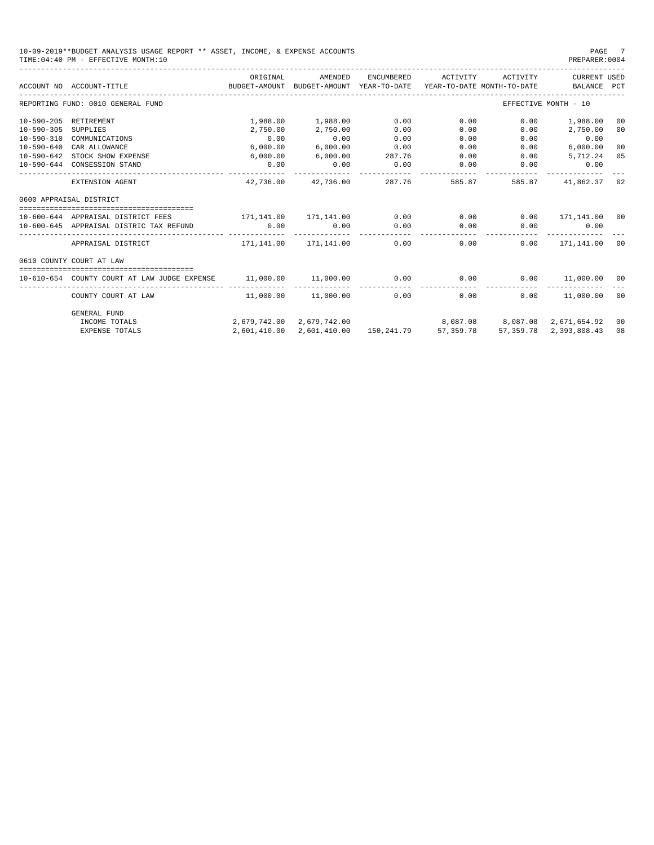10-09-2019\*\*BUDGET ANALYSIS USAGE REPORT \*\* ASSET, INCOME, & EXPENSE ACCOUNTS PAGE 7 TIME:  $04:40$  PM - EFFECTIVE MONTH: 10

|                  | ACCOUNT NO ACCOUNT-TITLE THE BUDGET-AMOUNT                            | ORIGINAL  | AMENDED                    | ENCUMBERED | ACTIVITY | ACTIVITY | CURRENT USED<br>BUDGET-AMOUNT YEAR-TO-DATE YEAR-TO-DATE MONTH-TO-DATE BALANCE PCT |                |
|------------------|-----------------------------------------------------------------------|-----------|----------------------------|------------|----------|----------|-----------------------------------------------------------------------------------|----------------|
|                  | REPORTING FUND: 0010 GENERAL FUND                                     |           |                            |            |          |          | EFFECTIVE MONTH - 10                                                              |                |
|                  | 10-590-205 RETIREMENT                                                 |           | 1,988.00 1,988.00          | 0.00       | 0.00     | 0.00     | 1,988.00                                                                          | 0 <sub>0</sub> |
| $10 - 590 - 305$ | SUPPLIES                                                              | 2,750.00  | 2,750.00                   | 0.00       | 0.00     | 0.00     | 2,750.00                                                                          | 0 <sup>0</sup> |
| 10-590-310       | COMMUNICATIONS                                                        | 0.00      | 0.00                       | 0.00       | 0.00     | 0.00     | 0.00                                                                              |                |
| 10-590-640       | CAR ALLOWANCE                                                         | 6,000.00  | 6,000.00                   | 0.00       | 0.00     | 0.00     | 6,000.00                                                                          | 0 <sup>0</sup> |
|                  | 10-590-642 STOCK SHOW EXPENSE                                         | 6,000.00  | 6,000.00                   | 287.76     | 0.00     | 0.00     | 5,712.24                                                                          | 05             |
|                  | 10-590-644 CONSESSION STAND                                           | 0.00      | 0.00                       | 0.00       | 0.00     | 0.00     | 0.00                                                                              |                |
|                  | EXTENSION AGENT                                                       | 42,736.00 | 42,736.00                  | 287.76     | 585.87   | 585.87   | 41,862.37                                                                         | 02             |
|                  | 0600 APPRAISAL DISTRICT                                               |           |                            |            |          |          |                                                                                   |                |
|                  | 10-600-644 APPRAISAL DISTRICT FEES 171,141.00 171,141.00              |           |                            | 0.00       | 0.00     |          | $0.00$ 171,141.00 00                                                              |                |
|                  | 10-600-645 APPRAISAL DISTRIC TAX REFUND                               | 0.00      | 0.00                       | 0.00       | 0.00     |          | $0.00$ 0.00                                                                       |                |
|                  | APPRAISAL DISTRICT                                                    |           | 171, 141.00    171, 141.00 |            | 0.00     | 0.00     | $0.00$ 171,141.00                                                                 | 00             |
|                  | 0610 COUNTY COURT AT LAW                                              |           |                            |            |          |          |                                                                                   |                |
|                  | 10-610-654 COUNTY COURT AT LAW JUDGE EXPENSE 11,000.00 11,000.00 0.00 |           |                            |            |          |          | $0.00$ $0.00$ $11,000.00$                                                         | 00             |
|                  | COUNTY COURT AT LAW                                                   |           | 11,000.00 11,000.00        | 0.00       | 0.00     | 0.00     | 11,000.00                                                                         | 00             |
|                  | GENERAL FUND                                                          |           |                            |            |          |          |                                                                                   |                |
|                  | INCOME TOTALS                                                         |           | 2.679.742.00 2.679.742.00  |            | 8,087.08 |          | 8,087.08 2,671,654.92                                                             | 00             |

EXPENSE TOTALS 2,601,410.00 2,601,410.00 150,241.79 57,359.78 57,359.78 2,393,808.43 08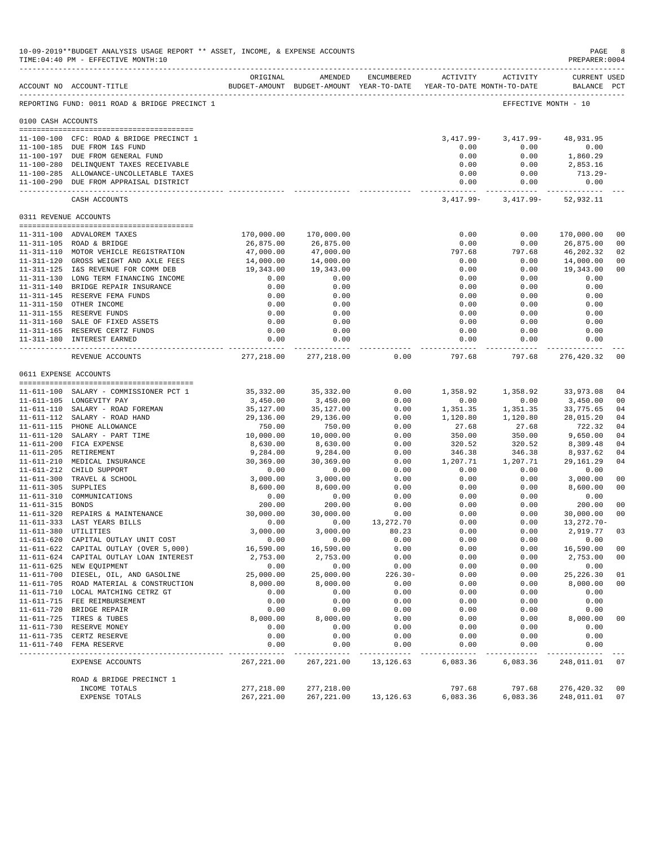|                     | 10-09-2019**BUDGET ANALYSIS USAGE REPORT ** ASSET, INCOME, & EXPENSE ACCOUNTS<br>TIME: 04:40 PM - EFFECTIVE MONTH: 10<br>--------------------------- |                        |                                                                                |              |                     |                      | $\mathop{\mathrm{PAGE}}$<br>PREPARER: 0004 | 8                    |
|---------------------|------------------------------------------------------------------------------------------------------------------------------------------------------|------------------------|--------------------------------------------------------------------------------|--------------|---------------------|----------------------|--------------------------------------------|----------------------|
|                     | ACCOUNT NO ACCOUNT-TITLE                                                                                                                             | ORIGINAL               | AMENDED<br>BUDGET-AMOUNT BUDGET-AMOUNT YEAR-TO-DATE YEAR-TO-DATE MONTH-TO-DATE | ENCUMBERED   |                     | ACTIVITY ACTIVITY    | <b>CURRENT USED</b><br>BALANCE PCT         |                      |
|                     | REPORTING FUND: 0011 ROAD & BRIDGE PRECINCT 1                                                                                                        |                        |                                                                                |              |                     | EFFECTIVE MONTH - 10 |                                            |                      |
| 0100 CASH ACCOUNTS  |                                                                                                                                                      |                        |                                                                                |              |                     |                      |                                            |                      |
|                     |                                                                                                                                                      |                        |                                                                                |              |                     |                      |                                            |                      |
|                     | 11-100-100 CFC: ROAD & BRIDGE PRECINCT 1                                                                                                             |                        |                                                                                |              | 3,417.99-           | 3,417.99-            | 48,931.95                                  |                      |
|                     | 11-100-185 DUE FROM I&S FUND                                                                                                                         |                        |                                                                                |              | 0.00                | 0.00                 | 0.00                                       |                      |
|                     | 11-100-197 DUE FROM GENERAL FUND                                                                                                                     |                        |                                                                                |              | 0.00                | 0.00                 | 1,860.29                                   |                      |
|                     | 11-100-280 DELINQUENT TAXES RECEIVABLE                                                                                                               |                        |                                                                                |              | 0.00                | 0.00                 | 2,853.16                                   |                      |
|                     | 11-100-285 ALLOWANCE-UNCOLLETABLE TAXES<br>11-100-290 DUE FROM APPRAISAL DISTRICT                                                                    |                        |                                                                                |              | 0.00<br>0.00        | 0.00<br>0.00         | 713.29-<br>0.00                            |                      |
|                     | CASH ACCOUNTS                                                                                                                                        |                        |                                                                                |              | 3,417.99-           |                      | 3, 417.99 - 52, 932.11                     |                      |
|                     | 0311 REVENUE ACCOUNTS                                                                                                                                |                        |                                                                                |              |                     |                      |                                            |                      |
|                     |                                                                                                                                                      |                        |                                                                                |              |                     |                      |                                            |                      |
|                     | 11-311-100 ADVALOREM TAXES                                                                                                                           | 170,000.00             | 170,000.00                                                                     |              | 0.00                | 0.00                 | 170,000.00                                 | 00                   |
|                     | 11-311-105 ROAD & BRIDGE                                                                                                                             | 26,875.00              | 26,875.00                                                                      |              | 0.00                | 0.00                 | 26,875.00                                  | 00                   |
|                     | 11-311-110 MOTOR VEHICLE REGISTRATION<br>11-311-120 GROSS WEIGHT AND AXLE FEES                                                                       | 47,000.00<br>14,000.00 | 47,000.00                                                                      |              | 797.68<br>0.00      | 797.68<br>0.00       | 46,202.32                                  | 02<br>0 <sub>0</sub> |
|                     | 11-311-125 I&S REVENUE FOR COMM DEB                                                                                                                  | 19,343.00              | 14,000.00<br>19,343.00                                                         |              | 0.00                | 0.00                 | 14,000.00<br>19,343.00                     | 00                   |
|                     | 11-311-130 LONG TERM FINANCING INCOME                                                                                                                | 0.00                   | 0.00                                                                           |              | 0.00                | 0.00                 | 0.00                                       |                      |
|                     | 11-311-140 BRIDGE REPAIR INSURANCE                                                                                                                   | 0.00                   | 0.00                                                                           |              | 0.00                | 0.00                 | 0.00                                       |                      |
|                     | 11-311-145 RESERVE FEMA FUNDS                                                                                                                        | 0.00                   | 0.00                                                                           |              | 0.00                | 0.00                 | 0.00                                       |                      |
|                     | 11-311-150 OTHER INCOME                                                                                                                              | 0.00                   | 0.00                                                                           |              | 0.00                | 0.00                 | 0.00                                       |                      |
|                     | 11-311-155 RESERVE FUNDS                                                                                                                             | 0.00                   | 0.00                                                                           |              | 0.00                | 0.00                 | 0.00                                       |                      |
|                     | 11-311-160 SALE OF FIXED ASSETS                                                                                                                      | 0.00                   | 0.00                                                                           |              | 0.00                | 0.00                 | 0.00                                       |                      |
|                     | 11-311-165 RESERVE CERTZ FUNDS                                                                                                                       | 0.00                   | 0.00                                                                           |              | 0.00                | 0.00                 | 0.00                                       |                      |
|                     | 11-311-180 INTEREST EARNED                                                                                                                           | 0.00                   | 0.00<br>. _ _ _ _ _ _ _ _ _ _ _                                                |              | 0.00<br>___________ | 0.00<br>----------   | 0.00                                       |                      |
|                     | REVENUE ACCOUNTS                                                                                                                                     | 277,218.00             | 277,218.00                                                                     | 0.00         | 797.68              | 797.68               | 276,420.32                                 | 00                   |
|                     | 0611 EXPENSE ACCOUNTS                                                                                                                                |                        |                                                                                |              |                     |                      |                                            |                      |
|                     | 11-611-100 SALARY - COMMISSIONER PCT 1                                                                                                               | 35,332.00              | 35,332.00                                                                      | 0.00         | 1,358.92            | 1,358.92             | 33,973.08                                  | 04                   |
|                     | 11-611-105 LONGEVITY PAY                                                                                                                             | 3,450.00               | 3,450.00                                                                       | 0.00         | 0.00                | 0.00                 | 3,450.00                                   | 00                   |
|                     | 11-611-110 SALARY - ROAD FOREMAN                                                                                                                     | 35,127.00              | 35,127.00                                                                      | 0.00         | 1,351.35            | 1,351.35             | 33,775.65                                  | 04                   |
|                     | 11-611-112 SALARY - ROAD HAND                                                                                                                        | 29,136.00              | 29,136.00                                                                      | 0.00         | 1,120.80            | 1,120.80             | 28,015.20                                  | 04                   |
|                     | 11-611-115 PHONE ALLOWANCE                                                                                                                           | 750.00                 | 750.00                                                                         | 0.00         | 27.68               | 27.68                | 722.32                                     | 04                   |
|                     | 11-611-120 SALARY - PART TIME                                                                                                                        | 10,000.00              | 10,000.00                                                                      | 0.00         | 350.00              | 350.00               | 9,650.00                                   | 04                   |
|                     | 11-611-200 FICA EXPENSE                                                                                                                              | 8,630.00               | 8,630.00                                                                       | 0.00         | 320.52              | 320.52               | 8,309.48                                   | 04                   |
|                     | 11-611-205 RETIREMENT                                                                                                                                | 9,284.00               | 9,284.00                                                                       | 0.00         | 346.38              | 346.38               | 8,937.62                                   | 04                   |
|                     | 11-611-210 MEDICAL INSURANCE                                                                                                                         | 30,369.00              | 30,369.00                                                                      | 0.00         | 1,207.71            | 1,207.71             | 29, 161.29                                 | 04                   |
|                     | 11-611-212 CHILD SUPPORT                                                                                                                             | 0.00                   | 0.00                                                                           | 0.00         | 0.00                | 0.00                 | 0.00                                       |                      |
|                     | 11-611-300 TRAVEL & SCHOOL                                                                                                                           | 3,000.00               | 3,000.00                                                                       | 0.00         | 0.00                | 0.00                 | 3,000.00                                   | 0 <sub>0</sub>       |
| 11-611-305 SUPPLIES |                                                                                                                                                      | 8,600.00               | 8,600.00                                                                       | 0.00         | 0.00                | 0.00                 | 8,600.00                                   | 00                   |
| $11 - 611 - 310$    | COMMUNICATIONS                                                                                                                                       | 0.00                   | 0.00                                                                           | 0.00         | 0.00                | 0.00                 | 0.00                                       | 0 <sub>0</sub>       |
| 11-611-315 BONDS    | 11-611-320 REPAIRS & MAINTENANCE                                                                                                                     | 200.00<br>30,000.00    | 200.00<br>30.000.00                                                            | 0.00<br>0.00 | 0.00<br>0.00        | 0.00<br>0.00         | 200.00<br>30,000.00                        | 0 <sub>0</sub>       |
|                     | 11-611-333 LAST YEARS BILLS                                                                                                                          | 0.00                   | 0.00                                                                           | 13, 272. 70  | 0.00                | 0.00                 | 13, 272. 70-                               |                      |
|                     | 11-611-380 UTILITIES                                                                                                                                 | 3,000.00               | 3,000.00                                                                       | 80.23        | 0.00                | 0.00                 | 2,919.77                                   | 03                   |
|                     | 11-611-620 CAPITAL OUTLAY UNIT COST                                                                                                                  | 0.00                   | 0.00                                                                           | 0.00         | 0.00                | 0.00                 | 0.00                                       |                      |
|                     | 11-611-622 CAPITAL OUTLAY (OVER 5,000)                                                                                                               | 16,590.00              | 16,590.00                                                                      | 0.00         | 0.00                | 0.00                 | 16,590.00                                  | 0 <sub>0</sub>       |
|                     | 11-611-624 CAPITAL OUTLAY LOAN INTEREST                                                                                                              | 2,753.00               | 2,753.00                                                                       | 0.00         | 0.00                | 0.00                 | 2,753.00                                   | 00                   |
|                     | 11-611-625 NEW EQUIPMENT                                                                                                                             | 0.00                   | 0.00                                                                           | 0.00         | 0.00                | 0.00                 | 0.00                                       |                      |
|                     | 11-611-700 DIESEL, OIL, AND GASOLINE                                                                                                                 | 25,000.00              | 25,000.00                                                                      | $226.30 -$   | 0.00                | 0.00                 | 25, 226.30                                 | 01                   |
|                     | 11-611-705 ROAD MATERIAL & CONSTRUCTION                                                                                                              | 8,000.00               | 8,000.00                                                                       | 0.00         | 0.00                | 0.00                 | 8,000.00                                   | 0 <sub>0</sub>       |
|                     | 11-611-710 LOCAL MATCHING CETRZ GT                                                                                                                   | 0.00                   | 0.00                                                                           | 0.00         | 0.00                | 0.00                 | 0.00                                       |                      |
|                     | 11-611-715 FEE REIMBURSEMENT                                                                                                                         | 0.00                   | 0.00                                                                           | 0.00         | 0.00                | 0.00                 | 0.00                                       |                      |
|                     | 11-611-720 BRIDGE REPAIR                                                                                                                             | 0.00                   | 0.00                                                                           | 0.00         | 0.00                | 0.00                 | 0.00                                       |                      |
|                     | 11-611-725 TIRES & TUBES                                                                                                                             | 8,000.00               | 8,000.00                                                                       | 0.00         | 0.00                | 0.00                 | 8,000.00                                   | 00                   |
|                     | 11-611-730 RESERVE MONEY                                                                                                                             | 0.00                   | 0.00                                                                           | 0.00         | 0.00                | 0.00                 | 0.00                                       |                      |
|                     | 11-611-735 CERTZ RESERVE                                                                                                                             | 0.00<br>0.00           | 0.00                                                                           | 0.00<br>0.00 | 0.00<br>0.00        | 0.00<br>0.00         | 0.00                                       |                      |
| $11 - 611 - 740$    | FEMA RESERVE                                                                                                                                         |                        | 0.00                                                                           |              |                     |                      | 0.00                                       |                      |
|                     | EXPENSE ACCOUNTS                                                                                                                                     | 267, 221.00            | 267, 221.00                                                                    | 13, 126.63   | 6,083.36            | 6,083.36             | 248,011.01                                 | 07                   |
|                     | ROAD & BRIDGE PRECINCT 1                                                                                                                             |                        |                                                                                |              |                     |                      |                                            |                      |
|                     | INCOME TOTALS                                                                                                                                        | 277,218.00             | 277,218.00                                                                     |              | 797.68              | 797.68               | 276,420.32                                 | 0 <sub>0</sub>       |
|                     | EXPENSE TOTALS                                                                                                                                       | 267, 221.00            | 267, 221.00                                                                    | 13, 126.63   | 6,083.36            | 6,083.36             | 248,011.01                                 | 07                   |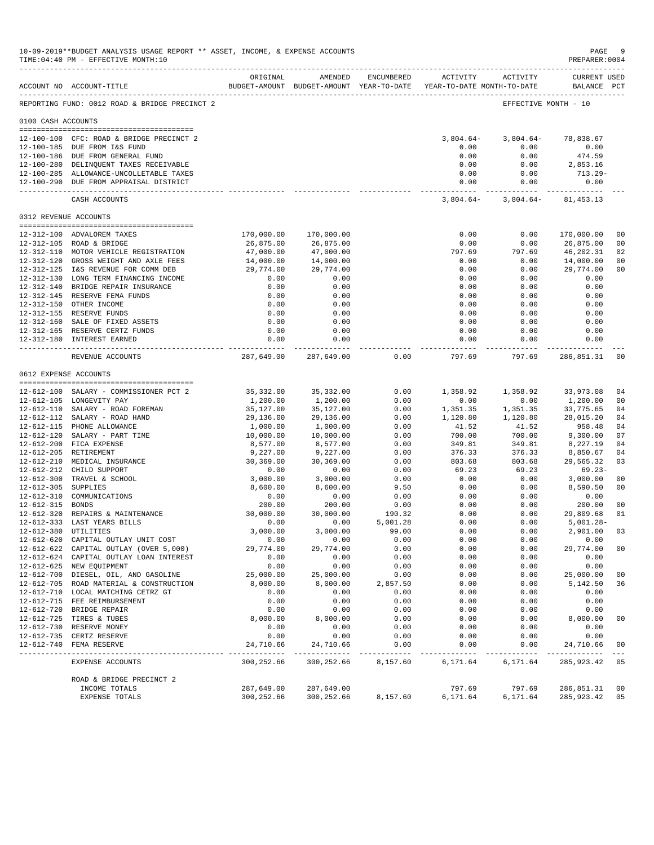|                       | 10-09-2019**BUDGET ANALYSIS USAGE REPORT ** ASSET, INCOME, & EXPENSE ACCOUNTS<br>TIME: 04:40 PM - EFFECTIVE MONTH: 10<br>--------------------------- |                         |                                                                                |               |                     |                      | $\mathbf{PAGE}$<br>PREPARER: 0004  | 9              |
|-----------------------|------------------------------------------------------------------------------------------------------------------------------------------------------|-------------------------|--------------------------------------------------------------------------------|---------------|---------------------|----------------------|------------------------------------|----------------|
|                       | ACCOUNT NO ACCOUNT-TITLE                                                                                                                             | ORIGINAL                | AMENDED<br>BUDGET-AMOUNT BUDGET-AMOUNT YEAR-TO-DATE YEAR-TO-DATE MONTH-TO-DATE | ENCUMBERED    |                     | ACTIVITY ACTIVITY    | <b>CURRENT USED</b><br>BALANCE PCT |                |
|                       | REPORTING FUND: 0012 ROAD & BRIDGE PRECINCT 2                                                                                                        |                         |                                                                                |               |                     | EFFECTIVE MONTH - 10 |                                    |                |
| 0100 CASH ACCOUNTS    |                                                                                                                                                      |                         |                                                                                |               |                     |                      |                                    |                |
|                       |                                                                                                                                                      |                         |                                                                                |               |                     |                      |                                    |                |
|                       | 12-100-100 CFC: ROAD & BRIDGE PRECINCT 2                                                                                                             |                         |                                                                                |               | $3,804.64-$         | $3,804.64-$          | 78,838.67                          |                |
|                       | 12-100-185 DUE FROM I&S FUND                                                                                                                         |                         |                                                                                |               | 0.00                | 0.00                 | 0.00                               |                |
|                       | 12-100-186 DUE FROM GENERAL FUND                                                                                                                     |                         |                                                                                |               | 0.00                | 0.00                 | 474.59                             |                |
|                       | 12-100-280 DELINQUENT TAXES RECEIVABLE                                                                                                               |                         |                                                                                |               | 0.00                | 0.00                 | 2,853.16                           |                |
|                       | 12-100-285 ALLOWANCE-UNCOLLETABLE TAXES<br>12-100-290 DUE FROM APPRAISAL DISTRICT                                                                    |                         |                                                                                |               | 0.00<br>0.00        | 0.00<br>0.00         | 713.29-<br>0.00                    |                |
|                       | CASH ACCOUNTS                                                                                                                                        |                         |                                                                                |               | $3,804.64-$         |                      | $3,804.64 - 81,453.13$             |                |
| 0312 REVENUE ACCOUNTS |                                                                                                                                                      |                         |                                                                                |               |                     |                      |                                    |                |
|                       |                                                                                                                                                      |                         |                                                                                |               |                     |                      |                                    |                |
|                       | 12-312-100 ADVALOREM TAXES                                                                                                                           | 170,000.00              | 170,000.00                                                                     |               | 0.00                | 0.00                 | 170,000.00                         | 0 <sub>0</sub> |
|                       | 12-312-105 ROAD & BRIDGE                                                                                                                             | 26,875.00               | 26,875.00                                                                      |               | 0.00<br>797.69      | 0.00                 | 26,875.00                          | 00<br>02       |
|                       | 12-312-110 MOTOR VEHICLE REGISTRATION<br>12-312-120 GROSS WEIGHT AND AXLE FEES                                                                       | 47,000.00<br>14,000.00  | 47,000.00<br>14,000.00                                                         |               | 0.00                | 797.69<br>0.00       | 46,202.31<br>14,000.00             | 0 <sub>0</sub> |
|                       | 12-312-125 I&S REVENUE FOR COMM DEB                                                                                                                  | 29,774.00               | 29,774.00                                                                      |               | 0.00                | 0.00                 | 29,774.00                          | 00             |
|                       | 12-312-130 LONG TERM FINANCING INCOME                                                                                                                | 0.00                    | 0.00                                                                           |               | 0.00                | 0.00                 | 0.00                               |                |
|                       | 12-312-140 BRIDGE REPAIR INSURANCE                                                                                                                   | 0.00                    | 0.00                                                                           |               | 0.00                | 0.00                 | 0.00                               |                |
|                       | 12-312-145 RESERVE FEMA FUNDS                                                                                                                        | 0.00                    | 0.00                                                                           |               | 0.00                | 0.00                 | 0.00                               |                |
|                       | 12-312-150 OTHER INCOME                                                                                                                              | 0.00                    | 0.00                                                                           |               | 0.00                | 0.00                 | 0.00                               |                |
|                       | 12-312-155 RESERVE FUNDS                                                                                                                             | 0.00                    | 0.00                                                                           |               | 0.00                | 0.00                 | 0.00                               |                |
|                       | 12-312-160 SALE OF FIXED ASSETS                                                                                                                      | 0.00                    | 0.00                                                                           |               | 0.00                | 0.00                 | 0.00                               |                |
|                       | 12-312-165 RESERVE CERTZ FUNDS                                                                                                                       | 0.00                    | 0.00                                                                           |               | 0.00                | 0.00                 | 0.00                               |                |
|                       | 12-312-180 INTEREST EARNED                                                                                                                           | 0.00                    | 0.00<br>-------------                                                          |               | 0.00<br>___________ | 0.00<br>----------   | 0.00<br>-----------                |                |
|                       | REVENUE ACCOUNTS                                                                                                                                     | 287,649.00              | 287,649.00                                                                     | 0.00          | 797.69              | 797.69               | 286,851.31                         | 00             |
| 0612 EXPENSE ACCOUNTS |                                                                                                                                                      |                         |                                                                                |               |                     |                      |                                    |                |
|                       | 12-612-100 SALARY - COMMISSIONER PCT 2                                                                                                               | 35,332.00               |                                                                                | 0.00          |                     | 1,358.92             |                                    |                |
|                       | 12-612-105 LONGEVITY PAY                                                                                                                             | 1,200.00                | 35,332.00<br>1,200.00                                                          | 0.00          | 1,358.92<br>0.00    | 0.00                 | 33,973.08<br>1,200.00              | 04<br>00       |
|                       | 12-612-110 SALARY - ROAD FOREMAN                                                                                                                     | 35,127.00               | 35,127.00                                                                      | 0.00          | 1,351.35            | 1,351.35             | 33,775.65                          | 04             |
|                       | 12-612-112 SALARY - ROAD HAND                                                                                                                        | 29,136.00               | 29,136.00                                                                      | 0.00          | 1,120.80            | 1,120.80             | 28,015.20                          | 04             |
|                       | 12-612-115 PHONE ALLOWANCE                                                                                                                           | 1,000.00                | 1,000.00                                                                       | 0.00          | 41.52               | 41.52                | 958.48                             | 04             |
|                       | 12-612-120 SALARY - PART TIME                                                                                                                        | 10,000.00               | 10,000.00                                                                      | 0.00          | 700.00              | 700.00               | 9,300.00                           | 07             |
|                       | 12-612-200 FICA EXPENSE                                                                                                                              | 8,577.00                | 8,577.00                                                                       | 0.00          | 349.81              | 349.81               | 8,227.19                           | 04             |
|                       | 12-612-205 RETIREMENT                                                                                                                                | 9,227.00                | 9,227.00                                                                       | 0.00          | 376.33              | 376.33               | 8,850.67                           | 04             |
|                       | 12-612-210 MEDICAL INSURANCE                                                                                                                         | 30,369.00               | 30,369.00                                                                      | 0.00          | 803.68              | 803.68               | 29,565.32                          | 03             |
|                       | 12-612-212 CHILD SUPPORT                                                                                                                             | 0.00                    | 0.00                                                                           | 0.00          | 69.23               | 69.23                | $69.23 -$                          |                |
|                       | 12-612-300 TRAVEL & SCHOOL                                                                                                                           | 3,000.00                | 3,000.00                                                                       | 0.00          | 0.00                | 0.00                 | 3,000.00                           | 00             |
| 12-612-305 SUPPLIES   |                                                                                                                                                      | 8,600.00                | 8,600.00                                                                       | 9.50          | 0.00                | 0.00                 | 8,590.50                           | 00             |
| 12-612-310            | COMMUNICATIONS                                                                                                                                       | 0.00                    | 0.00                                                                           | 0.00          | 0.00                | 0.00                 | 0.00                               |                |
| 12-612-315 BONDS      |                                                                                                                                                      | 200.00                  | 200.00                                                                         | 0.00          | 0.00                | 0.00                 | 200.00                             | 00             |
|                       | 12-612-320 REPAIRS & MAINTENANCE                                                                                                                     | 30,000.00               | 30,000.00                                                                      | 190.32        | 0.00                | 0.00                 | 29,809.68                          | 01             |
|                       | 12-612-333 LAST YEARS BILLS                                                                                                                          | 0.00                    | 0.00                                                                           | 5,001.28      | 0.00                | 0.00                 | $5,001.28 -$                       |                |
|                       | 12-612-380 UTILITIES<br>12-612-620 CAPITAL OUTLAY UNIT COST                                                                                          | 3,000.00<br>0.00        | 3,000.00<br>0.00                                                               | 99.00<br>0.00 | 0.00<br>0.00        | 0.00<br>0.00         | 2,901.00<br>0.00                   | 03             |
|                       | 12-612-622 CAPITAL OUTLAY (OVER 5,000)                                                                                                               | 29,774.00               | 29,774.00                                                                      | 0.00          | 0.00                | 0.00                 | 29,774.00                          | 0 <sub>0</sub> |
|                       | 12-612-624 CAPITAL OUTLAY LOAN INTEREST                                                                                                              | 0.00                    | 0.00                                                                           | 0.00          | 0.00                | 0.00                 | 0.00                               |                |
|                       | 12-612-625 NEW EQUIPMENT                                                                                                                             | 0.00                    | 0.00                                                                           | 0.00          | 0.00                | 0.00                 | 0.00                               |                |
|                       | 12-612-700 DIESEL, OIL, AND GASOLINE                                                                                                                 | 25,000.00               | 25,000.00                                                                      | 0.00          | 0.00                | 0.00                 | 25,000.00                          | 00             |
|                       | 12-612-705 ROAD MATERIAL & CONSTRUCTION                                                                                                              | 8,000.00                | 8,000.00                                                                       | 2,857.50      | 0.00                | 0.00                 | 5,142.50                           | 36             |
|                       | 12-612-710 LOCAL MATCHING CETRZ GT                                                                                                                   | 0.00                    | 0.00                                                                           | 0.00          | 0.00                | 0.00                 | 0.00                               |                |
|                       | 12-612-715 FEE REIMBURSEMENT                                                                                                                         | 0.00                    | 0.00                                                                           | 0.00          | 0.00                | 0.00                 | 0.00                               |                |
|                       | 12-612-720 BRIDGE REPAIR                                                                                                                             | 0.00                    | 0.00                                                                           | 0.00          | 0.00                | 0.00                 | 0.00                               |                |
|                       | 12-612-725 TIRES & TUBES                                                                                                                             | 8,000.00                | 8,000.00                                                                       | 0.00          | 0.00                | 0.00                 | 8,000.00                           | 00             |
|                       | 12-612-730 RESERVE MONEY                                                                                                                             | 0.00                    | 0.00                                                                           | 0.00          | 0.00                | 0.00                 | 0.00                               |                |
|                       | 12-612-735 CERTZ RESERVE                                                                                                                             | 0.00                    | 0.00                                                                           | 0.00          | 0.00                | 0.00                 | 0.00                               |                |
|                       | 12-612-740 FEMA RESERVE                                                                                                                              | 24,710.66<br>---------- | 24,710.66<br>.                                                                 | 0.00          | 0.00                | 0.00                 | 24,710.66                          | 00<br>$---$    |
|                       | <b>EXPENSE ACCOUNTS</b>                                                                                                                              | 300,252.66              | 300,252.66                                                                     | 8,157.60      | 6,171.64            | 6,171.64             | 285, 923.42                        | 05             |
|                       | ROAD & BRIDGE PRECINCT 2                                                                                                                             |                         |                                                                                |               |                     |                      |                                    |                |
|                       | INCOME TOTALS                                                                                                                                        | 287,649.00              | 287,649.00                                                                     |               | 797.69              | 797.69               | 286,851.31                         | 00             |
|                       | EXPENSE TOTALS                                                                                                                                       | 300,252.66              | 300,252.66                                                                     | 8,157.60      | 6,171.64            | 6,171.64             | 285,923.42                         | 05             |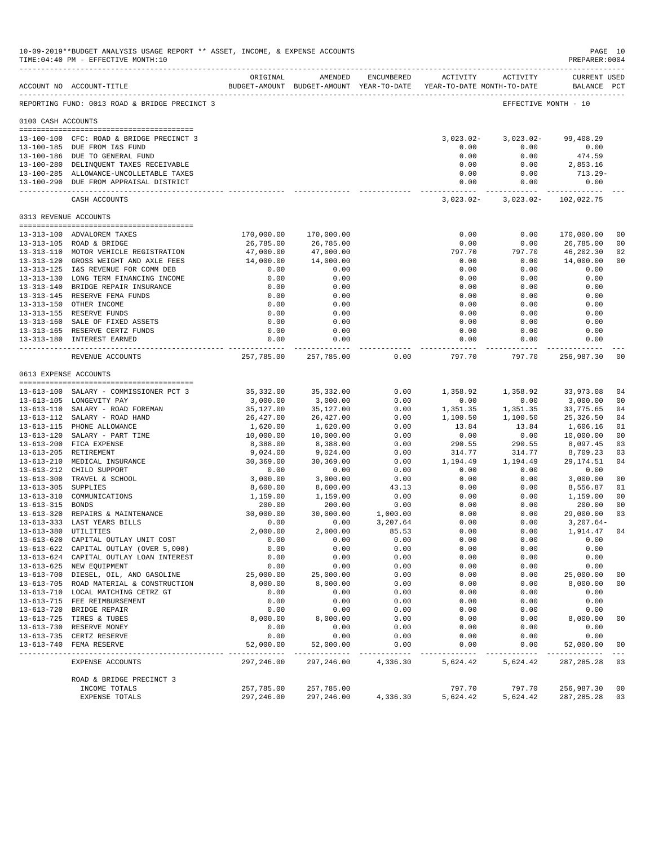|                       | 10-09-2019**BUDGET ANALYSIS USAGE REPORT ** ASSET, INCOME, & EXPENSE ACCOUNTS<br>TIME: 04:40 PM - EFFECTIVE MONTH: 10 |                        |                                                                                |                   |                     |                      | PAGE 10<br>PREPARER: 0004          |                      |
|-----------------------|-----------------------------------------------------------------------------------------------------------------------|------------------------|--------------------------------------------------------------------------------|-------------------|---------------------|----------------------|------------------------------------|----------------------|
|                       | ----------------------------<br>ACCOUNT NO ACCOUNT-TITLE                                                              | ORIGINAL               | AMENDED<br>BUDGET-AMOUNT BUDGET-AMOUNT YEAR-TO-DATE YEAR-TO-DATE MONTH-TO-DATE | <b>ENCUMBERED</b> |                     | ACTIVITY ACTIVITY    | <b>CURRENT USED</b><br>BALANCE PCT |                      |
|                       | REPORTING FUND: 0013 ROAD & BRIDGE PRECINCT 3                                                                         |                        |                                                                                |                   |                     | EFFECTIVE MONTH - 10 |                                    |                      |
| 0100 CASH ACCOUNTS    |                                                                                                                       |                        |                                                                                |                   |                     |                      |                                    |                      |
|                       |                                                                                                                       |                        |                                                                                |                   |                     |                      |                                    |                      |
|                       | 13-100-100 CFC: ROAD & BRIDGE PRECINCT 3                                                                              |                        |                                                                                |                   | $3,023.02-$         | $3,023.02 -$         | 99,408.29                          |                      |
|                       | 13-100-185 DUE FROM I&S FUND                                                                                          |                        |                                                                                |                   | 0.00                | 0.00                 | 0.00                               |                      |
|                       | 13-100-186 DUE TO GENERAL FUND                                                                                        |                        |                                                                                |                   | 0.00                | 0.00                 | 474.59                             |                      |
|                       | 13-100-280 DELINQUENT TAXES RECEIVABLE                                                                                |                        |                                                                                |                   | 0.00                | 0.00                 | 2,853.16                           |                      |
|                       | 13-100-285 ALLOWANCE-UNCOLLETABLE TAXES<br>13-100-290 DUE FROM APPRAISAL DISTRICT                                     |                        |                                                                                |                   | 0.00<br>0.00        | 0.00<br>0.00         | 713.29-<br>0.00                    |                      |
|                       | CASH ACCOUNTS                                                                                                         |                        |                                                                                |                   | $3,023.02-$         |                      | 3,023.02- 102,022.75               |                      |
| 0313 REVENUE ACCOUNTS |                                                                                                                       |                        |                                                                                |                   |                     |                      |                                    |                      |
|                       | 13-313-100 ADVALOREM TAXES                                                                                            |                        |                                                                                |                   |                     |                      |                                    |                      |
|                       | 13-313-105 ROAD & BRIDGE                                                                                              | 170,000.00             | 170,000.00<br>26,785.00                                                        |                   | 0.00<br>0.00        | 0.00                 | 170,000.00                         | 0 <sub>0</sub><br>00 |
|                       | 13-313-110 MOTOR VEHICLE REGISTRATION                                                                                 | 26,785.00<br>47,000.00 | 47,000.00                                                                      |                   | 797.70              | 0.00<br>797.70       | 26,785.00<br>46,202.30             | 02                   |
|                       | 13-313-120 GROSS WEIGHT AND AXLE FEES                                                                                 | 14,000.00              | 14,000.00                                                                      |                   | 0.00                | 0.00                 | 14,000.00                          | 00                   |
|                       | 13-313-125 I&S REVENUE FOR COMM DEB                                                                                   | 0.00                   | 0.00                                                                           |                   | 0.00                | 0.00                 | 0.00                               |                      |
|                       | 13-313-130 LONG TERM FINANCING INCOME                                                                                 | 0.00                   | 0.00                                                                           |                   | 0.00                | 0.00                 | 0.00                               |                      |
|                       | 13-313-140 BRIDGE REPAIR INSURANCE                                                                                    | 0.00                   | 0.00                                                                           |                   | 0.00                | 0.00                 | 0.00                               |                      |
|                       | 13-313-145 RESERVE FEMA FUNDS                                                                                         | 0.00                   | 0.00                                                                           |                   | 0.00                | 0.00                 | 0.00                               |                      |
|                       | 13-313-150 OTHER INCOME                                                                                               | 0.00                   | 0.00                                                                           |                   | 0.00                | 0.00                 | 0.00                               |                      |
|                       | 13-313-155 RESERVE FUNDS                                                                                              | 0.00                   | 0.00                                                                           |                   | 0.00                | 0.00                 | 0.00                               |                      |
|                       | 13-313-160 SALE OF FIXED ASSETS                                                                                       | 0.00                   | 0.00                                                                           |                   | 0.00                | 0.00                 | 0.00                               |                      |
|                       | 13-313-165 RESERVE CERTZ FUNDS                                                                                        | 0.00                   | 0.00                                                                           |                   | 0.00                | 0.00                 | 0.00                               |                      |
|                       | 13-313-180 INTEREST EARNED                                                                                            | 0.00                   | 0.00<br>. <u>.</u> .                                                           |                   | 0.00<br>----------- | 0.00<br>.            | 0.00<br>-----------                |                      |
|                       | REVENUE ACCOUNTS                                                                                                      | 257,785.00             | 257,785.00                                                                     | 0.00              | 797.70              | 797.70               | 256,987.30                         | 00                   |
| 0613 EXPENSE ACCOUNTS |                                                                                                                       |                        |                                                                                |                   |                     |                      |                                    |                      |
|                       |                                                                                                                       | 35,332.00              |                                                                                | 0.00              |                     |                      |                                    |                      |
|                       | 13-613-100 SALARY - COMMISSIONER PCT 3<br>13-613-105 LONGEVITY PAY                                                    | 3,000.00               | 35,332.00<br>3,000.00                                                          | 0.00              | 1,358.92<br>0.00    | 1,358.92<br>0.00     | 33,973.08<br>3,000.00              | 04<br>00             |
|                       | 13-613-110 SALARY - ROAD FOREMAN                                                                                      | 35,127.00              | 35,127.00                                                                      | 0.00              | 1,351.35            | 1,351.35             | 33,775.65                          | 04                   |
|                       | 13-613-112 SALARY - ROAD HAND                                                                                         | 26,427.00              | 26,427.00                                                                      | 0.00              | 1,100.50            | 1,100.50             | 25,326.50                          | 04                   |
|                       | 13-613-115 PHONE ALLOWANCE                                                                                            | 1,620.00               | 1,620.00                                                                       | 0.00              | 13.84               | 13.84                | 1,606.16                           | 01                   |
|                       | 13-613-120 SALARY - PART TIME                                                                                         | 10,000.00              | 10,000.00                                                                      | 0.00              | 0.00                | 0.00                 | 10,000.00                          | 00                   |
|                       | 13-613-200 FICA EXPENSE                                                                                               | 8,388.00               | 8,388.00                                                                       | 0.00              | 290.55              | 290.55               | 8,097.45                           | 03                   |
|                       | 13-613-205 RETIREMENT                                                                                                 | 9,024.00               | 9,024.00                                                                       | 0.00              | 314.77              | 314.77               | 8,709.23                           | 03                   |
|                       | 13-613-210 MEDICAL INSURANCE                                                                                          | 30,369.00              | 30,369.00                                                                      | 0.00              | 1,194.49            | 1,194.49             | 29,174.51                          | 04                   |
|                       | 13-613-212 CHILD SUPPORT                                                                                              | 0.00                   | 0.00                                                                           | 0.00              | 0.00                | 0.00                 | 0.00                               |                      |
|                       | 13-613-300 TRAVEL & SCHOOL                                                                                            | 3,000.00               | 3,000.00                                                                       | 0.00              | 0.00                | 0.00                 | 3,000.00                           | 0 <sub>0</sub>       |
| 13-613-305 SUPPLIES   |                                                                                                                       | 8,600.00               | 8,600.00                                                                       | 43.13             | 0.00                | 0.00                 | 8,556.87                           | 01                   |
| 13-613-310            | COMMUNICATIONS                                                                                                        | 1,159.00               | 1,159.00                                                                       | 0.00              | 0.00                | 0.00                 | 1,159.00                           | 00                   |
| 13-613-315 BONDS      |                                                                                                                       | 200.00                 | 200.00                                                                         | 0.00              | 0.00                | 0.00                 | 200.00                             | 00                   |
|                       | 13-613-320 REPAIRS & MAINTENANCE                                                                                      | 30,000.00              | 30,000.00                                                                      | 1,000.00          | 0.00                | 0.00                 | 29,000.00                          | 03                   |
|                       | 13-613-333 LAST YEARS BILLS                                                                                           | 0.00                   | 0.00                                                                           | 3,207.64          | 0.00                | 0.00                 | $3, 207.64 -$                      |                      |
| 13-613-380 UTILITIES  |                                                                                                                       | 2,000.00               | 2,000.00                                                                       | 85.53<br>0.00     | 0.00<br>0.00        | 0.00                 | 1,914.47                           | 04                   |
|                       | 13-613-620 CAPITAL OUTLAY UNIT COST<br>13-613-622 CAPITAL OUTLAY (OVER 5,000)                                         | 0.00<br>0.00           | 0.00<br>0.00                                                                   | 0.00              | 0.00                | 0.00<br>0.00         | 0.00<br>0.00                       |                      |
|                       | 13-613-624 CAPITAL OUTLAY LOAN INTEREST                                                                               | 0.00                   | 0.00                                                                           | 0.00              | 0.00                | 0.00                 | 0.00                               |                      |
|                       | 13-613-625 NEW EQUIPMENT                                                                                              | 0.00                   | 0.00                                                                           | 0.00              | 0.00                | 0.00                 | 0.00                               |                      |
|                       | 13-613-700 DIESEL, OIL, AND GASOLINE                                                                                  | 25,000.00              | 25,000.00                                                                      | 0.00              | 0.00                | 0.00                 | 25,000.00                          | 00                   |
|                       | 13-613-705 ROAD MATERIAL & CONSTRUCTION                                                                               | 8,000.00               | 8,000.00                                                                       | 0.00              | 0.00                | 0.00                 | 8,000.00                           | 00                   |
|                       | 13-613-710 LOCAL MATCHING CETRZ GT                                                                                    | 0.00                   | 0.00                                                                           | 0.00              | 0.00                | 0.00                 | 0.00                               |                      |
|                       | 13-613-715 FEE REIMBURSEMENT                                                                                          | 0.00                   | 0.00                                                                           | 0.00              | 0.00                | 0.00                 | 0.00                               |                      |
|                       | 13-613-720 BRIDGE REPAIR                                                                                              | 0.00                   | 0.00                                                                           | 0.00              | 0.00                | 0.00                 | 0.00                               |                      |
|                       | 13-613-725 TIRES & TUBES                                                                                              | 8,000.00               | 8,000.00                                                                       | 0.00              | 0.00                | 0.00                 | 8,000.00                           | 00                   |
|                       | 13-613-730 RESERVE MONEY                                                                                              | 0.00                   | 0.00                                                                           | 0.00              | 0.00                | 0.00                 | 0.00                               |                      |
|                       | 13-613-735 CERTZ RESERVE                                                                                              | 0.00                   | 0.00                                                                           | 0.00              | 0.00                | 0.00                 | 0.00                               |                      |
| $13 - 613 - 740$      | FEMA RESERVE                                                                                                          | 52,000.00              | 52,000.00                                                                      | 0.00              | 0.00                | 0.00                 | 52,000.00                          | 00                   |
|                       | <b>EXPENSE ACCOUNTS</b>                                                                                               | 297,246.00             | 297,246.00                                                                     | 4,336.30          | 5,624.42            | 5,624.42             | 287, 285. 28                       | 03                   |
|                       | ROAD & BRIDGE PRECINCT 3                                                                                              |                        |                                                                                |                   |                     |                      |                                    |                      |
|                       | INCOME TOTALS                                                                                                         | 257,785.00             | 257,785.00                                                                     |                   | 797.70              | 797.70               | 256,987.30                         | 00                   |
|                       | EXPENSE TOTALS                                                                                                        | 297,246.00             | 297,246.00                                                                     | 4,336.30          | 5,624.42            | 5,624.42             | 287, 285. 28                       | 03                   |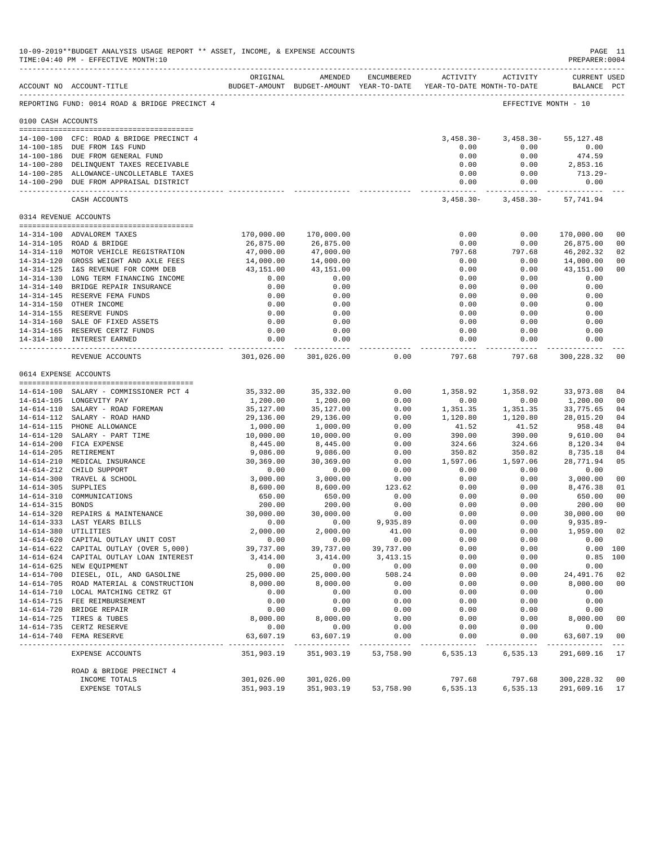|                       | 10-09-2019**BUDGET ANALYSIS USAGE REPORT ** ASSET, INCOME, & EXPENSE ACCOUNTS<br>TIME: 04:40 PM - EFFECTIVE MONTH: 10<br>------------------------------ |                          |                            |                      |                                                                     |                                 | PAGE 11<br>PREPARER: 0004       |                |
|-----------------------|---------------------------------------------------------------------------------------------------------------------------------------------------------|--------------------------|----------------------------|----------------------|---------------------------------------------------------------------|---------------------------------|---------------------------------|----------------|
|                       | ACCOUNT NO ACCOUNT-TITLE                                                                                                                                | ORIGINAL                 | AMENDED                    | ENCUMBERED           | BUDGET-AMOUNT BUDGET-AMOUNT YEAR-TO-DATE YEAR-TO-DATE MONTH-TO-DATE | ACTIVITY ACTIVITY               | CURRENT USED<br>BALANCE PCT     |                |
|                       | REPORTING FUND: 0014 ROAD & BRIDGE PRECINCT 4                                                                                                           |                          |                            |                      |                                                                     | EFFECTIVE MONTH - 10            |                                 |                |
| 0100 CASH ACCOUNTS    |                                                                                                                                                         |                          |                            |                      |                                                                     |                                 |                                 |                |
|                       |                                                                                                                                                         |                          |                            |                      |                                                                     |                                 |                                 |                |
|                       | 14-100-100 CFC: ROAD & BRIDGE PRECINCT 4                                                                                                                |                          |                            |                      | $3,458.30-$                                                         | $3,458.30-$                     | 55,127.48                       |                |
|                       | 14-100-185 DUE FROM I&S FUND<br>14-100-186 DUE FROM GENERAL FUND                                                                                        |                          |                            |                      | 0.00<br>0.00                                                        | 0.00                            | 0.00                            |                |
|                       | 14-100-280 DELINQUENT TAXES RECEIVABLE                                                                                                                  |                          |                            |                      | 0.00                                                                | 0.00<br>0.00                    | 474.59<br>2,853.16              |                |
|                       | 14-100-285 ALLOWANCE-UNCOLLETABLE TAXES                                                                                                                 |                          |                            |                      | 0.00                                                                | 0.00                            | 713.29-                         |                |
|                       | 14-100-290 DUE FROM APPRAISAL DISTRICT                                                                                                                  |                          |                            |                      | 0.00                                                                | 0.00                            | 0.00                            |                |
|                       | CASH ACCOUNTS                                                                                                                                           |                          |                            |                      | .<br>3,458.30-                                                      | ------------                    | $3,458.30 - 57,741.94$          |                |
| 0314 REVENUE ACCOUNTS |                                                                                                                                                         |                          |                            |                      |                                                                     |                                 |                                 |                |
|                       | 14-314-100 ADVALOREM TAXES                                                                                                                              | 170,000.00               | 170,000.00                 |                      | 0.00                                                                | 0.00                            | 170,000.00                      | 0 <sub>0</sub> |
|                       | 14-314-105 ROAD & BRIDGE                                                                                                                                | 26,875.00                | 26,875.00                  |                      | 0.00                                                                | 0.00                            | 26,875.00                       | 00             |
|                       | 14-314-110 MOTOR VEHICLE REGISTRATION                                                                                                                   | 47,000.00                | 47,000.00                  |                      | 797.68                                                              | 797.68                          | 46,202.32                       | 02             |
|                       | 14-314-120 GROSS WEIGHT AND AXLE FEES                                                                                                                   | 14,000.00                | 14,000.00                  |                      | 0.00                                                                | 0.00                            | 14,000.00                       | 00             |
|                       | 14-314-125 I&S REVENUE FOR COMM DEB                                                                                                                     | 43,151.00                | 43,151.00                  |                      | 0.00                                                                | 0.00                            | 43,151.00                       | 0 <sub>0</sub> |
|                       | 14-314-130 LONG TERM FINANCING INCOME                                                                                                                   | 0.00                     | 0.00                       |                      | 0.00                                                                | 0.00                            | 0.00                            |                |
|                       | 14-314-140 BRIDGE REPAIR INSURANCE                                                                                                                      | 0.00                     | 0.00                       |                      | 0.00                                                                | 0.00                            | 0.00                            |                |
|                       | 14-314-145 RESERVE FEMA FUNDS                                                                                                                           | 0.00                     | 0.00                       |                      | 0.00                                                                | 0.00                            | 0.00                            |                |
|                       | 14-314-150 OTHER INCOME                                                                                                                                 | 0.00                     | 0.00                       |                      | 0.00                                                                | 0.00                            | 0.00                            |                |
|                       | 14-314-155 RESERVE FUNDS                                                                                                                                | 0.00                     | 0.00                       |                      | 0.00                                                                | 0.00                            | 0.00                            |                |
|                       | 14-314-160 SALE OF FIXED ASSETS                                                                                                                         | 0.00                     | 0.00                       |                      | 0.00                                                                | 0.00                            | 0.00                            |                |
|                       | 14-314-165 RESERVE CERTZ FUNDS                                                                                                                          | 0.00                     | 0.00                       |                      | 0.00                                                                | 0.00                            | 0.00                            |                |
|                       | 14-314-180 INTEREST EARNED                                                                                                                              | 0.00                     | 0.00                       |                      | 0.00                                                                | 0.00                            | 0.00<br>. _ _ _ _ _ _ _ _ _ _ _ |                |
|                       | REVENUE ACCOUNTS                                                                                                                                        | 301,026.00               | ------------<br>301,026.00 | 0.00                 | ------------<br>797.68                                              | . _ _ _ _ _ _ _ _ _ _<br>797.68 | 300,228.32                      | 00             |
| 0614 EXPENSE ACCOUNTS |                                                                                                                                                         |                          |                            |                      |                                                                     |                                 |                                 |                |
|                       | 14-614-100 SALARY - COMMISSIONER PCT 4                                                                                                                  | 35,332.00                | 35,332.00                  | 0.00                 | 1,358.92                                                            | 1,358.92                        | 33,973.08                       | 04             |
|                       | 14-614-105 LONGEVITY PAY                                                                                                                                | 1,200.00                 | 1,200.00                   | 0.00                 | 0.00                                                                | 0.00                            | 1,200.00                        | 0 <sup>0</sup> |
|                       | 14-614-110 SALARY - ROAD FOREMAN                                                                                                                        | 35,127.00                | 35,127.00                  | 0.00                 | 1,351.35                                                            | 1,351.35                        | 33,775.65                       | 04             |
|                       | 14-614-112 SALARY - ROAD HAND                                                                                                                           | 29,136.00                | 29,136.00                  | 0.00                 | 1,120.80                                                            | 1,120.80                        | 28,015.20                       | 04             |
|                       | 14-614-115 PHONE ALLOWANCE                                                                                                                              | 1,000.00                 | 1,000.00                   | 0.00                 | 41.52                                                               | 41.52                           | 958.48                          | 04             |
|                       | 14-614-120 SALARY - PART TIME                                                                                                                           | 10,000.00                | 10,000.00                  | 0.00                 | 390.00                                                              | 390.00                          | 9,610.00                        | 04             |
|                       | 14-614-200 FICA EXPENSE                                                                                                                                 | 8,445.00                 | 8,445.00                   | 0.00                 | 324.66                                                              | 324.66                          | 8,120.34                        | 04             |
|                       | 14-614-205 RETIREMENT                                                                                                                                   | 9,086.00                 | 9,086.00                   | 0.00                 | 350.82                                                              | 350.82                          | 8,735.18                        | 04             |
|                       | 14-614-210 MEDICAL INSURANCE                                                                                                                            | 30,369.00                | 30,369.00                  | 0.00                 | 1,597.06                                                            | 1,597.06                        | 28,771.94                       | 05             |
|                       | 14-614-212 CHILD SUPPORT                                                                                                                                | 0.00                     | 0.00                       | 0.00                 | 0.00                                                                | 0.00                            | 0.00                            |                |
|                       | 14-614-300 TRAVEL & SCHOOL                                                                                                                              | 3,000.00                 | 3,000.00                   | 0.00                 | 0.00                                                                | 0.00                            | 3,000.00                        | 00             |
| 14-614-305 SUPPLIES   |                                                                                                                                                         | 8,600.00                 | 8,600.00                   | 123.62               | 0.00                                                                | 0.00                            | 8,476.38                        | 01             |
|                       | 14-614-310 COMMUNICATIONS                                                                                                                               | 650.00                   | 650.00                     | 0.00                 | 0.00                                                                | 0.00                            | 650.00                          | 00             |
| 14-614-315 BONDS      |                                                                                                                                                         | 200.00                   | 200.00                     | 0.00                 | 0.00                                                                | 0.00                            | 200.00                          | 0 <sub>0</sub> |
|                       | 14-614-320 REPAIRS & MAINTENANCE                                                                                                                        | 30,000.00                | 30,000.00                  | 0.00                 | 0.00                                                                | 0.00                            | 30,000.00                       | 0 <sub>0</sub> |
|                       | 14-614-333 LAST YEARS BILLS                                                                                                                             | 0.00                     | 0.00                       | 9,935.89             | 0.00                                                                | 0.00                            | $9,935.89 -$                    |                |
|                       | 14-614-380 UTILITIES                                                                                                                                    | 2,000.00                 | 2,000.00                   | 41.00                | 0.00                                                                | 0.00                            | 1,959.00 02                     |                |
|                       | 14-614-620 CAPITAL OUTLAY UNIT COST                                                                                                                     | 0.00                     | 0.00                       | 0.00                 | 0.00                                                                | 0.00                            | 0.00                            |                |
|                       | 14-614-622 CAPITAL OUTLAY (OVER 5,000)                                                                                                                  | 39,737.00                | 39,737.00                  | 39,737.00            | 0.00                                                                | 0.00                            | 0.00 100                        |                |
|                       | 14-614-624 CAPITAL OUTLAY LOAN INTEREST                                                                                                                 | 3,414.00                 | 3,414.00                   | 3,413.15             | 0.00                                                                | 0.00                            | $0.85$ 100                      |                |
|                       | 14-614-625 NEW EQUIPMENT                                                                                                                                | 0.00                     | 0.00                       | 0.00                 | 0.00                                                                | 0.00                            | 0.00                            |                |
|                       | 14-614-700 DIESEL, OIL, AND GASOLINE                                                                                                                    | 25,000.00                | 25,000.00                  | 508.24               | 0.00                                                                | 0.00                            | 24,491.76                       | 02             |
|                       | 14-614-705 ROAD MATERIAL & CONSTRUCTION                                                                                                                 | 8,000.00                 | 8,000.00                   | 0.00                 | 0.00                                                                | 0.00                            | 8,000.00                        | 0 <sub>0</sub> |
|                       | 14-614-710 LOCAL MATCHING CETRZ GT                                                                                                                      | 0.00                     | 0.00                       | 0.00                 | 0.00                                                                | 0.00                            | 0.00                            |                |
|                       | 14-614-715 FEE REIMBURSEMENT                                                                                                                            | 0.00                     | 0.00                       | 0.00                 | 0.00                                                                | 0.00                            | 0.00                            |                |
|                       | 14-614-720 BRIDGE REPAIR                                                                                                                                | 0.00                     | 0.00                       | 0.00                 | 0.00                                                                | 0.00                            | 0.00                            |                |
|                       | 14-614-725 TIRES & TUBES                                                                                                                                | 8,000.00                 | 8,000.00                   | 0.00                 | 0.00                                                                | 0.00                            | 8,000.00                        | 0 <sub>0</sub> |
|                       | 14-614-735 CERTZ RESERVE                                                                                                                                | 0.00                     | 0.00                       | 0.00                 | 0.00                                                                | 0.00                            | 0.00                            |                |
|                       | 14-614-740 FEMA RESERVE                                                                                                                                 | 63,607.19<br>----------- | 63,607.19<br>------------- | 0.00<br>------------ | 0.00<br>-----------                                                 | 0.00<br>----------              | 63,607.19<br>-------------      | 00             |
|                       | EXPENSE ACCOUNTS                                                                                                                                        | 351,903.19               | 351,903.19                 | 53,758.90            | 6,535.13                                                            | 6,535.13                        | 291,609.16 17                   |                |
|                       | ROAD & BRIDGE PRECINCT 4                                                                                                                                |                          |                            |                      |                                                                     |                                 |                                 |                |
|                       | INCOME TOTALS                                                                                                                                           | 301,026.00               | 301,026.00                 |                      | 797.68                                                              | 797.68                          | 300,228.32                      | 0 <sub>0</sub> |
|                       | EXPENSE TOTALS                                                                                                                                          | 351,903.19               | 351,903.19                 |                      | 53,758.90 6,535.13                                                  | 6,535.13                        | 291,609.16                      | 17             |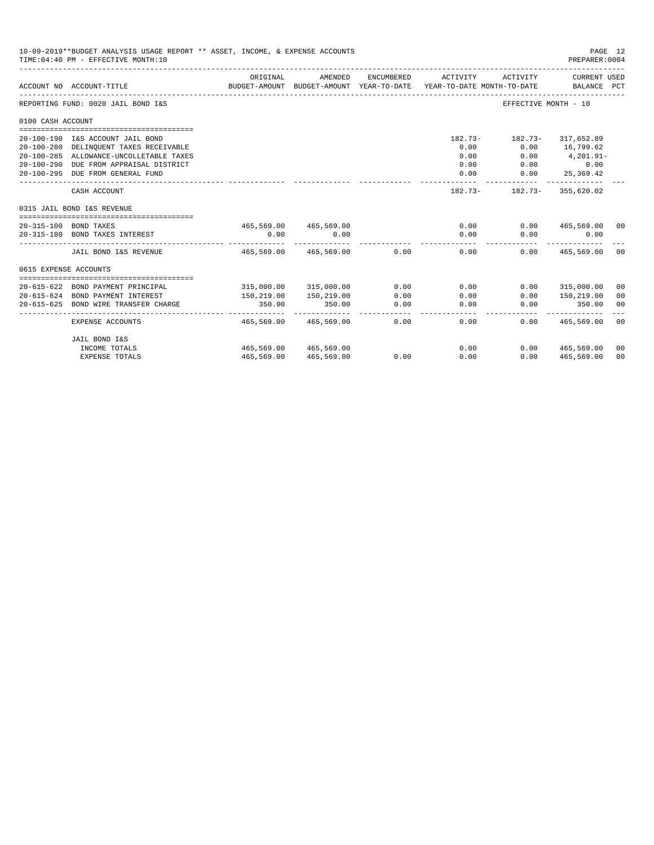| 10-09-2019**BUDGET ANALYSIS USAGE REPORT ** ASSET, INCOME, & EXPENSE ACCOUNTS<br>PAGE 12<br>TIME: 04:40 PM - EFFECTIVE MONTH: 10<br>PREPARER: 0004<br>ORIGINAL<br>AMENDED<br>ENCUMBERED<br>ACTIVITY ACTIVITY<br>CURRENT USED<br>ACCOUNT NO ACCOUNT-TITLE<br>BUDGET-AMOUNT BUDGET-AMOUNT YEAR-TO-DATE YEAR-TO-DATE MONTH-TO-DATE BALANCE PCT<br>REPORTING FUND: 0020 JAIL BOND I&S<br>EFFECTIVE MONTH - 10<br>0100 CASH ACCOUNT<br>182.73- 182.73- 317,652.89<br>20-100-190 I&S ACCOUNT JAIL BOND<br>20-100-280 DELINQUENT TAXES RECEIVABLE<br>0.00<br>$0.00$ 16,799.62<br>20-100-285 ALLOWANCE-UNCOLLETABLE TAXES<br>0.00<br>$0.00$ 4, 201.91-<br>20-100-290 DUE FROM APPRAISAL DISTRICT<br>0.00<br>$0.00$ 0.00<br>0.00<br>20-100-295 DUE FROM GENERAL FUND<br>0.00<br>25,369.42<br>------------ -------------<br>CASH ACCOUNT<br>182.73- 182.73- 355,620.02<br>0315 JAIL BOND I&S REVENUE<br>465,569.00 465,569.00<br>20-315-100 BOND TAXES<br>0.00<br>$0.00$ 465,569.00 00<br>0.00<br>0.00<br>0.00<br>0.00<br>0.00<br>20-315-180 BOND TAXES INTEREST<br>JAIL BOND I&S REVENUE<br>465,569,00 465,569,00<br>0.00<br>$0.00$ and $0.00$<br>$0.00$ 465,569,00 00<br>0615 EXPENSE ACCOUNTS<br>315,000.00 315,000.00<br>0.00<br>0.00<br>20-615-622 BOND PAYMENT PRINCIPAL<br>$0.00$ 315,000.00 00<br>20-615-624 BOND PAYMENT INTEREST<br>150,219.00<br>150,219.00<br>0.00<br>0.00<br>0.00<br>150,219.00<br>00<br>20-615-625 BOND WIRE TRANSFER CHARGE<br>350.00<br>350.00<br>0.00<br>0.00<br>0.00<br>350.00<br>00<br>0.00<br>0.00<br>$0.00$ 465,569.00 00<br>EXPENSE ACCOUNTS<br>465,569.00<br>465,569.00 |            |                       |      |      |  |                    |    |
|------------------------------------------------------------------------------------------------------------------------------------------------------------------------------------------------------------------------------------------------------------------------------------------------------------------------------------------------------------------------------------------------------------------------------------------------------------------------------------------------------------------------------------------------------------------------------------------------------------------------------------------------------------------------------------------------------------------------------------------------------------------------------------------------------------------------------------------------------------------------------------------------------------------------------------------------------------------------------------------------------------------------------------------------------------------------------------------------------------------------------------------------------------------------------------------------------------------------------------------------------------------------------------------------------------------------------------------------------------------------------------------------------------------------------------------------------------------------------------------------------------------------------------------------------------------------------------------------------|------------|-----------------------|------|------|--|--------------------|----|
|                                                                                                                                                                                                                                                                                                                                                                                                                                                                                                                                                                                                                                                                                                                                                                                                                                                                                                                                                                                                                                                                                                                                                                                                                                                                                                                                                                                                                                                                                                                                                                                                      |            |                       |      |      |  |                    |    |
|                                                                                                                                                                                                                                                                                                                                                                                                                                                                                                                                                                                                                                                                                                                                                                                                                                                                                                                                                                                                                                                                                                                                                                                                                                                                                                                                                                                                                                                                                                                                                                                                      |            |                       |      |      |  |                    |    |
|                                                                                                                                                                                                                                                                                                                                                                                                                                                                                                                                                                                                                                                                                                                                                                                                                                                                                                                                                                                                                                                                                                                                                                                                                                                                                                                                                                                                                                                                                                                                                                                                      |            |                       |      |      |  |                    |    |
|                                                                                                                                                                                                                                                                                                                                                                                                                                                                                                                                                                                                                                                                                                                                                                                                                                                                                                                                                                                                                                                                                                                                                                                                                                                                                                                                                                                                                                                                                                                                                                                                      |            |                       |      |      |  |                    |    |
|                                                                                                                                                                                                                                                                                                                                                                                                                                                                                                                                                                                                                                                                                                                                                                                                                                                                                                                                                                                                                                                                                                                                                                                                                                                                                                                                                                                                                                                                                                                                                                                                      |            |                       |      |      |  |                    |    |
|                                                                                                                                                                                                                                                                                                                                                                                                                                                                                                                                                                                                                                                                                                                                                                                                                                                                                                                                                                                                                                                                                                                                                                                                                                                                                                                                                                                                                                                                                                                                                                                                      |            |                       |      |      |  |                    |    |
|                                                                                                                                                                                                                                                                                                                                                                                                                                                                                                                                                                                                                                                                                                                                                                                                                                                                                                                                                                                                                                                                                                                                                                                                                                                                                                                                                                                                                                                                                                                                                                                                      |            |                       |      |      |  |                    |    |
|                                                                                                                                                                                                                                                                                                                                                                                                                                                                                                                                                                                                                                                                                                                                                                                                                                                                                                                                                                                                                                                                                                                                                                                                                                                                                                                                                                                                                                                                                                                                                                                                      |            |                       |      |      |  |                    |    |
|                                                                                                                                                                                                                                                                                                                                                                                                                                                                                                                                                                                                                                                                                                                                                                                                                                                                                                                                                                                                                                                                                                                                                                                                                                                                                                                                                                                                                                                                                                                                                                                                      |            |                       |      |      |  |                    |    |
|                                                                                                                                                                                                                                                                                                                                                                                                                                                                                                                                                                                                                                                                                                                                                                                                                                                                                                                                                                                                                                                                                                                                                                                                                                                                                                                                                                                                                                                                                                                                                                                                      |            |                       |      |      |  |                    |    |
|                                                                                                                                                                                                                                                                                                                                                                                                                                                                                                                                                                                                                                                                                                                                                                                                                                                                                                                                                                                                                                                                                                                                                                                                                                                                                                                                                                                                                                                                                                                                                                                                      |            |                       |      |      |  |                    |    |
|                                                                                                                                                                                                                                                                                                                                                                                                                                                                                                                                                                                                                                                                                                                                                                                                                                                                                                                                                                                                                                                                                                                                                                                                                                                                                                                                                                                                                                                                                                                                                                                                      |            |                       |      |      |  |                    |    |
|                                                                                                                                                                                                                                                                                                                                                                                                                                                                                                                                                                                                                                                                                                                                                                                                                                                                                                                                                                                                                                                                                                                                                                                                                                                                                                                                                                                                                                                                                                                                                                                                      |            |                       |      |      |  |                    |    |
|                                                                                                                                                                                                                                                                                                                                                                                                                                                                                                                                                                                                                                                                                                                                                                                                                                                                                                                                                                                                                                                                                                                                                                                                                                                                                                                                                                                                                                                                                                                                                                                                      |            |                       |      |      |  |                    |    |
|                                                                                                                                                                                                                                                                                                                                                                                                                                                                                                                                                                                                                                                                                                                                                                                                                                                                                                                                                                                                                                                                                                                                                                                                                                                                                                                                                                                                                                                                                                                                                                                                      |            |                       |      |      |  |                    |    |
|                                                                                                                                                                                                                                                                                                                                                                                                                                                                                                                                                                                                                                                                                                                                                                                                                                                                                                                                                                                                                                                                                                                                                                                                                                                                                                                                                                                                                                                                                                                                                                                                      |            |                       |      |      |  |                    |    |
|                                                                                                                                                                                                                                                                                                                                                                                                                                                                                                                                                                                                                                                                                                                                                                                                                                                                                                                                                                                                                                                                                                                                                                                                                                                                                                                                                                                                                                                                                                                                                                                                      |            |                       |      |      |  |                    |    |
|                                                                                                                                                                                                                                                                                                                                                                                                                                                                                                                                                                                                                                                                                                                                                                                                                                                                                                                                                                                                                                                                                                                                                                                                                                                                                                                                                                                                                                                                                                                                                                                                      |            |                       |      |      |  |                    |    |
|                                                                                                                                                                                                                                                                                                                                                                                                                                                                                                                                                                                                                                                                                                                                                                                                                                                                                                                                                                                                                                                                                                                                                                                                                                                                                                                                                                                                                                                                                                                                                                                                      |            |                       |      |      |  |                    |    |
|                                                                                                                                                                                                                                                                                                                                                                                                                                                                                                                                                                                                                                                                                                                                                                                                                                                                                                                                                                                                                                                                                                                                                                                                                                                                                                                                                                                                                                                                                                                                                                                                      |            |                       |      |      |  |                    |    |
| JAIL BOND I&S                                                                                                                                                                                                                                                                                                                                                                                                                                                                                                                                                                                                                                                                                                                                                                                                                                                                                                                                                                                                                                                                                                                                                                                                                                                                                                                                                                                                                                                                                                                                                                                        |            |                       |      |      |  |                    |    |
| INCOME TOTALS                                                                                                                                                                                                                                                                                                                                                                                                                                                                                                                                                                                                                                                                                                                                                                                                                                                                                                                                                                                                                                                                                                                                                                                                                                                                                                                                                                                                                                                                                                                                                                                        |            | 465,569.00 465,569.00 |      | 0.00 |  | 0.00 465,569.00 00 |    |
| <b>EXPENSE TOTALS</b>                                                                                                                                                                                                                                                                                                                                                                                                                                                                                                                                                                                                                                                                                                                                                                                                                                                                                                                                                                                                                                                                                                                                                                                                                                                                                                                                                                                                                                                                                                                                                                                | 465,569.00 | 465,569.00            | 0.00 | 0.00 |  | $0.00$ 465,569.00  | 00 |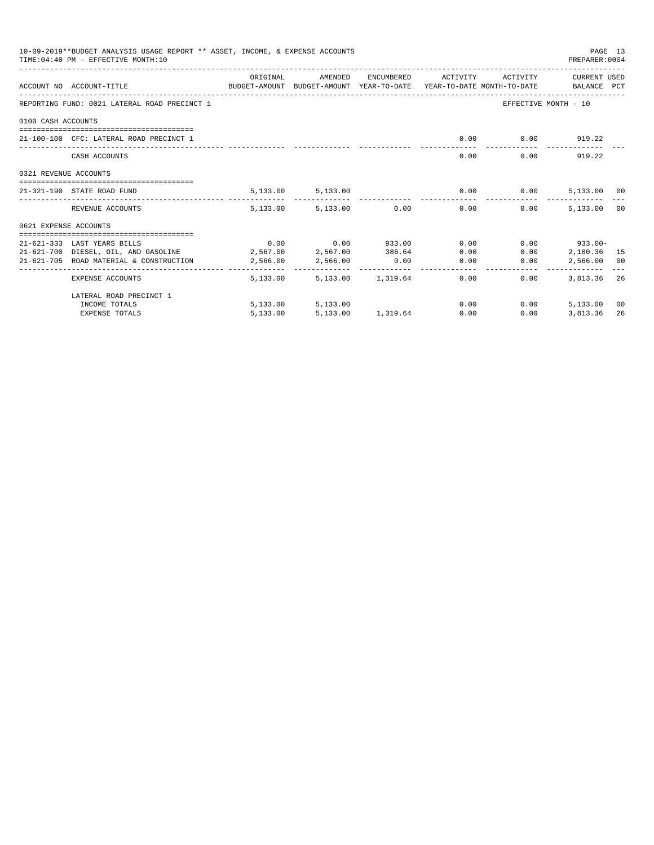| 10-09-2019**BUDGET ANALYSIS USAGE REPORT ** ASSET, INCOME, & EXPENSE ACCOUNTS<br>PAGE 13<br>TIME: 04:40 PM - EFFECTIVE MONTH: 10<br>PREPARER: 0004<br>ORIGINAL<br>AMENDED<br>ENCUMBERED ACTIVITY<br>ACTIVITY CURRENT USED<br>ACCOUNT NO ACCOUNT-TITLE THE BALANCE PCT BUDGET-AMOUNT BUDGET-AMOUNT YEAR-TO-DATE YEAR-TO-DATE MONTH-TO-DATE BALANCE PCT<br>REPORTING FUND: 0021 LATERAL ROAD PRECINCT 1<br>EFFECTIVE MONTH - 10<br>0100 CASH ACCOUNTS<br>$0.00$ $0.00$ $919.22$<br>21-100-100 CFC: LATERAL ROAD PRECINCT 1<br>______________________________<br>$0.00$ 919.22<br>0.00<br>CASH ACCOUNTS<br>0321 REVENUE ACCOUNTS<br>5, 133.00 5, 133.00<br>$0.00$ 0.00<br>5,133.00 00<br>21-321-190 STATE ROAD FUND<br>5,133.00 5,133.00 0.00<br>5,133,00 00<br>0.00<br>0.00<br>REVENUE ACCOUNTS<br>0621 EXPENSE ACCOUNTS<br>$0.00$ $0.00$ $933.00$ $0.00$<br>$0.00$ 933.00-<br>21-621-333 LAST YEARS BILLS<br>21-621-700 DIESEL, OIL, AND GASOLINE 2,567.00 2,567.00 386.64<br>0.00<br>0.00<br>2,180.36 15<br>21-621-705 ROAD MATERIAL & CONSTRUCTION<br>2,566.00<br>$0.00$ 0.00<br>2,566.00<br>0.00<br>2,566.00 00<br>--------------<br>5,133.00 5,133.00 1,319.64 0.00<br>3,813,36 26<br>$0.00 -$<br>EXPENSE ACCOUNTS |          |                   |  |                        |              |             |    |
|-----------------------------------------------------------------------------------------------------------------------------------------------------------------------------------------------------------------------------------------------------------------------------------------------------------------------------------------------------------------------------------------------------------------------------------------------------------------------------------------------------------------------------------------------------------------------------------------------------------------------------------------------------------------------------------------------------------------------------------------------------------------------------------------------------------------------------------------------------------------------------------------------------------------------------------------------------------------------------------------------------------------------------------------------------------------------------------------------------------------------------------------------------------------------------------------------------------------------|----------|-------------------|--|------------------------|--------------|-------------|----|
|                                                                                                                                                                                                                                                                                                                                                                                                                                                                                                                                                                                                                                                                                                                                                                                                                                                                                                                                                                                                                                                                                                                                                                                                                       |          |                   |  |                        |              |             |    |
|                                                                                                                                                                                                                                                                                                                                                                                                                                                                                                                                                                                                                                                                                                                                                                                                                                                                                                                                                                                                                                                                                                                                                                                                                       |          |                   |  |                        |              |             |    |
|                                                                                                                                                                                                                                                                                                                                                                                                                                                                                                                                                                                                                                                                                                                                                                                                                                                                                                                                                                                                                                                                                                                                                                                                                       |          |                   |  |                        |              |             |    |
|                                                                                                                                                                                                                                                                                                                                                                                                                                                                                                                                                                                                                                                                                                                                                                                                                                                                                                                                                                                                                                                                                                                                                                                                                       |          |                   |  |                        |              |             |    |
|                                                                                                                                                                                                                                                                                                                                                                                                                                                                                                                                                                                                                                                                                                                                                                                                                                                                                                                                                                                                                                                                                                                                                                                                                       |          |                   |  |                        |              |             |    |
|                                                                                                                                                                                                                                                                                                                                                                                                                                                                                                                                                                                                                                                                                                                                                                                                                                                                                                                                                                                                                                                                                                                                                                                                                       |          |                   |  |                        |              |             |    |
|                                                                                                                                                                                                                                                                                                                                                                                                                                                                                                                                                                                                                                                                                                                                                                                                                                                                                                                                                                                                                                                                                                                                                                                                                       |          |                   |  |                        |              |             |    |
|                                                                                                                                                                                                                                                                                                                                                                                                                                                                                                                                                                                                                                                                                                                                                                                                                                                                                                                                                                                                                                                                                                                                                                                                                       |          |                   |  |                        |              |             |    |
|                                                                                                                                                                                                                                                                                                                                                                                                                                                                                                                                                                                                                                                                                                                                                                                                                                                                                                                                                                                                                                                                                                                                                                                                                       |          |                   |  |                        |              |             |    |
|                                                                                                                                                                                                                                                                                                                                                                                                                                                                                                                                                                                                                                                                                                                                                                                                                                                                                                                                                                                                                                                                                                                                                                                                                       |          |                   |  |                        |              |             |    |
|                                                                                                                                                                                                                                                                                                                                                                                                                                                                                                                                                                                                                                                                                                                                                                                                                                                                                                                                                                                                                                                                                                                                                                                                                       |          |                   |  |                        |              |             |    |
|                                                                                                                                                                                                                                                                                                                                                                                                                                                                                                                                                                                                                                                                                                                                                                                                                                                                                                                                                                                                                                                                                                                                                                                                                       |          |                   |  |                        |              |             |    |
|                                                                                                                                                                                                                                                                                                                                                                                                                                                                                                                                                                                                                                                                                                                                                                                                                                                                                                                                                                                                                                                                                                                                                                                                                       |          |                   |  |                        |              |             |    |
|                                                                                                                                                                                                                                                                                                                                                                                                                                                                                                                                                                                                                                                                                                                                                                                                                                                                                                                                                                                                                                                                                                                                                                                                                       |          |                   |  |                        |              |             |    |
|                                                                                                                                                                                                                                                                                                                                                                                                                                                                                                                                                                                                                                                                                                                                                                                                                                                                                                                                                                                                                                                                                                                                                                                                                       |          |                   |  |                        |              |             |    |
| LATERAL ROAD PRECINCT 1                                                                                                                                                                                                                                                                                                                                                                                                                                                                                                                                                                                                                                                                                                                                                                                                                                                                                                                                                                                                                                                                                                                                                                                               |          |                   |  |                        |              |             |    |
| INCOME TOTALS                                                                                                                                                                                                                                                                                                                                                                                                                                                                                                                                                                                                                                                                                                                                                                                                                                                                                                                                                                                                                                                                                                                                                                                                         |          | 5,133.00 5,133.00 |  |                        | 0.00<br>0.00 | 5,133.00 00 |    |
| <b>EXPENSE TOTALS</b>                                                                                                                                                                                                                                                                                                                                                                                                                                                                                                                                                                                                                                                                                                                                                                                                                                                                                                                                                                                                                                                                                                                                                                                                 | 5,133.00 |                   |  | 5,133.00 1,319.64 0.00 | 0.00         | 3,813.36    | 26 |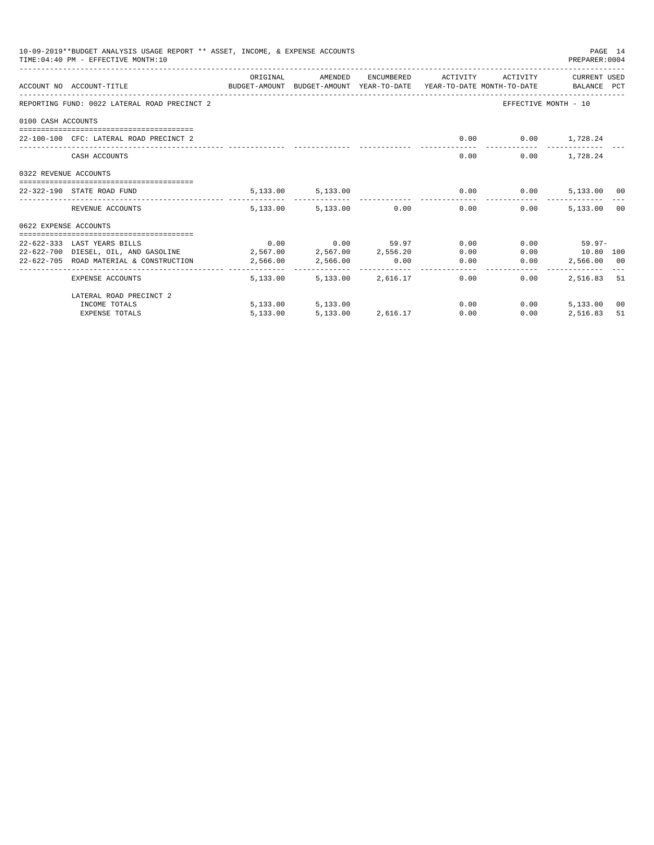| 10-09-2019**BUDGET ANALYSIS USAGE REPORT ** ASSET, INCOME, & EXPENSE ACCOUNTS<br>PAGE 14<br>TIME: 04:40 PM - EFFECTIVE MONTH: 10<br>PREPARER: 0004<br>ORIGINAL<br>AMENDED<br>ENCUMBERED ACTIVITY<br>ACTIVITY CURRENT USED<br>ACCOUNT NO ACCOUNT-TITLE THE BALANCE PCT BUDGET-AMOUNT BUDGET-AMOUNT YEAR-TO-DATE YEAR-TO-DATE MONTH-TO-DATE BALANCE PCT<br>REPORTING FUND: 0022 LATERAL ROAD PRECINCT 2<br>EFFECTIVE MONTH - 10<br>0100 CASH ACCOUNTS<br>$0.00$ $0.00$ $1,728.24$<br>22-100-100 CFC: LATERAL ROAD PRECINCT 2<br>$0.00$ 1,728.24<br>CASH ACCOUNTS<br>0.00<br>0322 REVENUE ACCOUNTS<br>5, 133.00 5, 133.00<br>$0.00$ 0.00<br>5,133.00 00<br>22-322-190 STATE ROAD FUND<br>$5,133.00$ $5,133.00$ $0.00$ $0.00$ $0.00$<br>5,133,00 00<br>0.00<br>REVENUE ACCOUNTS<br>0622 EXPENSE ACCOUNTS<br>$0.00$ $0.00$ $59.97$ $0.00$<br>$0.00$ 59.97-<br>22-622-333 LAST YEARS BILLS<br>22-622-700 DIESEL, OIL, AND GASOLINE 2,567.00 2,567.00 2,556.20<br>$0.00$ 10.80 100<br>0.00<br>22-622-705 ROAD MATERIAL & CONSTRUCTION<br>2,566.00<br>$0.00$ 0.00<br>2,566.00<br>0.00<br>2,566.00 00<br>--------------<br>5,133,00 5,133,00 2,616,17<br>0.00<br>2,516.83 51<br>$0.00 -$<br>EXPENSE ACCOUNTS |          |                   |  |                        |      |             |  |
|-----------------------------------------------------------------------------------------------------------------------------------------------------------------------------------------------------------------------------------------------------------------------------------------------------------------------------------------------------------------------------------------------------------------------------------------------------------------------------------------------------------------------------------------------------------------------------------------------------------------------------------------------------------------------------------------------------------------------------------------------------------------------------------------------------------------------------------------------------------------------------------------------------------------------------------------------------------------------------------------------------------------------------------------------------------------------------------------------------------------------------------------------------------------------------------------------------|----------|-------------------|--|------------------------|------|-------------|--|
|                                                                                                                                                                                                                                                                                                                                                                                                                                                                                                                                                                                                                                                                                                                                                                                                                                                                                                                                                                                                                                                                                                                                                                                                     |          |                   |  |                        |      |             |  |
|                                                                                                                                                                                                                                                                                                                                                                                                                                                                                                                                                                                                                                                                                                                                                                                                                                                                                                                                                                                                                                                                                                                                                                                                     |          |                   |  |                        |      |             |  |
|                                                                                                                                                                                                                                                                                                                                                                                                                                                                                                                                                                                                                                                                                                                                                                                                                                                                                                                                                                                                                                                                                                                                                                                                     |          |                   |  |                        |      |             |  |
|                                                                                                                                                                                                                                                                                                                                                                                                                                                                                                                                                                                                                                                                                                                                                                                                                                                                                                                                                                                                                                                                                                                                                                                                     |          |                   |  |                        |      |             |  |
|                                                                                                                                                                                                                                                                                                                                                                                                                                                                                                                                                                                                                                                                                                                                                                                                                                                                                                                                                                                                                                                                                                                                                                                                     |          |                   |  |                        |      |             |  |
|                                                                                                                                                                                                                                                                                                                                                                                                                                                                                                                                                                                                                                                                                                                                                                                                                                                                                                                                                                                                                                                                                                                                                                                                     |          |                   |  |                        |      |             |  |
|                                                                                                                                                                                                                                                                                                                                                                                                                                                                                                                                                                                                                                                                                                                                                                                                                                                                                                                                                                                                                                                                                                                                                                                                     |          |                   |  |                        |      |             |  |
|                                                                                                                                                                                                                                                                                                                                                                                                                                                                                                                                                                                                                                                                                                                                                                                                                                                                                                                                                                                                                                                                                                                                                                                                     |          |                   |  |                        |      |             |  |
|                                                                                                                                                                                                                                                                                                                                                                                                                                                                                                                                                                                                                                                                                                                                                                                                                                                                                                                                                                                                                                                                                                                                                                                                     |          |                   |  |                        |      |             |  |
|                                                                                                                                                                                                                                                                                                                                                                                                                                                                                                                                                                                                                                                                                                                                                                                                                                                                                                                                                                                                                                                                                                                                                                                                     |          |                   |  |                        |      |             |  |
|                                                                                                                                                                                                                                                                                                                                                                                                                                                                                                                                                                                                                                                                                                                                                                                                                                                                                                                                                                                                                                                                                                                                                                                                     |          |                   |  |                        |      |             |  |
|                                                                                                                                                                                                                                                                                                                                                                                                                                                                                                                                                                                                                                                                                                                                                                                                                                                                                                                                                                                                                                                                                                                                                                                                     |          |                   |  |                        |      |             |  |
|                                                                                                                                                                                                                                                                                                                                                                                                                                                                                                                                                                                                                                                                                                                                                                                                                                                                                                                                                                                                                                                                                                                                                                                                     |          |                   |  |                        |      |             |  |
|                                                                                                                                                                                                                                                                                                                                                                                                                                                                                                                                                                                                                                                                                                                                                                                                                                                                                                                                                                                                                                                                                                                                                                                                     |          |                   |  |                        |      |             |  |
|                                                                                                                                                                                                                                                                                                                                                                                                                                                                                                                                                                                                                                                                                                                                                                                                                                                                                                                                                                                                                                                                                                                                                                                                     |          |                   |  |                        |      |             |  |
| LATERAL ROAD PRECINCT 2                                                                                                                                                                                                                                                                                                                                                                                                                                                                                                                                                                                                                                                                                                                                                                                                                                                                                                                                                                                                                                                                                                                                                                             |          |                   |  |                        |      |             |  |
| INCOME TOTALS                                                                                                                                                                                                                                                                                                                                                                                                                                                                                                                                                                                                                                                                                                                                                                                                                                                                                                                                                                                                                                                                                                                                                                                       |          | 5,133.00 5,133.00 |  | $0.00$ and $0.00$      | 0.00 | 5,133.00 00 |  |
| <b>EXPENSE TOTALS</b>                                                                                                                                                                                                                                                                                                                                                                                                                                                                                                                                                                                                                                                                                                                                                                                                                                                                                                                                                                                                                                                                                                                                                                               | 5,133.00 |                   |  | 5,133.00 2,616.17 0.00 | 0.00 | 2,516.83 51 |  |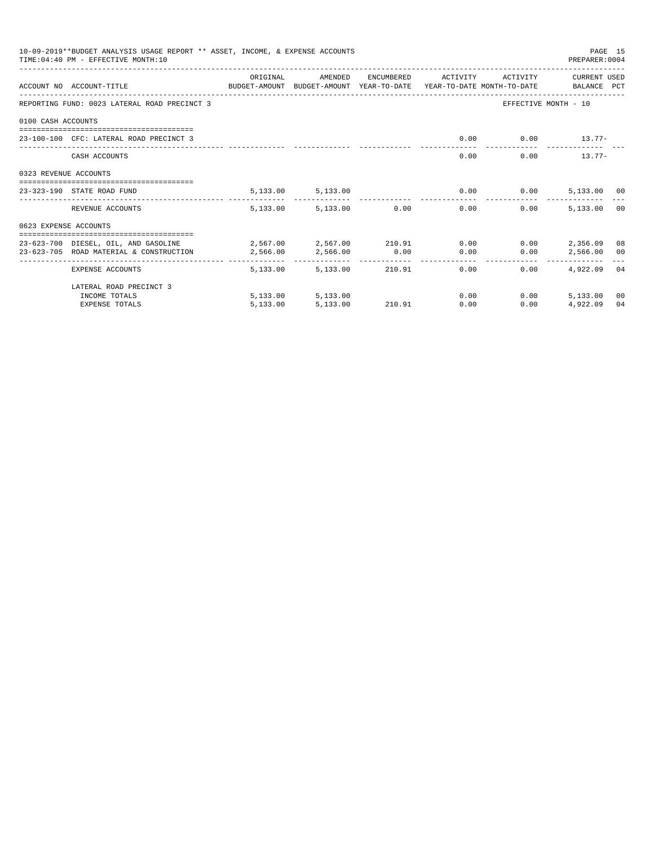|                       | 10-09-2019**BUDGET ANALYSIS USAGE REPORT ** ASSET, INCOME, & EXPENSE ACCOUNTS<br>TIME: 04:40 PM - EFFECTIVE MONTH: 10 |                                                   |                          |                       |          |                                           | PREPARER: 0004          | PAGE 15 |
|-----------------------|-----------------------------------------------------------------------------------------------------------------------|---------------------------------------------------|--------------------------|-----------------------|----------|-------------------------------------------|-------------------------|---------|
|                       | ACCOUNT NO ACCOUNT-TITLE CONTROL PROTECT-AMOUNT BUDGET-AMOUNT YEAR-TO-DATE YEAR-TO-DATE MONTH-TO-DATE BALANCE PCT     | ORIGINAL                                          | AMENDED                  | ENCUMBERED            | ACTIVITY | ACTIVITY                                  | CURRENT USED            |         |
|                       | REPORTING FUND: 0023 LATERAL ROAD PRECINCT 3                                                                          |                                                   |                          |                       |          |                                           | EFFECTIVE MONTH - 10    |         |
| 0100 CASH ACCOUNTS    |                                                                                                                       |                                                   |                          |                       |          |                                           |                         |         |
|                       | 23-100-100 CFC: LATERAL ROAD PRECINCT 3                                                                               |                                                   |                          |                       | 0.00     |                                           | $0.00$ 13.77-           |         |
|                       | CASH ACCOUNTS                                                                                                         |                                                   |                          |                       | 0.00     |                                           | 0.00<br>$13.77-$        |         |
| 0323 REVENUE ACCOUNTS |                                                                                                                       |                                                   |                          |                       |          |                                           |                         |         |
|                       | 23-323-190 STATE ROAD FUND                                                                                            |                                                   | 5,133.00 5,133.00        |                       |          | $0.00$ 0.00                               | 5,133.00 00             |         |
|                       | REVENUE ACCOUNTS                                                                                                      | 5,133.00                                          |                          | 5,133.00 0.00         | 0.00     | 0.00                                      | 5,133.00                | 00      |
| 0623 EXPENSE ACCOUNTS |                                                                                                                       |                                                   |                          |                       |          |                                           |                         |         |
|                       | 23-623-700 DIESEL, OIL, AND GASOLINE<br>23-623-705 ROAD MATERIAL & CONSTRUCTION                                       | $2,567.00$ $2,567.00$ $210.91$ $0.00$<br>2,566.00 | 2,566.00                 | 0.00                  | 0.00     | 0.00<br>0.00                              | 2,356.09<br>2,566.00 00 | 08      |
|                       | EXPENSE ACCOUNTS                                                                                                      | ---------<br>5,133.00                             | ------------<br>5,133.00 | -----------<br>210.91 |          | ------------<br>0.00<br>$0.00$ and $0.00$ | 4.922.09 04             |         |
|                       | LATERAL ROAD PRECINCT 3                                                                                               |                                                   |                          |                       |          |                                           |                         |         |
|                       | INCOME TOTALS                                                                                                         |                                                   | 5,133.00 5,133.00        |                       | 0.00     | 0.00                                      | 5,133.00                | 00      |
|                       | EXPENSE TOTALS                                                                                                        | 5,133.00                                          | 5,133,00                 | 210.91                | 0.00     | 0.00                                      | 4.922.09                | 04      |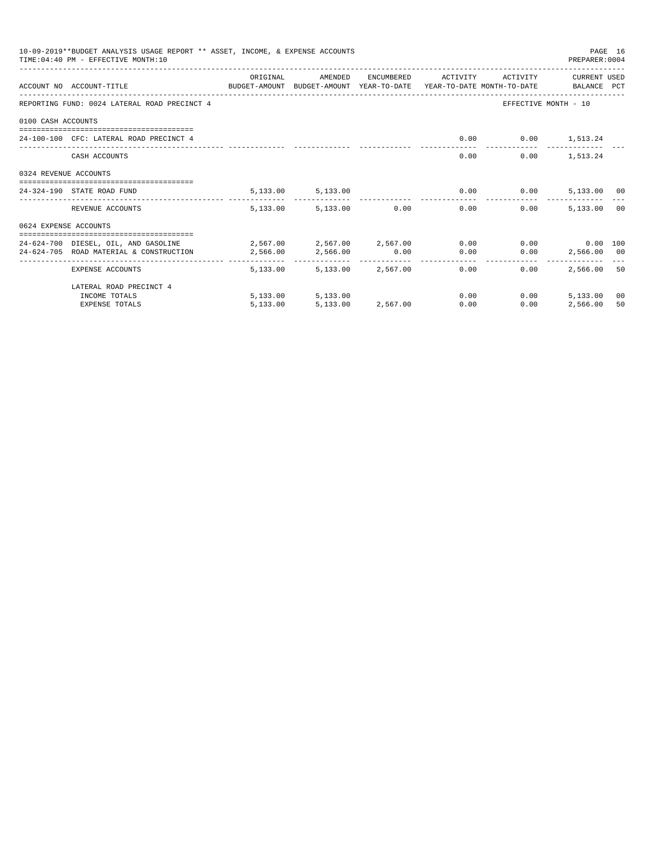|                       | 10-09-2019**BUDGET ANALYSIS USAGE REPORT ** ASSET, INCOME, & EXPENSE ACCOUNTS<br>TIME: 04:40 PM - EFFECTIVE MONTH: 10 |                                         |                   |                                    |          |                      | PREPARER: 0004       | PAGE 16 |
|-----------------------|-----------------------------------------------------------------------------------------------------------------------|-----------------------------------------|-------------------|------------------------------------|----------|----------------------|----------------------|---------|
|                       | ACCOUNT NO ACCOUNT-TITLE CONTROL PROTECT-AMOUNT BUDGET-AMOUNT YEAR-TO-DATE YEAR-TO-DATE MONTH-TO-DATE BALANCE PCT     | ORIGINAL                                | AMENDED           | ENCUMBERED                         | ACTIVITY | ACTIVITY             | CURRENT USED         |         |
|                       | REPORTING FUND: 0024 LATERAL ROAD PRECINCT 4                                                                          |                                         |                   |                                    |          |                      | EFFECTIVE MONTH - 10 |         |
| 0100 CASH ACCOUNTS    |                                                                                                                       |                                         |                   |                                    |          |                      |                      |         |
|                       | 24-100-100 CFC: LATERAL ROAD PRECINCT 4                                                                               |                                         |                   |                                    | 0.00     |                      | $0.00$ 1,513.24      |         |
|                       | CASH ACCOUNTS                                                                                                         |                                         |                   |                                    | 0.00     |                      | $0.00$ 1,513.24      |         |
| 0324 REVENUE ACCOUNTS |                                                                                                                       |                                         |                   |                                    |          |                      |                      |         |
|                       | =====================================<br>24-324-190 STATE ROAD FUND                                                   |                                         | 5,133.00 5,133.00 |                                    |          | $0.00$ 0.00          | 5,133.00 00          |         |
|                       | REVENUE ACCOUNTS                                                                                                      | 5,133,00                                |                   | 5,133.00 0.00                      | 0.00     | 0.00                 | 5,133.00             | 00      |
| 0624 EXPENSE ACCOUNTS |                                                                                                                       |                                         |                   |                                    |          |                      |                      |         |
|                       | 24-624-700 DIESEL, OIL, AND GASOLINE                                                                                  | $2,567.00$ $2,567.00$ $2,567.00$ $0.00$ |                   |                                    |          |                      | $0.00$ 0.00 100      |         |
|                       | 24-624-705 ROAD MATERIAL & CONSTRUCTION                                                                               | 2,566.00                                | 2,566.00          | 0.00                               | 0.00     | 0.00<br>------------ | 2,566.00 00          |         |
|                       | EXPENSE ACCOUNTS                                                                                                      | ---------<br>5,133.00                   | --------------    | -------------<br>5.133.00 2.567.00 |          | 0.00<br>0.00         | 2,566.00             | 50      |
|                       | LATERAL ROAD PRECINCT 4                                                                                               |                                         |                   |                                    |          |                      |                      |         |
|                       | INCOME TOTALS                                                                                                         |                                         | 5,133.00 5,133.00 |                                    | 0.00     | 0.00                 | 5,133.00             | 00      |
|                       | EXPENSE TOTALS                                                                                                        | 5,133.00                                | 5,133,00          | 2,567.00                           | 0.00     | 0.00                 | 2,566.00             | 50      |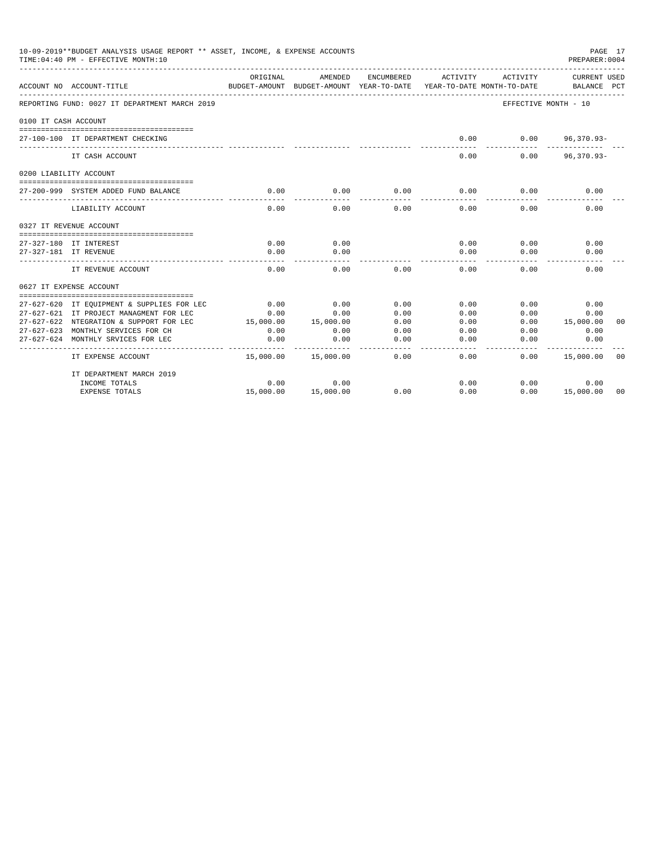| 10-09-2019**BUDGET ANALYSIS USAGE REPORT ** ASSET, INCOME, & EXPENSE ACCOUNTS<br>PAGE 17<br>PREPARER: 0004<br>TIME: 04:40 PM - EFFECTIVE MONTH: 10<br>ORIGINAL<br>AMENDED<br>ENCUMBERED<br>ACTIVITY<br>ACTIVITY<br>BUDGET-AMOUNT<br>BUDGET-AMOUNT YEAR-TO-DATE<br>YEAR-TO-DATE MONTH-TO-DATE<br>ACCOUNT NO ACCOUNT-TITLE<br>REPORTING FUND: 0027 IT DEPARTMENT MARCH 2019<br>EFFECTIVE MONTH - 10<br>0100 IT CASH ACCOUNT<br>0.00<br>0.00<br>27-100-100 IT DEPARTMENT CHECKING<br>$96,370.93 -$<br>0.00<br>0.00<br>$96,370.93 -$<br>IT CASH ACCOUNT<br>0200 LIABILITY ACCOUNT<br>27-200-999 SYSTEM ADDED FUND BALANCE<br>0.00<br>0.00<br>0.00<br>0.00<br>0.00<br>0.00<br>LIABILITY ACCOUNT<br>0.00<br>0.00<br>0.00<br>0.00<br>0.00<br>0.00<br>0327 IT REVENUE ACCOUNT<br>0.00<br>0.00<br>0.00<br>0.00<br>27-327-180 IT INTEREST<br>0.00<br>0.00<br>0.00<br>0.00<br>0.00<br>0.00<br>27-327-181 IT REVENUE<br>0.00<br>0.00<br>0.00<br>0.00<br>IT REVENUE ACCOUNT<br>0.00<br>0.00<br>0627 IT EXPENSE ACCOUNT<br>0.00<br>0.00<br>0.00<br>0.00<br>0.00<br>0.00<br>27-627-620 IT EQUIPMENT & SUPPLIES FOR LEC<br>27-627-621 IT PROJECT MANAGMENT FOR LEC<br>0.00<br>0.00<br>0.00<br>0.00<br>0.00<br>0.00<br>0.00<br>0.00<br>27-627-622 NTEGRATION & SUPPORT FOR LEC<br>15,000.00<br>15,000.00<br>0.00<br>15,000.00<br>27-627-623 MONTHLY SERVICES FOR CH<br>0.00<br>0.00<br>0.00<br>0.00<br>0.00<br>0.00 |                                    |           |           |      |      |      |                                    |                |
|----------------------------------------------------------------------------------------------------------------------------------------------------------------------------------------------------------------------------------------------------------------------------------------------------------------------------------------------------------------------------------------------------------------------------------------------------------------------------------------------------------------------------------------------------------------------------------------------------------------------------------------------------------------------------------------------------------------------------------------------------------------------------------------------------------------------------------------------------------------------------------------------------------------------------------------------------------------------------------------------------------------------------------------------------------------------------------------------------------------------------------------------------------------------------------------------------------------------------------------------------------------------------------------------------------------------------------------------------------------------------------------------------|------------------------------------|-----------|-----------|------|------|------|------------------------------------|----------------|
|                                                                                                                                                                                                                                                                                                                                                                                                                                                                                                                                                                                                                                                                                                                                                                                                                                                                                                                                                                                                                                                                                                                                                                                                                                                                                                                                                                                                    |                                    |           |           |      |      |      | <b>CURRENT USED</b><br>BALANCE PCT |                |
|                                                                                                                                                                                                                                                                                                                                                                                                                                                                                                                                                                                                                                                                                                                                                                                                                                                                                                                                                                                                                                                                                                                                                                                                                                                                                                                                                                                                    |                                    |           |           |      |      |      |                                    |                |
|                                                                                                                                                                                                                                                                                                                                                                                                                                                                                                                                                                                                                                                                                                                                                                                                                                                                                                                                                                                                                                                                                                                                                                                                                                                                                                                                                                                                    |                                    |           |           |      |      |      |                                    |                |
|                                                                                                                                                                                                                                                                                                                                                                                                                                                                                                                                                                                                                                                                                                                                                                                                                                                                                                                                                                                                                                                                                                                                                                                                                                                                                                                                                                                                    |                                    |           |           |      |      |      |                                    |                |
|                                                                                                                                                                                                                                                                                                                                                                                                                                                                                                                                                                                                                                                                                                                                                                                                                                                                                                                                                                                                                                                                                                                                                                                                                                                                                                                                                                                                    |                                    |           |           |      |      |      |                                    |                |
|                                                                                                                                                                                                                                                                                                                                                                                                                                                                                                                                                                                                                                                                                                                                                                                                                                                                                                                                                                                                                                                                                                                                                                                                                                                                                                                                                                                                    |                                    |           |           |      |      |      |                                    |                |
|                                                                                                                                                                                                                                                                                                                                                                                                                                                                                                                                                                                                                                                                                                                                                                                                                                                                                                                                                                                                                                                                                                                                                                                                                                                                                                                                                                                                    |                                    |           |           |      |      |      |                                    |                |
|                                                                                                                                                                                                                                                                                                                                                                                                                                                                                                                                                                                                                                                                                                                                                                                                                                                                                                                                                                                                                                                                                                                                                                                                                                                                                                                                                                                                    |                                    |           |           |      |      |      |                                    |                |
|                                                                                                                                                                                                                                                                                                                                                                                                                                                                                                                                                                                                                                                                                                                                                                                                                                                                                                                                                                                                                                                                                                                                                                                                                                                                                                                                                                                                    |                                    |           |           |      |      |      |                                    |                |
|                                                                                                                                                                                                                                                                                                                                                                                                                                                                                                                                                                                                                                                                                                                                                                                                                                                                                                                                                                                                                                                                                                                                                                                                                                                                                                                                                                                                    |                                    |           |           |      |      |      |                                    |                |
|                                                                                                                                                                                                                                                                                                                                                                                                                                                                                                                                                                                                                                                                                                                                                                                                                                                                                                                                                                                                                                                                                                                                                                                                                                                                                                                                                                                                    |                                    |           |           |      |      |      |                                    |                |
|                                                                                                                                                                                                                                                                                                                                                                                                                                                                                                                                                                                                                                                                                                                                                                                                                                                                                                                                                                                                                                                                                                                                                                                                                                                                                                                                                                                                    |                                    |           |           |      |      |      |                                    |                |
|                                                                                                                                                                                                                                                                                                                                                                                                                                                                                                                                                                                                                                                                                                                                                                                                                                                                                                                                                                                                                                                                                                                                                                                                                                                                                                                                                                                                    |                                    |           |           |      |      |      |                                    |                |
|                                                                                                                                                                                                                                                                                                                                                                                                                                                                                                                                                                                                                                                                                                                                                                                                                                                                                                                                                                                                                                                                                                                                                                                                                                                                                                                                                                                                    |                                    |           |           |      |      |      |                                    |                |
|                                                                                                                                                                                                                                                                                                                                                                                                                                                                                                                                                                                                                                                                                                                                                                                                                                                                                                                                                                                                                                                                                                                                                                                                                                                                                                                                                                                                    |                                    |           |           |      |      |      |                                    |                |
|                                                                                                                                                                                                                                                                                                                                                                                                                                                                                                                                                                                                                                                                                                                                                                                                                                                                                                                                                                                                                                                                                                                                                                                                                                                                                                                                                                                                    |                                    |           |           |      |      |      |                                    | 00             |
|                                                                                                                                                                                                                                                                                                                                                                                                                                                                                                                                                                                                                                                                                                                                                                                                                                                                                                                                                                                                                                                                                                                                                                                                                                                                                                                                                                                                    |                                    |           |           |      |      |      |                                    |                |
|                                                                                                                                                                                                                                                                                                                                                                                                                                                                                                                                                                                                                                                                                                                                                                                                                                                                                                                                                                                                                                                                                                                                                                                                                                                                                                                                                                                                    | 27-627-624 MONTHLY SRVICES FOR LEC | 0.00      | 0.00      | 0.00 | 0.00 | 0.00 | 0.00                               |                |
|                                                                                                                                                                                                                                                                                                                                                                                                                                                                                                                                                                                                                                                                                                                                                                                                                                                                                                                                                                                                                                                                                                                                                                                                                                                                                                                                                                                                    | IT EXPENSE ACCOUNT                 | 15,000.00 | 15,000.00 | 0.00 | 0.00 | 0.00 | 15,000.00                          | 0 <sub>0</sub> |
|                                                                                                                                                                                                                                                                                                                                                                                                                                                                                                                                                                                                                                                                                                                                                                                                                                                                                                                                                                                                                                                                                                                                                                                                                                                                                                                                                                                                    | IT DEPARTMENT MARCH 2019           |           |           |      |      |      |                                    |                |
|                                                                                                                                                                                                                                                                                                                                                                                                                                                                                                                                                                                                                                                                                                                                                                                                                                                                                                                                                                                                                                                                                                                                                                                                                                                                                                                                                                                                    | INCOME TOTALS                      | 0.00      | 0.00      |      | 0.00 | 0.00 | 0.00                               |                |
|                                                                                                                                                                                                                                                                                                                                                                                                                                                                                                                                                                                                                                                                                                                                                                                                                                                                                                                                                                                                                                                                                                                                                                                                                                                                                                                                                                                                    | <b>EXPENSE TOTALS</b>              | 15,000.00 | 15,000.00 | 0.00 | 0.00 | 0.00 | 15,000.00                          | 00             |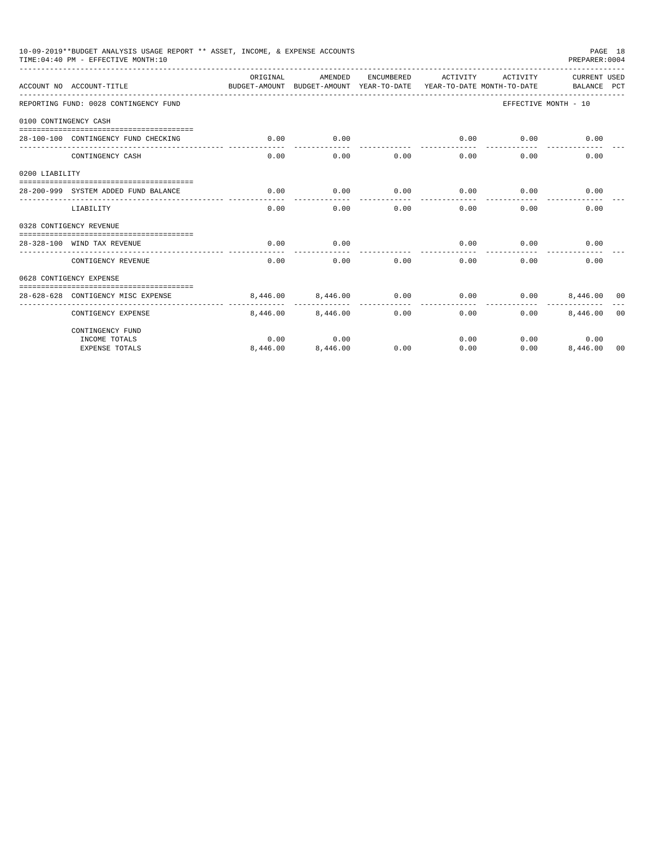|                | 10-09-2019**BUDGET ANALYSIS USAGE REPORT ** ASSET, INCOME, & EXPENSE ACCOUNTS<br>PAGE 18<br>TIME: 04:40 PM - EFFECTIVE MONTH: 10<br>PREPARER: 0004<br>CURRENT USED<br>ORTGINAL<br>AMENDED<br>ENCUMBERED<br>ACTIVITY<br>ACTIVITY<br>ACCOUNT NO ACCOUNT-TITLE<br>BUDGET-AMOUNT BUDGET-AMOUNT YEAR-TO-DATE YEAR-TO-DATE MONTH-TO-DATE<br>BALANCE PCT<br>REPORTING FUND: 0028 CONTINGENCY FUND<br>EFFECTIVE MONTH - 10<br>0100 CONTINGENCY CASH<br>0.00<br>0.00<br>0.00<br>0.00<br>28-100-100 CONTINGENCY FUND CHECKING<br>0.00<br>-----------<br>0.00<br>0.00<br>CONTINGENCY CASH<br>0.00<br>0.00<br>0.00<br>0.00<br>0.00<br>0.00<br>28-200-999 SYSTEM ADDED FUND BALANCE<br>0.00<br>0.00<br>0.00<br>0.00<br>0.00<br>0.00<br>0.00<br>0.00<br>0.00<br>0.00<br>LIABILITY<br>0328 CONTIGENCY REVENUE<br>0.00<br>0.00<br>0.00<br>28-328-100 WIND TAX REVENUE<br>0.00<br>0.00<br>0.00<br>0.00<br>0.00<br>0.00<br>0.00<br>0.00<br>CONTIGENCY REVENUE<br>0628 CONTIGENCY EXPENSE<br>8,446.00<br>0.00<br>0.00<br>0.00<br>28-628-628 CONTIGENCY MISC EXPENSE<br>8,446,00<br>8,446,00 00<br>8,446.00<br>CONTIGENCY EXPENSE<br>8,446.00<br>8,446.00<br>0.00<br>0.00<br>0.00<br>0 <sub>0</sub> |          |          |      |      |      |              |    |
|----------------|---------------------------------------------------------------------------------------------------------------------------------------------------------------------------------------------------------------------------------------------------------------------------------------------------------------------------------------------------------------------------------------------------------------------------------------------------------------------------------------------------------------------------------------------------------------------------------------------------------------------------------------------------------------------------------------------------------------------------------------------------------------------------------------------------------------------------------------------------------------------------------------------------------------------------------------------------------------------------------------------------------------------------------------------------------------------------------------------------------------------------------------------------------------------------------|----------|----------|------|------|------|--------------|----|
|                |                                                                                                                                                                                                                                                                                                                                                                                                                                                                                                                                                                                                                                                                                                                                                                                                                                                                                                                                                                                                                                                                                                                                                                                 |          |          |      |      |      |              |    |
|                |                                                                                                                                                                                                                                                                                                                                                                                                                                                                                                                                                                                                                                                                                                                                                                                                                                                                                                                                                                                                                                                                                                                                                                                 |          |          |      |      |      |              |    |
|                |                                                                                                                                                                                                                                                                                                                                                                                                                                                                                                                                                                                                                                                                                                                                                                                                                                                                                                                                                                                                                                                                                                                                                                                 |          |          |      |      |      |              |    |
|                |                                                                                                                                                                                                                                                                                                                                                                                                                                                                                                                                                                                                                                                                                                                                                                                                                                                                                                                                                                                                                                                                                                                                                                                 |          |          |      |      |      |              |    |
|                |                                                                                                                                                                                                                                                                                                                                                                                                                                                                                                                                                                                                                                                                                                                                                                                                                                                                                                                                                                                                                                                                                                                                                                                 |          |          |      |      |      |              |    |
| 0200 LIABILITY |                                                                                                                                                                                                                                                                                                                                                                                                                                                                                                                                                                                                                                                                                                                                                                                                                                                                                                                                                                                                                                                                                                                                                                                 |          |          |      |      |      |              |    |
|                |                                                                                                                                                                                                                                                                                                                                                                                                                                                                                                                                                                                                                                                                                                                                                                                                                                                                                                                                                                                                                                                                                                                                                                                 |          |          |      |      |      |              |    |
|                |                                                                                                                                                                                                                                                                                                                                                                                                                                                                                                                                                                                                                                                                                                                                                                                                                                                                                                                                                                                                                                                                                                                                                                                 |          |          |      |      |      |              |    |
|                |                                                                                                                                                                                                                                                                                                                                                                                                                                                                                                                                                                                                                                                                                                                                                                                                                                                                                                                                                                                                                                                                                                                                                                                 |          |          |      |      |      |              |    |
|                |                                                                                                                                                                                                                                                                                                                                                                                                                                                                                                                                                                                                                                                                                                                                                                                                                                                                                                                                                                                                                                                                                                                                                                                 |          |          |      |      |      |              |    |
|                |                                                                                                                                                                                                                                                                                                                                                                                                                                                                                                                                                                                                                                                                                                                                                                                                                                                                                                                                                                                                                                                                                                                                                                                 |          |          |      |      |      |              |    |
|                |                                                                                                                                                                                                                                                                                                                                                                                                                                                                                                                                                                                                                                                                                                                                                                                                                                                                                                                                                                                                                                                                                                                                                                                 |          |          |      |      |      |              |    |
|                |                                                                                                                                                                                                                                                                                                                                                                                                                                                                                                                                                                                                                                                                                                                                                                                                                                                                                                                                                                                                                                                                                                                                                                                 |          |          |      |      |      |              |    |
|                |                                                                                                                                                                                                                                                                                                                                                                                                                                                                                                                                                                                                                                                                                                                                                                                                                                                                                                                                                                                                                                                                                                                                                                                 |          |          |      |      |      |              |    |
|                | CONTINGENCY FUND                                                                                                                                                                                                                                                                                                                                                                                                                                                                                                                                                                                                                                                                                                                                                                                                                                                                                                                                                                                                                                                                                                                                                                |          |          |      |      |      |              |    |
|                | INCOME TOTALS                                                                                                                                                                                                                                                                                                                                                                                                                                                                                                                                                                                                                                                                                                                                                                                                                                                                                                                                                                                                                                                                                                                                                                   | 0.00     | 0.00     |      | 0.00 |      | 0.00<br>0.00 |    |
|                | <b>EXPENSE TOTALS</b>                                                                                                                                                                                                                                                                                                                                                                                                                                                                                                                                                                                                                                                                                                                                                                                                                                                                                                                                                                                                                                                                                                                                                           | 8,446.00 | 8,446.00 | 0.00 | 0.00 | 0.00 | 8,446.00     | 00 |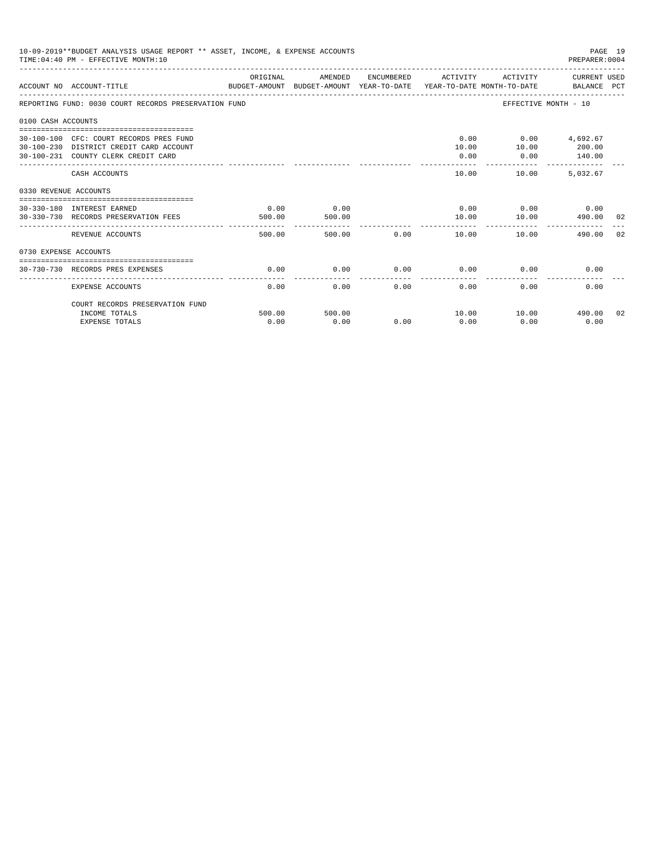|                       | 10-09-2019**BUDGET ANALYSIS USAGE REPORT ** ASSET, INCOME, & EXPENSE ACCOUNTS<br>PAGE 19<br>TIME: 04:40 PM - EFFECTIVE MONTH: 10<br>PREPARER:0004<br>ORIGINAL<br>AMENDED<br>ENCUMBERED ACTIVITY<br>ACTIVITY CURRENT USED<br>ACCOUNT NO ACCOUNT-TITLE CONTROL CONTROLLER TO BUDGET-AMOUNT BUDGET-AMOUNT YEAR-TO-DATE YEAR-TO-DATE MONTH-TO-DATE<br>REPORTING FUND: 0030 COURT RECORDS PRESERVATION FUND<br>EFFECTIVE MONTH - 10<br>0100 CASH ACCOUNTS<br>$0.00$ $0.00$ $4,692.67$<br>30-100-100 CFC: COURT RECORDS PRES FUND<br>200.00<br>10.00<br>10.00<br>30-100-230 DISTRICT CREDIT CARD ACCOUNT<br>140.00<br>30-100-231 COUNTY CLERK CREDIT CARD<br>0.00<br>0.00<br>--------<br>_________________________________<br>10.00<br>10.00<br>5,032.67<br>CASH ACCOUNTS<br>0330 REVENUE ACCOUNTS |                |                |             |                    |                                  |        |    |  |  |
|-----------------------|----------------------------------------------------------------------------------------------------------------------------------------------------------------------------------------------------------------------------------------------------------------------------------------------------------------------------------------------------------------------------------------------------------------------------------------------------------------------------------------------------------------------------------------------------------------------------------------------------------------------------------------------------------------------------------------------------------------------------------------------------------------------------------------------|----------------|----------------|-------------|--------------------|----------------------------------|--------|----|--|--|
|                       |                                                                                                                                                                                                                                                                                                                                                                                                                                                                                                                                                                                                                                                                                                                                                                                              |                |                |             |                    |                                  |        |    |  |  |
|                       |                                                                                                                                                                                                                                                                                                                                                                                                                                                                                                                                                                                                                                                                                                                                                                                              |                |                |             |                    |                                  |        |    |  |  |
|                       |                                                                                                                                                                                                                                                                                                                                                                                                                                                                                                                                                                                                                                                                                                                                                                                              |                |                |             |                    |                                  |        |    |  |  |
|                       |                                                                                                                                                                                                                                                                                                                                                                                                                                                                                                                                                                                                                                                                                                                                                                                              |                |                |             |                    |                                  |        |    |  |  |
|                       |                                                                                                                                                                                                                                                                                                                                                                                                                                                                                                                                                                                                                                                                                                                                                                                              |                |                |             |                    |                                  |        |    |  |  |
|                       |                                                                                                                                                                                                                                                                                                                                                                                                                                                                                                                                                                                                                                                                                                                                                                                              |                |                |             |                    |                                  |        |    |  |  |
|                       | 30-330-180 INTEREST EARNED<br>30-330-730 RECORDS PRESERVATION FEES                                                                                                                                                                                                                                                                                                                                                                                                                                                                                                                                                                                                                                                                                                                           | 0.00<br>500.00 | 0.00<br>500.00 |             | 10.00              | $0.00$ $0.00$ $0.00$<br>10.00    | 490.00 | 02 |  |  |
|                       | REVENUE ACCOUNTS                                                                                                                                                                                                                                                                                                                                                                                                                                                                                                                                                                                                                                                                                                                                                                             | 500.00         |                | 500.00 0.00 | ---------<br>10.00 | 10.00                            | 490.00 | 02 |  |  |
| 0730 EXPENSE ACCOUNTS |                                                                                                                                                                                                                                                                                                                                                                                                                                                                                                                                                                                                                                                                                                                                                                                              |                |                |             |                    |                                  |        |    |  |  |
|                       | 30-730-730 RECORDS PRES EXPENSES                                                                                                                                                                                                                                                                                                                                                                                                                                                                                                                                                                                                                                                                                                                                                             | 0.00           | 0.00           | 0.00        | 0.00               | 0.00                             | 0.00   |    |  |  |
|                       | <b>EXPENSE ACCOUNTS</b>                                                                                                                                                                                                                                                                                                                                                                                                                                                                                                                                                                                                                                                                                                                                                                      | 0.00           | 0.00           | 0.00        | 0.00               | 0.00                             | 0.00   |    |  |  |
|                       | COURT RECORDS PRESERVATION FUND                                                                                                                                                                                                                                                                                                                                                                                                                                                                                                                                                                                                                                                                                                                                                              |                |                |             |                    |                                  |        |    |  |  |
|                       | INCOME TOTALS<br><b>EXPENSE TOTALS</b>                                                                                                                                                                                                                                                                                                                                                                                                                                                                                                                                                                                                                                                                                                                                                       | 500.00<br>0.00 | 500.00<br>0.00 | 0.00        | 0.00               | 10.00    10.00    490.00<br>0.00 | 0.00   | 02 |  |  |
|                       |                                                                                                                                                                                                                                                                                                                                                                                                                                                                                                                                                                                                                                                                                                                                                                                              |                |                |             |                    |                                  |        |    |  |  |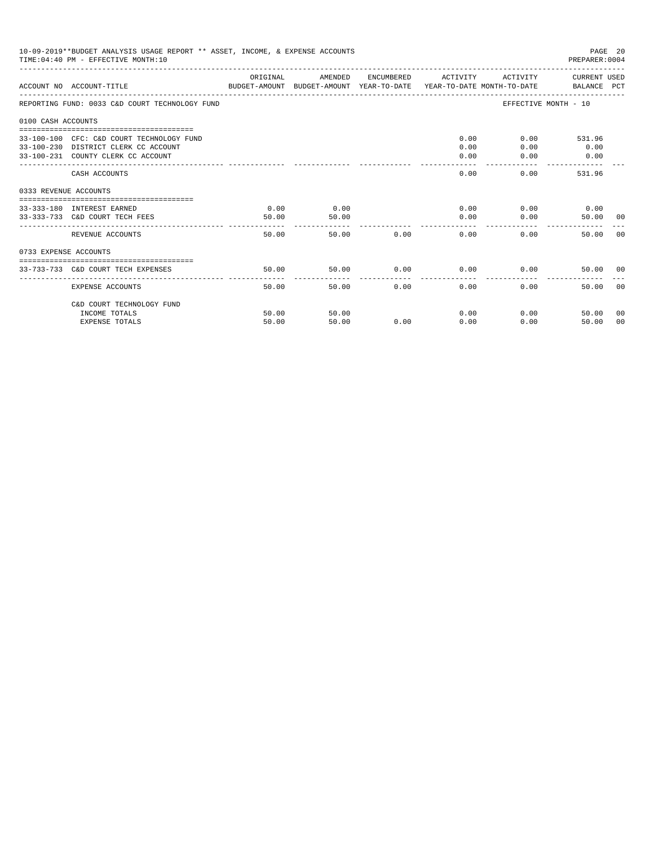| 10-09-2019**BUDGET ANALYSIS USAGE REPORT ** ASSET, INCOME, & EXPENSE ACCOUNTS<br>PAGE 20<br>TIME: 04:40 PM - EFFECTIVE MONTH: 10<br>PREPARER: 0004<br>--------------------<br>ORIGINAL<br>ACTIVITY CURRENT USED<br>AMENDED<br>ENCUMBERED ACTIVITY<br>ACCOUNT NO ACCOUNT-TITLE<br>BUDGET-AMOUNT BUDGET-AMOUNT YEAR-TO-DATE  YEAR-TO-DATE MONTH-TO-DATE      BALANCE PCT<br>REPORTING FUND: 0033 C&D COURT TECHNOLOGY FUND<br>EFFECTIVE MONTH - 10<br>0100 CASH ACCOUNTS<br>0.00<br>$0.00$ 531.96<br>33-100-100 CFC: C&D COURT TECHNOLOGY FUND<br>33-100-230 DISTRICT CLERK CC ACCOUNT<br>0.00<br>0.00<br>0.00<br>33-100-231 COUNTY CLERK CC ACCOUNT<br>0.00<br>0.00<br>0.00<br>$- - - - -$<br>0.00<br>531.96<br>CASH ACCOUNTS<br>0.00<br>0333 REVENUE ACCOUNTS<br>0.00<br>0.00<br>0.00<br>$0.00$ 0.00<br>33-333-180 INTEREST EARNED<br>50.00<br>0.00<br>0.00<br>33-333-733 C&D COURT TECH FEES<br>50.00<br>50.00 00<br>------------<br>50.00<br>50.00<br>0.00<br>0.00<br>0.00<br>REVENUE ACCOUNTS<br>50.00 |                                    |       |       |      |             |      |                  |                |  |
|-----------------------------------------------------------------------------------------------------------------------------------------------------------------------------------------------------------------------------------------------------------------------------------------------------------------------------------------------------------------------------------------------------------------------------------------------------------------------------------------------------------------------------------------------------------------------------------------------------------------------------------------------------------------------------------------------------------------------------------------------------------------------------------------------------------------------------------------------------------------------------------------------------------------------------------------------------------------------------------------------------------|------------------------------------|-------|-------|------|-------------|------|------------------|----------------|--|
|                                                                                                                                                                                                                                                                                                                                                                                                                                                                                                                                                                                                                                                                                                                                                                                                                                                                                                                                                                                                           |                                    |       |       |      |             |      |                  |                |  |
|                                                                                                                                                                                                                                                                                                                                                                                                                                                                                                                                                                                                                                                                                                                                                                                                                                                                                                                                                                                                           |                                    |       |       |      |             |      |                  |                |  |
|                                                                                                                                                                                                                                                                                                                                                                                                                                                                                                                                                                                                                                                                                                                                                                                                                                                                                                                                                                                                           |                                    |       |       |      |             |      |                  |                |  |
|                                                                                                                                                                                                                                                                                                                                                                                                                                                                                                                                                                                                                                                                                                                                                                                                                                                                                                                                                                                                           |                                    |       |       |      |             |      |                  |                |  |
|                                                                                                                                                                                                                                                                                                                                                                                                                                                                                                                                                                                                                                                                                                                                                                                                                                                                                                                                                                                                           |                                    |       |       |      |             |      |                  |                |  |
|                                                                                                                                                                                                                                                                                                                                                                                                                                                                                                                                                                                                                                                                                                                                                                                                                                                                                                                                                                                                           |                                    |       |       |      |             |      |                  |                |  |
|                                                                                                                                                                                                                                                                                                                                                                                                                                                                                                                                                                                                                                                                                                                                                                                                                                                                                                                                                                                                           |                                    |       |       |      |             |      |                  |                |  |
|                                                                                                                                                                                                                                                                                                                                                                                                                                                                                                                                                                                                                                                                                                                                                                                                                                                                                                                                                                                                           |                                    |       |       |      |             |      |                  | 0 <sub>0</sub> |  |
| 0733 EXPENSE ACCOUNTS                                                                                                                                                                                                                                                                                                                                                                                                                                                                                                                                                                                                                                                                                                                                                                                                                                                                                                                                                                                     |                                    |       |       |      |             |      |                  |                |  |
|                                                                                                                                                                                                                                                                                                                                                                                                                                                                                                                                                                                                                                                                                                                                                                                                                                                                                                                                                                                                           | 33-733-733 C&D COURT TECH EXPENSES | 50.00 | 50.00 |      | $0.00$ 0.00 |      | 0.00<br>50.00 00 |                |  |
|                                                                                                                                                                                                                                                                                                                                                                                                                                                                                                                                                                                                                                                                                                                                                                                                                                                                                                                                                                                                           | EXPENSE ACCOUNTS                   | 50.00 | 50.00 | 0.00 | 0.00        | 0.00 | 50.00            | - 0.0          |  |
|                                                                                                                                                                                                                                                                                                                                                                                                                                                                                                                                                                                                                                                                                                                                                                                                                                                                                                                                                                                                           | C&D COURT TECHNOLOGY FUND          |       |       |      |             |      |                  |                |  |
|                                                                                                                                                                                                                                                                                                                                                                                                                                                                                                                                                                                                                                                                                                                                                                                                                                                                                                                                                                                                           | INCOME TOTALS                      | 50.00 | 50.00 |      | 0.00        |      | 0.00<br>50.00    | 00             |  |
|                                                                                                                                                                                                                                                                                                                                                                                                                                                                                                                                                                                                                                                                                                                                                                                                                                                                                                                                                                                                           | <b>EXPENSE TOTALS</b>              | 50.00 | 50.00 | 0.00 | 0.00        | 0.00 | 50.00            | 00             |  |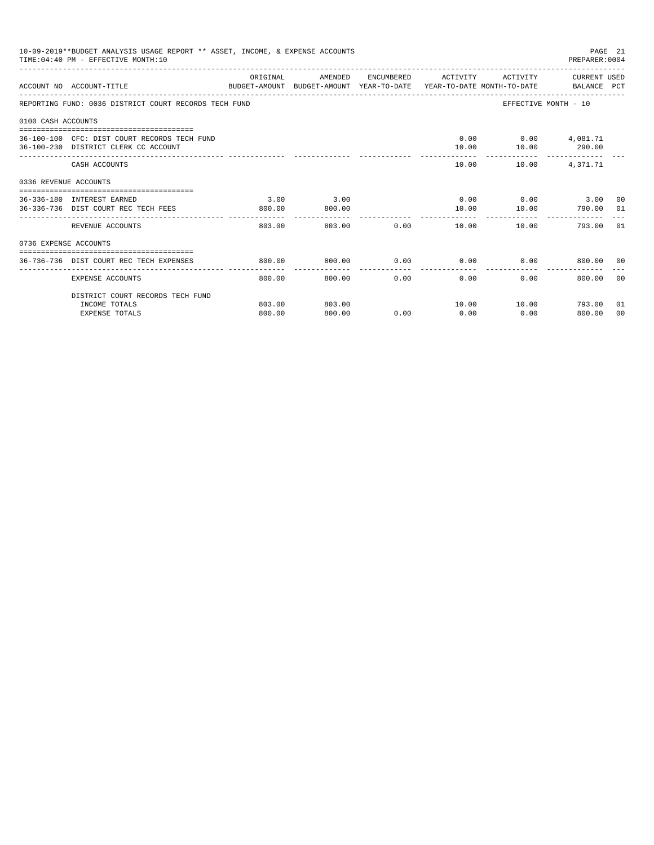|                       | 10-09-2019**BUDGET ANALYSIS USAGE REPORT ** ASSET, INCOME, & EXPENSE ACCOUNTS<br>TIME: 04:40 PM - EFFECTIVE MONTH: 10 |                      |                |             |                    |                                                                    | PAGE 21<br>PREPARER: 0004 |       |
|-----------------------|-----------------------------------------------------------------------------------------------------------------------|----------------------|----------------|-------------|--------------------|--------------------------------------------------------------------|---------------------------|-------|
|                       | ACCOUNT NO ACCOUNT-TITLE<br>BUDGET-AMOUNT BUDGET-AMOUNT YEAR-TO-DATE YEAR-TO-DATE MONTH-TO-DATE BALANCE PCT           | ORIGINAL             | AMENDED        |             |                    | ENCUMBERED ACTIVITY ACTIVITY CURRENT USED                          |                           |       |
|                       | REPORTING FUND: 0036 DISTRICT COURT RECORDS TECH FUND                                                                 |                      |                |             |                    |                                                                    | EFFECTIVE MONTH - 10      |       |
| 0100 CASH ACCOUNTS    |                                                                                                                       |                      |                |             |                    |                                                                    |                           |       |
|                       | 36-100-100 CFC: DIST COURT RECORDS TECH FUND<br>36-100-230 DISTRICT CLERK CC ACCOUNT                                  |                      |                |             | 10.00              | $0.00$ $0.00$ $4.081.71$                                           | 10.00 290.00              |       |
|                       | CASH ACCOUNTS                                                                                                         |                      |                |             |                    | 10.00   10.00   4,371.71                                           |                           |       |
| 0336 REVENUE ACCOUNTS |                                                                                                                       |                      |                |             |                    |                                                                    |                           |       |
|                       | 36-336-180 INTEREST EARNED<br>36-336-736 DIST COURT REC TECH FEES                                                     | 3.00<br>800.00       | 3.00<br>800.00 |             |                    | $0.00$ $0.00$ $0.00$ $3.00$ $00$<br>10.00    10.00    790.00    01 |                           |       |
|                       | REVENUE ACCOUNTS                                                                                                      | ----------<br>803.00 |                | 803.00 0.00 |                    | 10.00                                                              | 10.00<br>793.00 01        |       |
| 0736 EXPENSE ACCOUNTS |                                                                                                                       |                      |                |             |                    |                                                                    |                           |       |
|                       | 36-736-736 DIST COURT REC TECH EXPENSES                                                                               | 800.00               | 800.00         | 0.00        |                    | $0.00$ $0.00$                                                      | 800.00 00                 |       |
|                       | EXPENSE ACCOUNTS                                                                                                      | 800.00               | 800.00         | 0.00        | . <u>.</u><br>0.00 | 0.00                                                               | 800.00                    | - 0.0 |
|                       | DISTRICT COURT RECORDS TECH FUND                                                                                      |                      |                |             |                    |                                                                    |                           |       |
|                       | INCOME TOTALS                                                                                                         | 803.00               | 803.00         |             |                    | 10.00    10.00    793.00                                           |                           | 01    |
|                       | <b>EXPENSE TOTALS</b>                                                                                                 | 800.00               | 800.00         | 0.00        | 0.00               | 0.00                                                               | 800.00                    | 00    |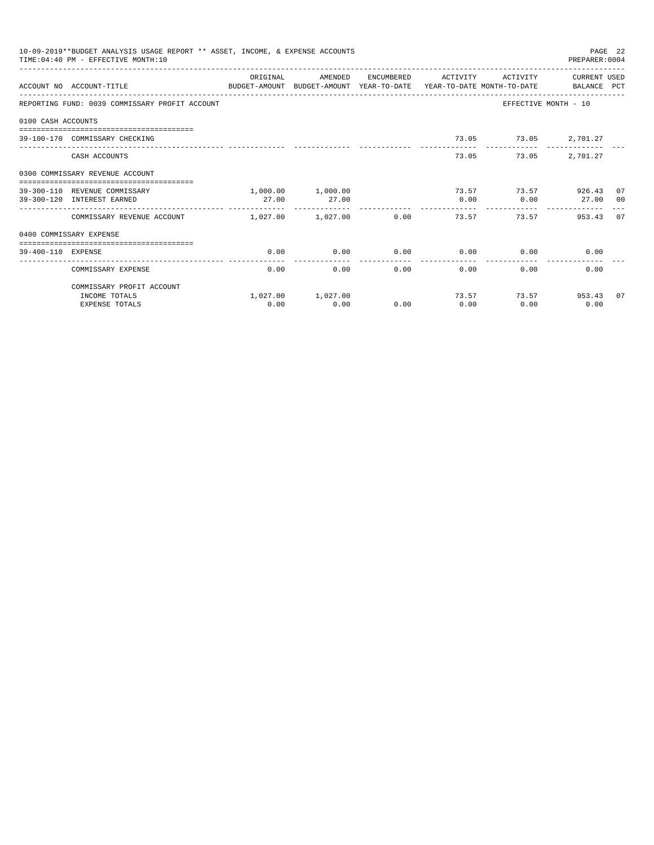| 10-09-2019**BUDGET ANALYSIS USAGE REPORT ** ASSET, INCOME, & EXPENSE ACCOUNTS<br>PAGE 22<br>TIME: 04:40 PM - EFFECTIVE MONTH: 10<br>PREPARER: 0004<br>ORIGINAL<br>AMENDED<br>ENCUMBERED ACTIVITY<br>ACTIVITY<br>CURRENT USED<br>ACCOUNT NO ACCOUNT-TITLE CONTROL SUDGET-AMOUNT BUDGET-AMOUNT YEAR-TO-DATE YEAR-TO-DATE MONTH-TO-DATE BALANCE PCT<br>EFFECTIVE MONTH - 10<br>REPORTING FUND: 0039 COMMISSARY PROFIT ACCOUNT<br>0100 CASH ACCOUNTS<br>73.05 73.05 2,701.27<br>39-100-170 COMMISSARY CHECKING<br>2,701.27<br>73.05<br>73.05<br>CASH ACCOUNTS<br>0300 COMMISSARY REVENUE ACCOUNT<br>-------------------------------------<br>1,000.00 1,000.00<br>73.57 73.57 926.43 07<br>39-300-110 REVENUE COMMISSARY<br>39-300-120 INTEREST EARNED<br>27.00<br>27.00<br>0.00<br>0.00<br>27.00<br>00<br>$1.027.00$ $1.027.00$<br>0.00<br>73.57<br>73.57<br>953.43 07<br>COMMISSARY REVENUE ACCOUNT<br>0400 COMMISSARY EXPENSE<br>0.00<br>0.00<br>0.00<br>0.00<br>39-400-110 EXPENSE<br>0.00<br>0.00<br>------------<br>0.00<br>0.00<br>0.00<br>0.00<br>0.00<br>COMMISSARY EXPENSE<br>0.00<br>COMMISSARY PROFIT ACCOUNT |      |                   |      |       |      |                 |  |
|-----------------------------------------------------------------------------------------------------------------------------------------------------------------------------------------------------------------------------------------------------------------------------------------------------------------------------------------------------------------------------------------------------------------------------------------------------------------------------------------------------------------------------------------------------------------------------------------------------------------------------------------------------------------------------------------------------------------------------------------------------------------------------------------------------------------------------------------------------------------------------------------------------------------------------------------------------------------------------------------------------------------------------------------------------------------------------------------------------------------------|------|-------------------|------|-------|------|-----------------|--|
|                                                                                                                                                                                                                                                                                                                                                                                                                                                                                                                                                                                                                                                                                                                                                                                                                                                                                                                                                                                                                                                                                                                       |      |                   |      |       |      |                 |  |
|                                                                                                                                                                                                                                                                                                                                                                                                                                                                                                                                                                                                                                                                                                                                                                                                                                                                                                                                                                                                                                                                                                                       |      |                   |      |       |      |                 |  |
|                                                                                                                                                                                                                                                                                                                                                                                                                                                                                                                                                                                                                                                                                                                                                                                                                                                                                                                                                                                                                                                                                                                       |      |                   |      |       |      |                 |  |
|                                                                                                                                                                                                                                                                                                                                                                                                                                                                                                                                                                                                                                                                                                                                                                                                                                                                                                                                                                                                                                                                                                                       |      |                   |      |       |      |                 |  |
|                                                                                                                                                                                                                                                                                                                                                                                                                                                                                                                                                                                                                                                                                                                                                                                                                                                                                                                                                                                                                                                                                                                       |      |                   |      |       |      |                 |  |
|                                                                                                                                                                                                                                                                                                                                                                                                                                                                                                                                                                                                                                                                                                                                                                                                                                                                                                                                                                                                                                                                                                                       |      |                   |      |       |      |                 |  |
|                                                                                                                                                                                                                                                                                                                                                                                                                                                                                                                                                                                                                                                                                                                                                                                                                                                                                                                                                                                                                                                                                                                       |      |                   |      |       |      |                 |  |
|                                                                                                                                                                                                                                                                                                                                                                                                                                                                                                                                                                                                                                                                                                                                                                                                                                                                                                                                                                                                                                                                                                                       |      |                   |      |       |      |                 |  |
|                                                                                                                                                                                                                                                                                                                                                                                                                                                                                                                                                                                                                                                                                                                                                                                                                                                                                                                                                                                                                                                                                                                       |      |                   |      |       |      |                 |  |
|                                                                                                                                                                                                                                                                                                                                                                                                                                                                                                                                                                                                                                                                                                                                                                                                                                                                                                                                                                                                                                                                                                                       |      |                   |      |       |      |                 |  |
|                                                                                                                                                                                                                                                                                                                                                                                                                                                                                                                                                                                                                                                                                                                                                                                                                                                                                                                                                                                                                                                                                                                       |      |                   |      |       |      |                 |  |
|                                                                                                                                                                                                                                                                                                                                                                                                                                                                                                                                                                                                                                                                                                                                                                                                                                                                                                                                                                                                                                                                                                                       |      |                   |      |       |      |                 |  |
|                                                                                                                                                                                                                                                                                                                                                                                                                                                                                                                                                                                                                                                                                                                                                                                                                                                                                                                                                                                                                                                                                                                       |      |                   |      |       |      |                 |  |
| INCOME TOTALS                                                                                                                                                                                                                                                                                                                                                                                                                                                                                                                                                                                                                                                                                                                                                                                                                                                                                                                                                                                                                                                                                                         |      | 1,027.00 1,027.00 |      | 73.57 |      | 73.57 953.43 07 |  |
| <b>EXPENSE TOTALS</b>                                                                                                                                                                                                                                                                                                                                                                                                                                                                                                                                                                                                                                                                                                                                                                                                                                                                                                                                                                                                                                                                                                 | 0.00 | 0.00              | 0.00 | 0.00  | 0.00 | 0.00            |  |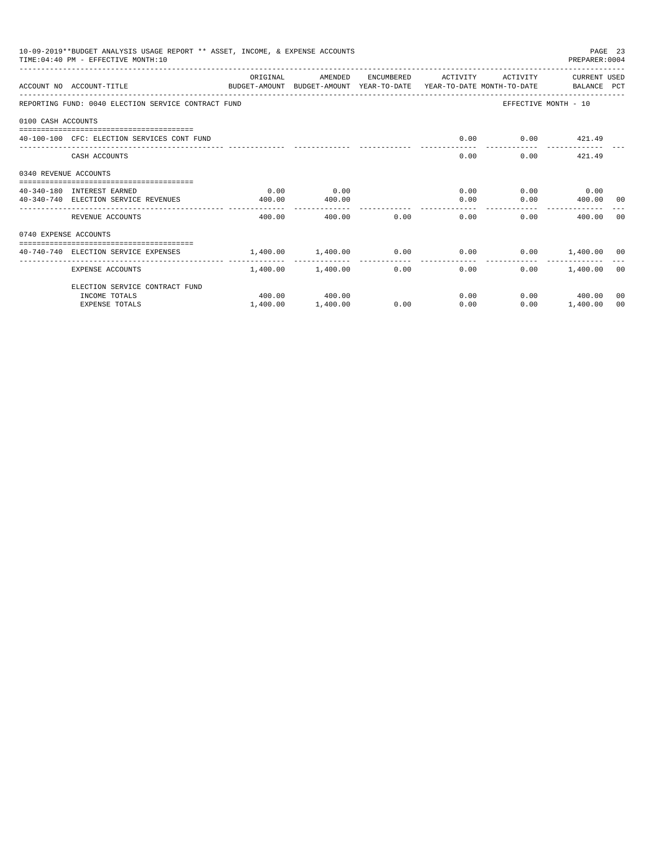| 10-09-2019**BUDGET ANALYSIS USAGE REPORT ** ASSET, INCOME, & EXPENSE ACCOUNTS<br>PAGE 23<br>TIME: 04:40 PM - EFFECTIVE MONTH: 10<br>PREPARER: 0004<br>ORIGINAL<br>ENCUMBERED ACTIVITY<br>ACTIVITY<br>CURRENT USED<br>AMENDED<br>ACCOUNT NO ACCOUNT-TITLE<br>BUDGET-AMOUNT BUDGET-AMOUNT YEAR-TO-DATE YEAR-TO-DATE MONTH-TO-DATE   BALANCE PCT<br>REPORTING FUND: 0040 ELECTION SERVICE CONTRACT FUND<br>EFFECTIVE MONTH - 10<br>0100 CASH ACCOUNTS<br>0.00<br>$0.00$ $421.49$<br>40-100-100 CFC: ELECTION SERVICES CONT FUND<br>0.00<br>$0.00$ 421.49<br>CASH ACCOUNTS<br>0340 REVENUE ACCOUNTS<br>0.00<br>$0.00$ $0.00$ $0.00$<br>0.00<br>40-340-180 INTEREST EARNED<br>$0.00$ 400.00 00<br>40-340-740 ELECTION SERVICE REVENUES<br>400.00<br>0.00<br>400.00<br>. <u>.</u><br>0.00<br>0.00<br>REVENUE ACCOUNTS<br>400.00<br>400.00<br>0.00<br>400.00<br>- 0.0<br>0740 EXPENSE ACCOUNTS<br>$1.400.00$ $1.400.00$ $0.00$ $0.00$ $0.00$ $0.00$ $1.400.00$ $0.0$<br>40-740-740 ELECTION SERVICE EXPENSES |          |                   |      |                                       |      |                    |    |
|-------------------------------------------------------------------------------------------------------------------------------------------------------------------------------------------------------------------------------------------------------------------------------------------------------------------------------------------------------------------------------------------------------------------------------------------------------------------------------------------------------------------------------------------------------------------------------------------------------------------------------------------------------------------------------------------------------------------------------------------------------------------------------------------------------------------------------------------------------------------------------------------------------------------------------------------------------------------------------------------------------|----------|-------------------|------|---------------------------------------|------|--------------------|----|
|                                                                                                                                                                                                                                                                                                                                                                                                                                                                                                                                                                                                                                                                                                                                                                                                                                                                                                                                                                                                       |          |                   |      |                                       |      |                    |    |
|                                                                                                                                                                                                                                                                                                                                                                                                                                                                                                                                                                                                                                                                                                                                                                                                                                                                                                                                                                                                       |          |                   |      |                                       |      |                    |    |
|                                                                                                                                                                                                                                                                                                                                                                                                                                                                                                                                                                                                                                                                                                                                                                                                                                                                                                                                                                                                       |          |                   |      |                                       |      |                    |    |
|                                                                                                                                                                                                                                                                                                                                                                                                                                                                                                                                                                                                                                                                                                                                                                                                                                                                                                                                                                                                       |          |                   |      |                                       |      |                    |    |
|                                                                                                                                                                                                                                                                                                                                                                                                                                                                                                                                                                                                                                                                                                                                                                                                                                                                                                                                                                                                       |          |                   |      |                                       |      |                    |    |
|                                                                                                                                                                                                                                                                                                                                                                                                                                                                                                                                                                                                                                                                                                                                                                                                                                                                                                                                                                                                       |          |                   |      |                                       |      |                    |    |
|                                                                                                                                                                                                                                                                                                                                                                                                                                                                                                                                                                                                                                                                                                                                                                                                                                                                                                                                                                                                       |          |                   |      |                                       |      |                    |    |
|                                                                                                                                                                                                                                                                                                                                                                                                                                                                                                                                                                                                                                                                                                                                                                                                                                                                                                                                                                                                       |          |                   |      |                                       |      |                    |    |
|                                                                                                                                                                                                                                                                                                                                                                                                                                                                                                                                                                                                                                                                                                                                                                                                                                                                                                                                                                                                       |          |                   |      |                                       |      |                    |    |
|                                                                                                                                                                                                                                                                                                                                                                                                                                                                                                                                                                                                                                                                                                                                                                                                                                                                                                                                                                                                       |          |                   |      |                                       |      |                    |    |
|                                                                                                                                                                                                                                                                                                                                                                                                                                                                                                                                                                                                                                                                                                                                                                                                                                                                                                                                                                                                       |          |                   |      |                                       |      |                    |    |
| EXPENSE ACCOUNTS                                                                                                                                                                                                                                                                                                                                                                                                                                                                                                                                                                                                                                                                                                                                                                                                                                                                                                                                                                                      |          | 1,400.00 1,400.00 |      | ----------------<br>$0.00$ and $0.00$ | 0.00 | $0.00$ 1.400.00 00 |    |
| ELECTION SERVICE CONTRACT FUND                                                                                                                                                                                                                                                                                                                                                                                                                                                                                                                                                                                                                                                                                                                                                                                                                                                                                                                                                                        |          |                   |      |                                       |      |                    |    |
| INCOME TOTALS                                                                                                                                                                                                                                                                                                                                                                                                                                                                                                                                                                                                                                                                                                                                                                                                                                                                                                                                                                                         |          | 400.00 400.00     |      |                                       | 0.00 | $0.00$ 400.00      | 00 |
| <b>EXPENSE TOTALS</b>                                                                                                                                                                                                                                                                                                                                                                                                                                                                                                                                                                                                                                                                                                                                                                                                                                                                                                                                                                                 | 1,400.00 | 1,400.00          | 0.00 | 0.00                                  | 0.00 | 1,400.00           | 00 |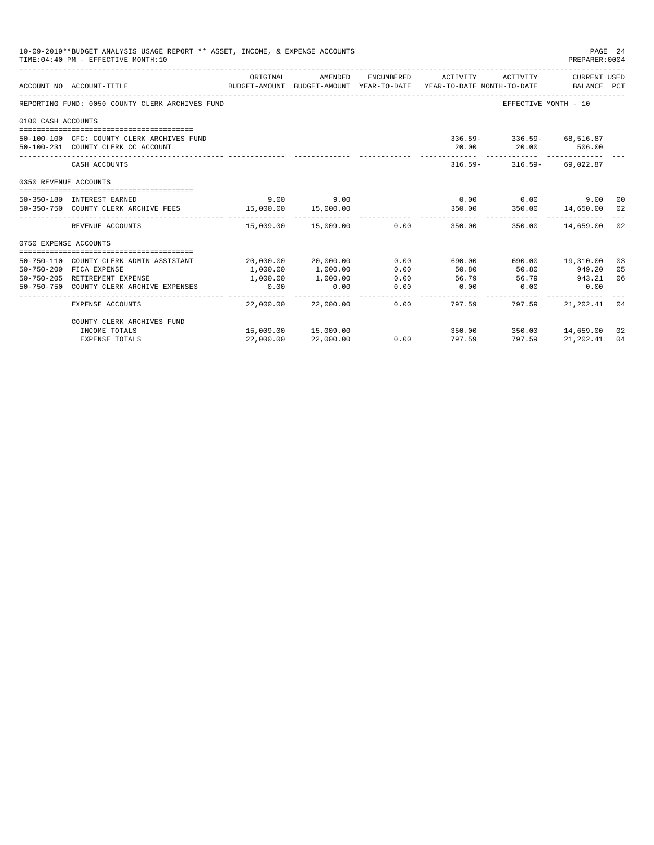| 10-09-2019**BUDGET ANALYSIS USAGE REPORT ** ASSET, INCOME, & EXPENSE ACCOUNTS<br>PAGE 24<br>TIME: 04:40 PM - EFFECTIVE MONTH: 10<br>PREPARER: 0004<br>CURRENT USED<br>ORIGINAL<br>AMENDED<br>ENCUMBERED ACTIVITY<br>ACTIVITY<br>ACCOUNT NO ACCOUNT-TITLE<br>BUDGET-AMOUNT BUDGET-AMOUNT YEAR-TO-DATE YEAR-TO-DATE MONTH-TO-DATE BALANCE PCT<br>REPORTING FUND: 0050 COUNTY CLERK ARCHIVES FUND<br>EFFECTIVE MONTH - 10<br>0100 CASH ACCOUNTS<br>336.59- 336.59- 68,516.87<br>50-100-100 CFC: COUNTY CLERK ARCHIVES FUND<br>20.00 20.00 506.00<br>50-100-231 COUNTY CLERK CC ACCOUNT<br>$316.59 - 316.59 - 69.022.87$<br>CASH ACCOUNTS<br>0350 REVENUE ACCOUNTS<br>9.00<br>$0.00$ 0.00<br>50-350-180 INTEREST EARNED<br>9.00<br>9.00 00<br>350.00  14,650.00  02<br>50-350-750 COUNTY CLERK ARCHIVE FEES 300 15,000.00<br>350.00<br>15,000.00<br>----------<br>________________<br>0.00<br>350.00 14,659.00 02<br>REVENUE ACCOUNTS<br>15,009.00 15,009.00<br>350.00<br>0750 EXPENSE ACCOUNTS<br>690.00 19,310.00<br>20,000.00 20,000.00<br>0.00<br>50-750-110 COUNTY CLERK ADMIN ASSISTANT<br>690.00<br>03<br>50-750-200 FICA EXPENSE<br>1,000.00<br>1,000.00<br>0.00<br>50.80<br>50.80<br>949.20<br>05<br>06<br>50-750-205 RETIREMENT EXPENSE<br>1,000,00<br>1,000.00<br>0.00<br>56.79<br>56.79 943.21<br>0.00<br>0.00<br>0.00<br>$0.00$ 0.00<br>50-750-750 COUNTY CLERK ARCHIVE EXPENSES<br>0.00 |                            |           |                     |      |                             |                  |           |    |
|---------------------------------------------------------------------------------------------------------------------------------------------------------------------------------------------------------------------------------------------------------------------------------------------------------------------------------------------------------------------------------------------------------------------------------------------------------------------------------------------------------------------------------------------------------------------------------------------------------------------------------------------------------------------------------------------------------------------------------------------------------------------------------------------------------------------------------------------------------------------------------------------------------------------------------------------------------------------------------------------------------------------------------------------------------------------------------------------------------------------------------------------------------------------------------------------------------------------------------------------------------------------------------------------------------------------------------------------------------------------------------------------------|----------------------------|-----------|---------------------|------|-----------------------------|------------------|-----------|----|
|                                                                                                                                                                                                                                                                                                                                                                                                                                                                                                                                                                                                                                                                                                                                                                                                                                                                                                                                                                                                                                                                                                                                                                                                                                                                                                                                                                                                   |                            |           |                     |      |                             |                  |           |    |
|                                                                                                                                                                                                                                                                                                                                                                                                                                                                                                                                                                                                                                                                                                                                                                                                                                                                                                                                                                                                                                                                                                                                                                                                                                                                                                                                                                                                   |                            |           |                     |      |                             |                  |           |    |
|                                                                                                                                                                                                                                                                                                                                                                                                                                                                                                                                                                                                                                                                                                                                                                                                                                                                                                                                                                                                                                                                                                                                                                                                                                                                                                                                                                                                   |                            |           |                     |      |                             |                  |           |    |
|                                                                                                                                                                                                                                                                                                                                                                                                                                                                                                                                                                                                                                                                                                                                                                                                                                                                                                                                                                                                                                                                                                                                                                                                                                                                                                                                                                                                   |                            |           |                     |      |                             |                  |           |    |
|                                                                                                                                                                                                                                                                                                                                                                                                                                                                                                                                                                                                                                                                                                                                                                                                                                                                                                                                                                                                                                                                                                                                                                                                                                                                                                                                                                                                   |                            |           |                     |      |                             |                  |           |    |
|                                                                                                                                                                                                                                                                                                                                                                                                                                                                                                                                                                                                                                                                                                                                                                                                                                                                                                                                                                                                                                                                                                                                                                                                                                                                                                                                                                                                   |                            |           |                     |      |                             |                  |           |    |
|                                                                                                                                                                                                                                                                                                                                                                                                                                                                                                                                                                                                                                                                                                                                                                                                                                                                                                                                                                                                                                                                                                                                                                                                                                                                                                                                                                                                   |                            |           |                     |      |                             |                  |           |    |
|                                                                                                                                                                                                                                                                                                                                                                                                                                                                                                                                                                                                                                                                                                                                                                                                                                                                                                                                                                                                                                                                                                                                                                                                                                                                                                                                                                                                   |                            |           |                     |      |                             |                  |           |    |
|                                                                                                                                                                                                                                                                                                                                                                                                                                                                                                                                                                                                                                                                                                                                                                                                                                                                                                                                                                                                                                                                                                                                                                                                                                                                                                                                                                                                   |                            |           |                     |      |                             |                  |           |    |
|                                                                                                                                                                                                                                                                                                                                                                                                                                                                                                                                                                                                                                                                                                                                                                                                                                                                                                                                                                                                                                                                                                                                                                                                                                                                                                                                                                                                   |                            |           |                     |      |                             |                  |           |    |
|                                                                                                                                                                                                                                                                                                                                                                                                                                                                                                                                                                                                                                                                                                                                                                                                                                                                                                                                                                                                                                                                                                                                                                                                                                                                                                                                                                                                   |                            |           |                     |      |                             |                  |           |    |
|                                                                                                                                                                                                                                                                                                                                                                                                                                                                                                                                                                                                                                                                                                                                                                                                                                                                                                                                                                                                                                                                                                                                                                                                                                                                                                                                                                                                   |                            |           |                     |      |                             |                  |           |    |
|                                                                                                                                                                                                                                                                                                                                                                                                                                                                                                                                                                                                                                                                                                                                                                                                                                                                                                                                                                                                                                                                                                                                                                                                                                                                                                                                                                                                   |                            |           |                     |      |                             |                  |           |    |
|                                                                                                                                                                                                                                                                                                                                                                                                                                                                                                                                                                                                                                                                                                                                                                                                                                                                                                                                                                                                                                                                                                                                                                                                                                                                                                                                                                                                   |                            |           |                     |      |                             |                  |           |    |
|                                                                                                                                                                                                                                                                                                                                                                                                                                                                                                                                                                                                                                                                                                                                                                                                                                                                                                                                                                                                                                                                                                                                                                                                                                                                                                                                                                                                   |                            |           |                     |      |                             |                  |           |    |
|                                                                                                                                                                                                                                                                                                                                                                                                                                                                                                                                                                                                                                                                                                                                                                                                                                                                                                                                                                                                                                                                                                                                                                                                                                                                                                                                                                                                   | <b>EXPENSE ACCOUNTS</b>    |           | 22,000.00 22,000.00 |      | $0.00$ and $0.00$<br>797.59 | 797.59           | 21,202.41 | 04 |
|                                                                                                                                                                                                                                                                                                                                                                                                                                                                                                                                                                                                                                                                                                                                                                                                                                                                                                                                                                                                                                                                                                                                                                                                                                                                                                                                                                                                   | COUNTY CLERK ARCHIVES FUND |           |                     |      |                             |                  |           |    |
|                                                                                                                                                                                                                                                                                                                                                                                                                                                                                                                                                                                                                                                                                                                                                                                                                                                                                                                                                                                                                                                                                                                                                                                                                                                                                                                                                                                                   | INCOME TOTALS              |           | 15,009.00 15,009.00 |      | 350.00                      | 350.00 14,659.00 |           | 02 |
|                                                                                                                                                                                                                                                                                                                                                                                                                                                                                                                                                                                                                                                                                                                                                                                                                                                                                                                                                                                                                                                                                                                                                                                                                                                                                                                                                                                                   | <b>EXPENSE TOTALS</b>      | 22,000.00 | 22,000.00           | 0.00 | 797.59                      | 797.59           | 21,202.41 | 04 |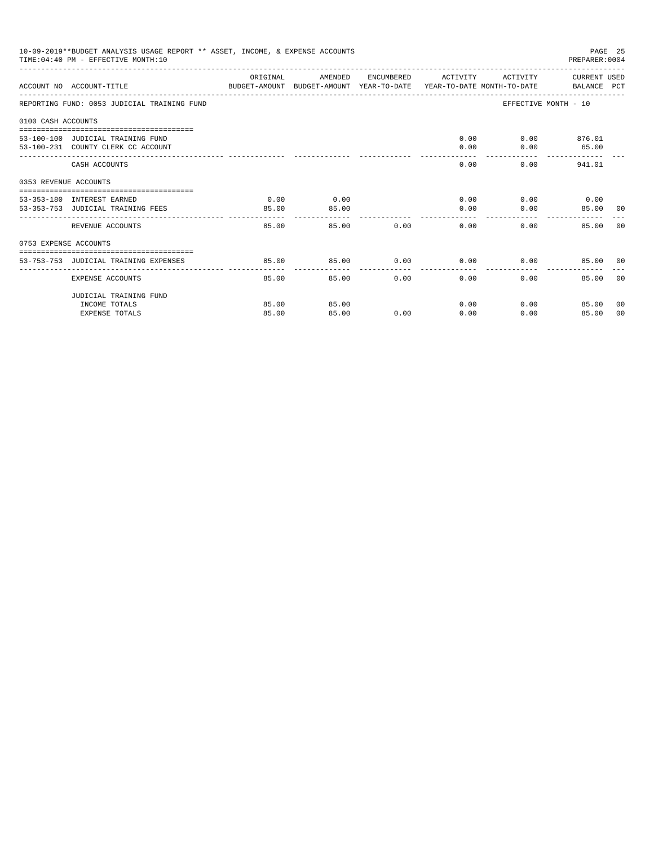| 10-09-2019**BUDGET ANALYSIS USAGE REPORT ** ASSET, INCOME, & EXPENSE ACCOUNTS<br>PAGE 25<br>TIME: 04:40 PM - EFFECTIVE MONTH: 10<br>PREPARER: 0004<br>ORIGINAL<br>AMENDED<br>ACTIVITY CURRENT USED<br>ENCUMBERED ACTIVITY<br>ACCOUNT NO ACCOUNT-TITLE COMPUTER ANOUNT BUDGET-AMOUNT HEAR-TO-DATE YEAR-TO-DATE MONTH-TO-DATE BALANCE PCT<br>REPORTING FUND: 0053 JUDICIAL TRAINING FUND<br>EFFECTIVE MONTH - 10<br>0100 CASH ACCOUNTS<br>$0.00$ $0.00$ $876.01$<br>53-100-100 JUDICIAL TRAINING FUND<br>$0.00$ 65.00<br>53-100-231 COUNTY CLERK CC ACCOUNT<br>0.00<br>0.00<br>$0.00$ 941.01<br>CASH ACCOUNTS<br>0353 REVENUE ACCOUNTS<br>$0.00$ $0.00$ $0.00$<br>0.00<br>0.00<br>53-353-180 INTEREST EARNED<br>0.00<br>$0.00$ and $0.00$<br>53-353-753 JUDICIAL TRAINING FEES<br>85.00<br>85.00<br>85.00 00<br>------ ------<br>$0.00$ and $0.00$<br>REVENUE ACCOUNTS<br>85.00<br>85.00<br>$0.00$ and $0.00$<br>0.00<br>85.00<br>0753 EXPENSE ACCOUNTS<br>$0.00$ $0.00$ $0.00$ $0.00$<br>85.00<br>85.00<br>53-753-753 JUDICIAL TRAINING EXPENSES<br>85.00 00<br>0.00<br>85.00<br>85.00<br>0.00<br>0.00<br>85.00<br>EXPENSE ACCOUNTS |                        |       |       |      |      |      |               |                |
|------------------------------------------------------------------------------------------------------------------------------------------------------------------------------------------------------------------------------------------------------------------------------------------------------------------------------------------------------------------------------------------------------------------------------------------------------------------------------------------------------------------------------------------------------------------------------------------------------------------------------------------------------------------------------------------------------------------------------------------------------------------------------------------------------------------------------------------------------------------------------------------------------------------------------------------------------------------------------------------------------------------------------------------------------------------------------------------------------------------------------------|------------------------|-------|-------|------|------|------|---------------|----------------|
|                                                                                                                                                                                                                                                                                                                                                                                                                                                                                                                                                                                                                                                                                                                                                                                                                                                                                                                                                                                                                                                                                                                                    |                        |       |       |      |      |      |               |                |
|                                                                                                                                                                                                                                                                                                                                                                                                                                                                                                                                                                                                                                                                                                                                                                                                                                                                                                                                                                                                                                                                                                                                    |                        |       |       |      |      |      |               |                |
|                                                                                                                                                                                                                                                                                                                                                                                                                                                                                                                                                                                                                                                                                                                                                                                                                                                                                                                                                                                                                                                                                                                                    |                        |       |       |      |      |      |               |                |
|                                                                                                                                                                                                                                                                                                                                                                                                                                                                                                                                                                                                                                                                                                                                                                                                                                                                                                                                                                                                                                                                                                                                    |                        |       |       |      |      |      |               |                |
|                                                                                                                                                                                                                                                                                                                                                                                                                                                                                                                                                                                                                                                                                                                                                                                                                                                                                                                                                                                                                                                                                                                                    |                        |       |       |      |      |      |               |                |
|                                                                                                                                                                                                                                                                                                                                                                                                                                                                                                                                                                                                                                                                                                                                                                                                                                                                                                                                                                                                                                                                                                                                    |                        |       |       |      |      |      |               |                |
|                                                                                                                                                                                                                                                                                                                                                                                                                                                                                                                                                                                                                                                                                                                                                                                                                                                                                                                                                                                                                                                                                                                                    |                        |       |       |      |      |      |               |                |
|                                                                                                                                                                                                                                                                                                                                                                                                                                                                                                                                                                                                                                                                                                                                                                                                                                                                                                                                                                                                                                                                                                                                    |                        |       |       |      |      |      |               | 0.0            |
|                                                                                                                                                                                                                                                                                                                                                                                                                                                                                                                                                                                                                                                                                                                                                                                                                                                                                                                                                                                                                                                                                                                                    |                        |       |       |      |      |      |               |                |
|                                                                                                                                                                                                                                                                                                                                                                                                                                                                                                                                                                                                                                                                                                                                                                                                                                                                                                                                                                                                                                                                                                                                    |                        |       |       |      |      |      |               |                |
|                                                                                                                                                                                                                                                                                                                                                                                                                                                                                                                                                                                                                                                                                                                                                                                                                                                                                                                                                                                                                                                                                                                                    |                        |       |       |      |      |      |               | 0 <sub>0</sub> |
|                                                                                                                                                                                                                                                                                                                                                                                                                                                                                                                                                                                                                                                                                                                                                                                                                                                                                                                                                                                                                                                                                                                                    | JUDICIAL TRAINING FUND |       |       |      |      |      |               |                |
|                                                                                                                                                                                                                                                                                                                                                                                                                                                                                                                                                                                                                                                                                                                                                                                                                                                                                                                                                                                                                                                                                                                                    | INCOME TOTALS          | 85.00 | 85.00 |      | 0.00 |      | 0.00<br>85.00 | 00             |
|                                                                                                                                                                                                                                                                                                                                                                                                                                                                                                                                                                                                                                                                                                                                                                                                                                                                                                                                                                                                                                                                                                                                    | <b>EXPENSE TOTALS</b>  | 85.00 | 85.00 | 0.00 | 0.00 | 0.00 | 85.00         | 00             |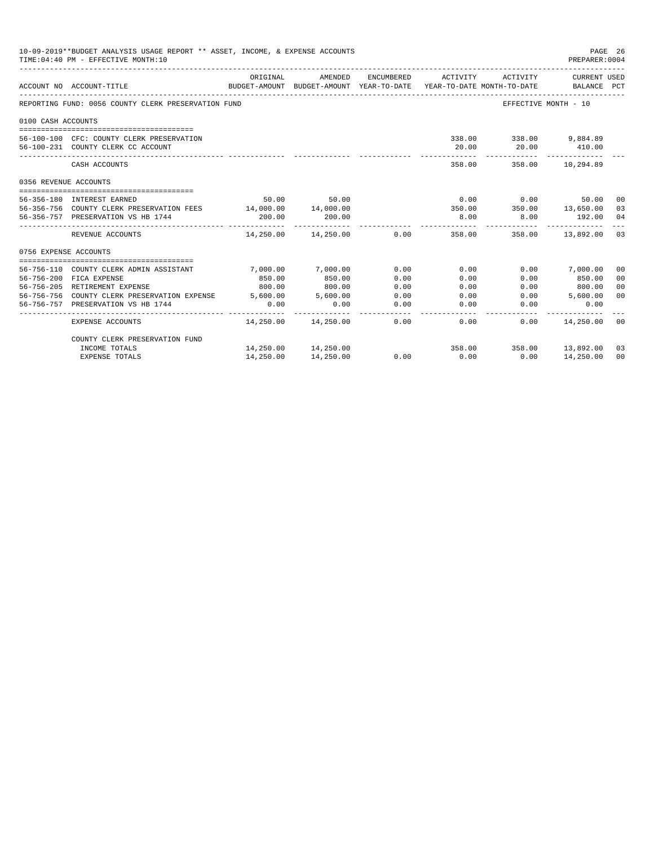|                       | 10-09-2019**BUDGET ANALYSIS USAGE REPORT ** ASSET, INCOME, & EXPENSE ACCOUNTS<br>TIME: 04:40 PM - EFFECTIVE MONTH: 10 |            |                                                     |                |                |                                        | PAGE 26<br>PREPARER: 0004   |                |
|-----------------------|-----------------------------------------------------------------------------------------------------------------------|------------|-----------------------------------------------------|----------------|----------------|----------------------------------------|-----------------------------|----------------|
|                       | ACCOUNT NO ACCOUNT-TITLE                                                                                              | ORIGINAL   | AMENDED<br>BUDGET-AMOUNT BUDGET-AMOUNT YEAR-TO-DATE | ENCUMBERED     | ACTIVITY       | ACTIVITY<br>YEAR-TO-DATE MONTH-TO-DATE | CURRENT USED<br>BALANCE PCT |                |
|                       | REPORTING FUND: 0056 COUNTY CLERK PRESERVATION FUND                                                                   |            |                                                     |                |                |                                        | EFFECTIVE MONTH - 10        |                |
| 0100 CASH ACCOUNTS    |                                                                                                                       |            |                                                     |                |                |                                        |                             |                |
|                       |                                                                                                                       |            |                                                     |                |                |                                        |                             |                |
|                       | 56-100-100 CFC: COUNTY CLERK PRESERVATION                                                                             |            |                                                     |                |                | 338.00 338.00 9.884.89                 |                             |                |
|                       | 56-100-231 COUNTY CLERK CC ACCOUNT                                                                                    |            |                                                     |                | 20.00          |                                        | 20.00 410.00                |                |
|                       | CASH ACCOUNTS                                                                                                         |            |                                                     |                |                | 358.00 358.00 10,294.89                |                             |                |
| 0356 REVENUE ACCOUNTS |                                                                                                                       |            |                                                     |                |                |                                        |                             |                |
|                       | 56-356-180 INTEREST EARNED                                                                                            | 50.00      | 50.00                                               |                |                | $0.00$ 0.00                            | 50.00 00                    |                |
|                       | 56-356-756 COUNTY CLERK PRESERVATION FEES 14,000.00 14,000.00                                                         |            |                                                     |                |                | $350.00$ $350.00$ $13,650.00$ 03       |                             |                |
|                       | 56-356-757 PRESERVATION VS HB 1744                                                                                    | 200.00     | 200.00                                              |                | 8.00           | 8.00                                   | 192.00 04                   |                |
|                       | REVENUE ACCOUNTS                                                                                                      | ---------- | 14,250.00 14,250.00                                 |                | 0.00           | 358.00 358.00 13.892.00 03             |                             |                |
| 0756 EXPENSE ACCOUNTS |                                                                                                                       |            |                                                     |                |                |                                        |                             |                |
|                       |                                                                                                                       |            |                                                     |                |                |                                        |                             |                |
|                       | 56-756-110 COUNTY CLERK ADMIN ASSISTANT                                                                               | 7.000.00   | 7,000.00                                            | 0.00           | 0.00           |                                        | $0.00$ 7,000.00             | 00             |
|                       | 56-756-200 FICA EXPENSE                                                                                               | 850.00     | 850.00                                              | 0.00           | 0.00           | 0.00                                   | 850.00                      | 0 <sup>0</sup> |
|                       | 56-756-205 RETIREMENT EXPENSE                                                                                         | 800.00     | 800.00                                              | 0.00           | 0.00           |                                        | $0.00$ 800.00               | 0 <sup>0</sup> |
|                       | 56-756-756 COUNTY CLERK PRESERVATION EXPENSE 5,600.00                                                                 |            | 5,600.00                                            | 0.00           | 0.00           | 0.00                                   | 5,600.00                    | 0 <sup>0</sup> |
|                       | 56-756-757 PRESERVATION VS HB 1744                                                                                    | 0.00       | 0.00                                                | 0.00<br>------ | 0.00<br>------ | 0.00                                   | 0.00                        |                |
|                       | EXPENSE ACCOUNTS                                                                                                      |            | 14,250.00  14,250.00                                | 0.00           | 0.00           |                                        | $0.00$ 14,250.00 00         |                |
|                       | COUNTY CLERK PRESERVATION FUND                                                                                        |            |                                                     |                |                |                                        |                             |                |
|                       | INCOME TOTALS                                                                                                         |            | 14,250.00 14,250.00                                 |                |                | 358.00 358.00 13,892.00                |                             | 03             |
|                       | <b>EXPENSE TOTALS</b>                                                                                                 | 14,250.00  | 14,250.00                                           | 0.00           | 0.00           | 0.00                                   | 14,250.00                   | 00             |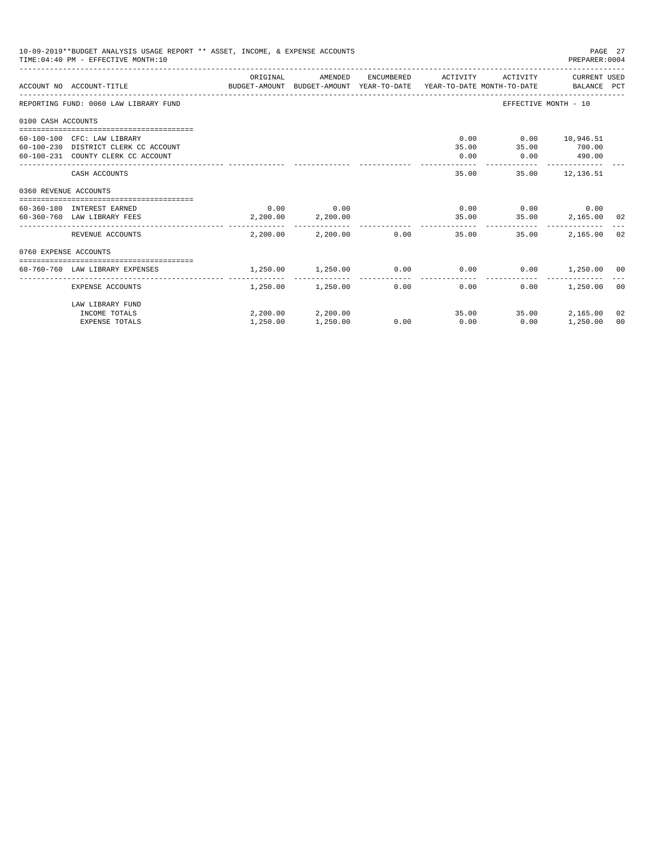| 10-09-2019**BUDGET ANALYSIS USAGE REPORT ** ASSET, INCOME, & EXPENSE ACCOUNTS<br>PAGE 27<br>TIME: 04:40 PM - EFFECTIVE MONTH: 10<br>PREPARER: 0004<br>ORIGINAL<br>ENCUMBERED ACTIVITY<br>ACTIVITY CURRENT USED<br>AMENDED<br>ACCOUNT NO ACCOUNT-TITLE CONTROL SUDGET-AMOUNT BUDGET-AMOUNT YEAR-TO-DATE YEAR-TO-DATE MONTH-TO-DATE BALANCE PCT<br>EFFECTIVE MONTH - 10<br>REPORTING FUND: 0060 LAW LIBRARY FUND<br>0100 CASH ACCOUNTS<br>$0.00$ $0.00$ $10,946.51$<br>60-100-100 CFC: LAW LIBRARY<br>35.00 35.00 700.00<br>60-100-230 DISTRICT CLERK CC ACCOUNT<br>60-100-231 COUNTY CLERK CC ACCOUNT<br>0.00<br>$0.00$ 490.00<br>35.00<br>35.00 12,136.51<br>CASH ACCOUNTS<br>0360 REVENUE ACCOUNTS<br>$0.00$ 0.00<br>$0.00$ $0.00$ $0.00$ $0.00$<br>60-360-180 INTEREST EARNED<br>2,200.00 2,200.00<br>35.00 35.00 2,165.00 02<br>60-360-760 LAW LIBRARY FEES<br>----------- ------------ -------------<br>$2.200.00$ $2.200.00$ $0.00$<br>2,165.00<br>REVENUE ACCOUNTS<br>35.00<br>35.00<br>0760 EXPENSE ACCOUNTS<br>1,250.00 1,250.00<br>$0.00$ $0.00$ $0.00$ $0.00$ $1,250.00$ $00$<br>60-760-760 LAW LIBRARY EXPENSES<br>_______________________________<br>1,250.00 1,250.00 0.00<br>0.00<br>0.00<br>1,250.00<br>EXPENSE ACCOUNTS |                                                            |          |                               |      |      |               |                            |                      |
|-----------------------------------------------------------------------------------------------------------------------------------------------------------------------------------------------------------------------------------------------------------------------------------------------------------------------------------------------------------------------------------------------------------------------------------------------------------------------------------------------------------------------------------------------------------------------------------------------------------------------------------------------------------------------------------------------------------------------------------------------------------------------------------------------------------------------------------------------------------------------------------------------------------------------------------------------------------------------------------------------------------------------------------------------------------------------------------------------------------------------------------------------------------------------------------------------------------------------------------------|------------------------------------------------------------|----------|-------------------------------|------|------|---------------|----------------------------|----------------------|
|                                                                                                                                                                                                                                                                                                                                                                                                                                                                                                                                                                                                                                                                                                                                                                                                                                                                                                                                                                                                                                                                                                                                                                                                                                         |                                                            |          |                               |      |      |               |                            |                      |
|                                                                                                                                                                                                                                                                                                                                                                                                                                                                                                                                                                                                                                                                                                                                                                                                                                                                                                                                                                                                                                                                                                                                                                                                                                         |                                                            |          |                               |      |      |               |                            |                      |
|                                                                                                                                                                                                                                                                                                                                                                                                                                                                                                                                                                                                                                                                                                                                                                                                                                                                                                                                                                                                                                                                                                                                                                                                                                         |                                                            |          |                               |      |      |               |                            |                      |
|                                                                                                                                                                                                                                                                                                                                                                                                                                                                                                                                                                                                                                                                                                                                                                                                                                                                                                                                                                                                                                                                                                                                                                                                                                         |                                                            |          |                               |      |      |               |                            |                      |
|                                                                                                                                                                                                                                                                                                                                                                                                                                                                                                                                                                                                                                                                                                                                                                                                                                                                                                                                                                                                                                                                                                                                                                                                                                         |                                                            |          |                               |      |      |               |                            |                      |
|                                                                                                                                                                                                                                                                                                                                                                                                                                                                                                                                                                                                                                                                                                                                                                                                                                                                                                                                                                                                                                                                                                                                                                                                                                         |                                                            |          |                               |      |      |               |                            |                      |
|                                                                                                                                                                                                                                                                                                                                                                                                                                                                                                                                                                                                                                                                                                                                                                                                                                                                                                                                                                                                                                                                                                                                                                                                                                         |                                                            |          |                               |      |      |               |                            |                      |
|                                                                                                                                                                                                                                                                                                                                                                                                                                                                                                                                                                                                                                                                                                                                                                                                                                                                                                                                                                                                                                                                                                                                                                                                                                         |                                                            |          |                               |      |      |               |                            | 02                   |
|                                                                                                                                                                                                                                                                                                                                                                                                                                                                                                                                                                                                                                                                                                                                                                                                                                                                                                                                                                                                                                                                                                                                                                                                                                         |                                                            |          |                               |      |      |               |                            |                      |
|                                                                                                                                                                                                                                                                                                                                                                                                                                                                                                                                                                                                                                                                                                                                                                                                                                                                                                                                                                                                                                                                                                                                                                                                                                         |                                                            |          |                               |      |      |               |                            |                      |
|                                                                                                                                                                                                                                                                                                                                                                                                                                                                                                                                                                                                                                                                                                                                                                                                                                                                                                                                                                                                                                                                                                                                                                                                                                         |                                                            |          |                               |      |      |               |                            | 0 <sup>0</sup>       |
|                                                                                                                                                                                                                                                                                                                                                                                                                                                                                                                                                                                                                                                                                                                                                                                                                                                                                                                                                                                                                                                                                                                                                                                                                                         | LAW LIBRARY FUND<br>INCOME TOTALS<br><b>EXPENSE TOTALS</b> | 1,250.00 | 2,200.00 2,200.00<br>1,250.00 | 0.00 | 0.00 | 35.00<br>0.00 | 35.00 2.165.00<br>1,250.00 | 02<br>0 <sup>0</sup> |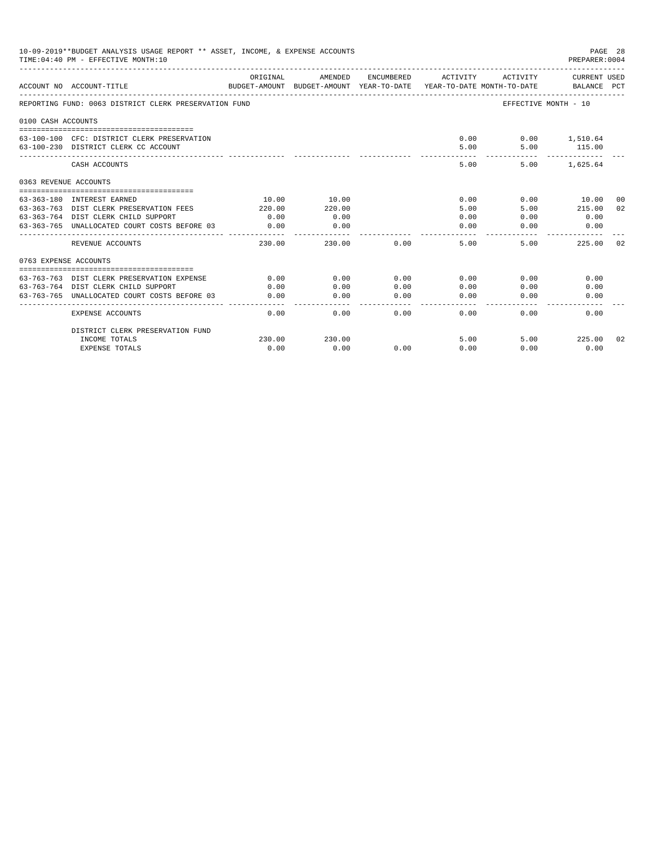|                       | 10-09-2019**BUDGET ANALYSIS USAGE REPORT ** ASSET, INCOME, & EXPENSE ACCOUNTS<br>TIME: 04:40 PM - EFFECTIVE MONTH: 10 |          |                                                     |                     |               |                                        | PAGE 28<br>PREPARER: 0004   |
|-----------------------|-----------------------------------------------------------------------------------------------------------------------|----------|-----------------------------------------------------|---------------------|---------------|----------------------------------------|-----------------------------|
|                       | ACCOUNT NO ACCOUNT-TITLE                                                                                              | ORIGINAL | AMENDED<br>BUDGET-AMOUNT BUDGET-AMOUNT YEAR-TO-DATE | ENCUMBERED          | ACTIVITY      | ACTIVITY<br>YEAR-TO-DATE MONTH-TO-DATE | CURRENT USED<br>BALANCE PCT |
|                       | REPORTING FUND: 0063 DISTRICT CLERK PRESERVATION FUND                                                                 |          |                                                     |                     |               |                                        | EFFECTIVE MONTH - 10        |
| 0100 CASH ACCOUNTS    |                                                                                                                       |          |                                                     |                     |               |                                        |                             |
|                       | 63-100-100 CFC: DISTRICT CLERK PRESERVATION                                                                           |          |                                                     |                     | 0.00          |                                        | $0.00$ 1,510.64             |
|                       | 63-100-230 DISTRICT CLERK CC ACCOUNT                                                                                  |          |                                                     |                     | 5.00          | 5.00                                   | 115.00                      |
|                       | CASH ACCOUNTS                                                                                                         |          |                                                     |                     | 5.00          | 5.00                                   | ------------<br>1,625.64    |
|                       |                                                                                                                       |          |                                                     |                     |               |                                        |                             |
|                       |                                                                                                                       |          |                                                     |                     |               |                                        |                             |
|                       | 63-363-180 INTEREST EARNED                                                                                            | 10.00    | 10.00                                               |                     | 0.00          | 0.00                                   | 10.00<br>-00                |
|                       | 63-363-763 DIST CLERK PRESERVATION FEES                                                                               | 220.00   | 220.00                                              |                     | 5.00          | 5.00                                   | 215.00<br>02                |
| 0363 REVENUE ACCOUNTS | 63-363-764 DIST CLERK CHILD SUPPORT                                                                                   | 0.00     | 0.00                                                |                     | 0.00          | 0.00                                   | 0.00                        |
|                       | 63-363-765 UNALLOCATED COURT COSTS BEFORE 03                                                                          | 0.00     | 0.00                                                |                     | 0.00          | 0.00                                   | 0.00                        |
|                       | REVENUE ACCOUNTS                                                                                                      | 230.00   | 230.00                                              | 0.00                | 5.00          | 5.00                                   | 225.00<br>02                |
| 0763 EXPENSE ACCOUNTS |                                                                                                                       |          |                                                     |                     |               |                                        |                             |
|                       |                                                                                                                       |          |                                                     |                     |               |                                        |                             |
| 63-763-763            | DIST CLERK PRESERVATION EXPENSE                                                                                       | 0.00     | 0.00                                                | 0.00                | 0.00          | 0.00                                   | 0.00                        |
|                       | 63-763-764 DIST CLERK CHILD SUPPORT                                                                                   | 0.00     | 0.00                                                | 0.00                | 0.00          | 0.00                                   | 0.00                        |
|                       | 63-763-765 UNALLOCATED COURT COSTS BEFORE 03                                                                          | 0.00     | 0.00                                                | 0.00<br>$- - - - -$ | 0.00<br>----- | 0.00                                   | 0.00                        |
|                       | <b>EXPENSE ACCOUNTS</b>                                                                                               | 0.00     | 0.00                                                | 0.00                | 0.00          | 0.00                                   | 0.00                        |
|                       | DISTRICT CLERK PRESERVATION FUND                                                                                      |          |                                                     |                     |               |                                        |                             |
|                       | INCOME TOTALS                                                                                                         | 230.00   | 230.00                                              |                     | 5.00          | 5.00                                   | 225.00<br>02                |
|                       | <b>EXPENSE TOTALS</b>                                                                                                 | 0.00     | 0.00                                                | 0.00                | 0.00          | 0.00                                   | 0.00                        |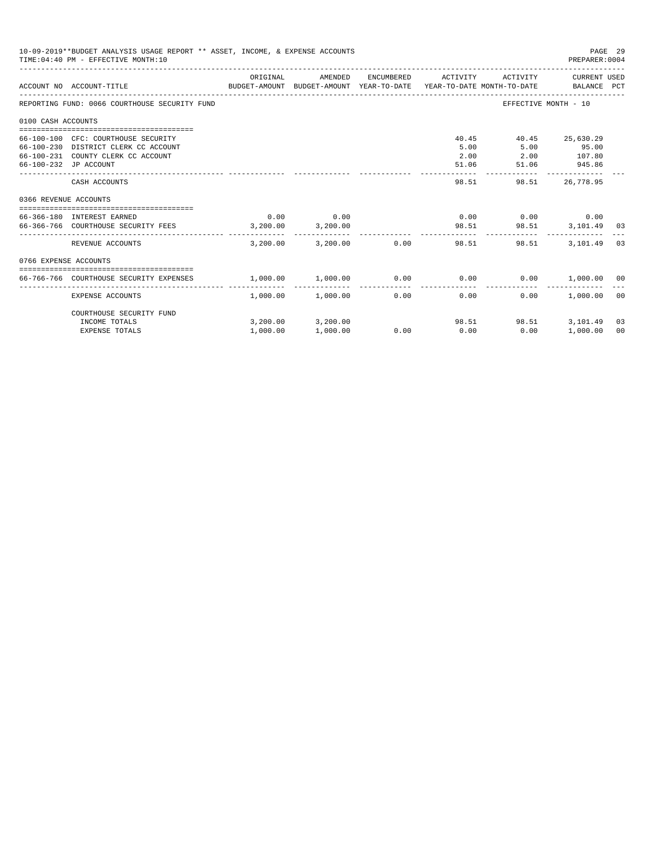|                       | 10-09-2019**BUDGET ANALYSIS USAGE REPORT ** ASSET, INCOME, & EXPENSE ACCOUNTS<br>PAGE 29<br>TIME: 04:40 PM - EFFECTIVE MONTH: 10<br>PREPARER: 0004<br>ORIGINAL<br>AMENDED<br>ENCUMBERED<br>ACTIVITY<br>CURRENT USED<br>ACTIVITY<br>BUDGET-AMOUNT BUDGET-AMOUNT YEAR-TO-DATE  YEAR-TO-DATE MONTH-TO-DATE     BALANCE PCT<br>ACCOUNT NO ACCOUNT-TITLE<br>REPORTING FUND: 0066 COURTHOUSE SECURITY FUND<br>EFFECTIVE MONTH - 10<br>0100 CASH ACCOUNTS<br>40.45<br>40.45 25.630.29<br>66-100-100 CFC: COURTHOUSE SECURITY<br>5.00<br>5.00<br>66-100-230 DISTRICT CLERK CC ACCOUNT<br>95.00<br>2.00 107.80<br>66-100-231 COUNTY CLERK CC ACCOUNT<br>2.00<br>945.86<br>66-100-232 JP ACCOUNT<br>51.06<br>51.06<br>98.51<br>CASH ACCOUNTS<br>98.51<br>26,778.95<br>0366 REVENUE ACCOUNTS |                                            |                               |                 |                       |                             |                      |          |
|-----------------------|-----------------------------------------------------------------------------------------------------------------------------------------------------------------------------------------------------------------------------------------------------------------------------------------------------------------------------------------------------------------------------------------------------------------------------------------------------------------------------------------------------------------------------------------------------------------------------------------------------------------------------------------------------------------------------------------------------------------------------------------------------------------------------------|--------------------------------------------|-------------------------------|-----------------|-----------------------|-----------------------------|----------------------|----------|
|                       |                                                                                                                                                                                                                                                                                                                                                                                                                                                                                                                                                                                                                                                                                                                                                                                   |                                            |                               |                 |                       |                             |                      |          |
|                       |                                                                                                                                                                                                                                                                                                                                                                                                                                                                                                                                                                                                                                                                                                                                                                                   |                                            |                               |                 |                       |                             |                      |          |
|                       |                                                                                                                                                                                                                                                                                                                                                                                                                                                                                                                                                                                                                                                                                                                                                                                   |                                            |                               |                 |                       |                             |                      |          |
|                       |                                                                                                                                                                                                                                                                                                                                                                                                                                                                                                                                                                                                                                                                                                                                                                                   |                                            |                               |                 |                       |                             |                      |          |
|                       |                                                                                                                                                                                                                                                                                                                                                                                                                                                                                                                                                                                                                                                                                                                                                                                   |                                            |                               |                 |                       |                             |                      |          |
|                       |                                                                                                                                                                                                                                                                                                                                                                                                                                                                                                                                                                                                                                                                                                                                                                                   |                                            |                               |                 |                       |                             |                      |          |
|                       | 66-366-180 INTEREST EARNED<br>66-366-766 COURTHOUSE SECURITY FEES 3,200.00 3,200.00                                                                                                                                                                                                                                                                                                                                                                                                                                                                                                                                                                                                                                                                                               | 0.00                                       | 0.00                          |                 | 98.51                 | $0.00$ $0.00$ $0.00$ $0.00$ | 98.51 3,101.49       | - 03     |
|                       | REVENUE ACCOUNTS                                                                                                                                                                                                                                                                                                                                                                                                                                                                                                                                                                                                                                                                                                                                                                  | 3,200,00                                   |                               | $3.200.00$ 0.00 |                       | 98.51<br>98.51              | 3,101.49             | 03       |
| 0766 EXPENSE ACCOUNTS |                                                                                                                                                                                                                                                                                                                                                                                                                                                                                                                                                                                                                                                                                                                                                                                   |                                            |                               |                 |                       |                             |                      |          |
|                       | 66-766-766 COURTHOUSE SECURITY EXPENSES                                                                                                                                                                                                                                                                                                                                                                                                                                                                                                                                                                                                                                                                                                                                           | $1,000.00$ $1,000.00$ $0.00$ $0.00$ $0.00$ |                               |                 |                       |                             | $0.00$ 1,000.00 00   |          |
|                       | EXPENSE ACCOUNTS                                                                                                                                                                                                                                                                                                                                                                                                                                                                                                                                                                                                                                                                                                                                                                  |                                            | $1,000.00$ $1,000.00$         | 0.00            | -------------<br>0.00 | 0.00                        | 1.000.00             | ററ       |
|                       | COURTHOUSE SECURITY FUND                                                                                                                                                                                                                                                                                                                                                                                                                                                                                                                                                                                                                                                                                                                                                          |                                            |                               |                 |                       |                             |                      |          |
|                       | INCOME TOTALS<br><b>EXPENSE TOTALS</b>                                                                                                                                                                                                                                                                                                                                                                                                                                                                                                                                                                                                                                                                                                                                            | 1,000.00                                   | 3,200.00 3,200.00<br>1,000.00 | 0.00            | 0.00                  | 98.51<br>98.51<br>0.00      | 3,101.49<br>1,000.00 | 03<br>00 |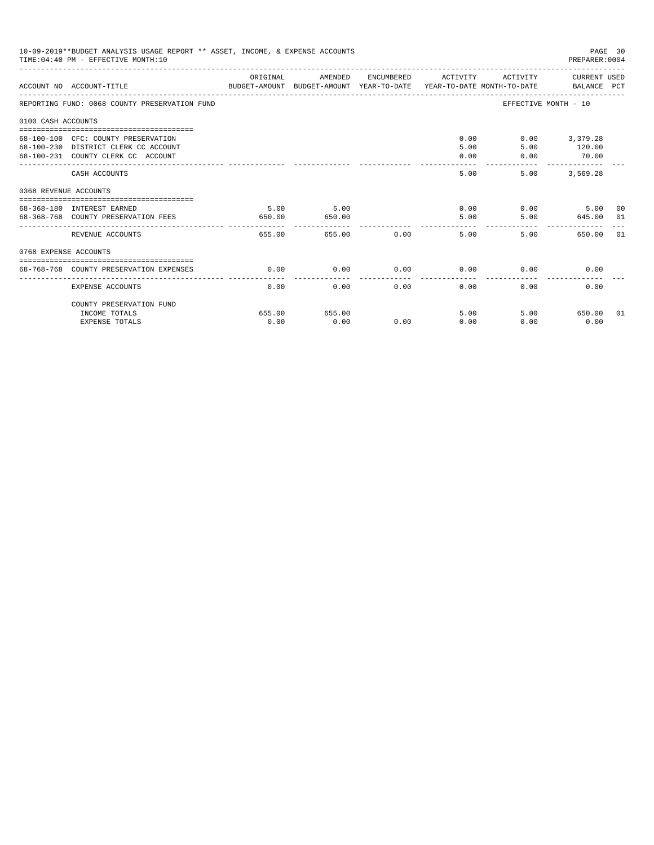| 10-09-2019**BUDGET ANALYSIS USAGE REPORT ** ASSET, INCOME, & EXPENSE ACCOUNTS<br>PAGE 30<br>TIME: 04:40 PM - EFFECTIVE MONTH: 10<br>PREPARER: 0004<br>ACTIVITY CURRENT USED<br>ORIGINAL<br>AMENDED<br>ENCUMBERED ACTIVITY<br>ACCOUNT NO ACCOUNT-TITLE<br>BUDGET-AMOUNT BUDGET-AMOUNT YEAR-TO-DATE  YEAR-TO-DATE MONTH-TO-DATE      BALANCE PCT<br>REPORTING FUND: 0068 COUNTY PRESERVATION FUND<br>EFFECTIVE MONTH - 10<br>0100 CASH ACCOUNTS<br>$0.00$ and $0.00$<br>0.00<br>3,379.28<br>68-100-100 CFC: COUNTY PRESERVATION<br>120.00<br>5.00<br>5.00<br>68-100-230 DISTRICT CLERK CC ACCOUNT<br>68-100-231 COUNTY CLERK CC ACCOUNT<br>0.00<br>0.00<br>70.00<br>------<br>-----------<br>5.00<br>CASH ACCOUNTS<br>5.00<br>3,569.28<br>0368 REVENUE ACCOUNTS<br>5.00<br>5.00<br>0.00<br>0.00<br>5.00<br>68-368-180 INTEREST EARNED<br>5.00<br>5.00<br>645.00 01<br>68-368-768 COUNTY PRESERVATION FEES<br>650.00<br>650.00<br>------------<br>655.00 0.00<br>5.00<br>5.00<br>650.00<br>REVENUE ACCOUNTS<br>655.00<br>0768 EXPENSE ACCOUNTS<br>0.00<br>0.00<br>0.00<br>68-768-768 COUNTY PRESERVATION EXPENSES<br>0.00<br>0.00<br>0.00 |                          |        |        |      |      |      |                |       |
|----------------------------------------------------------------------------------------------------------------------------------------------------------------------------------------------------------------------------------------------------------------------------------------------------------------------------------------------------------------------------------------------------------------------------------------------------------------------------------------------------------------------------------------------------------------------------------------------------------------------------------------------------------------------------------------------------------------------------------------------------------------------------------------------------------------------------------------------------------------------------------------------------------------------------------------------------------------------------------------------------------------------------------------------------------------------------------------------------------------------------------------|--------------------------|--------|--------|------|------|------|----------------|-------|
|                                                                                                                                                                                                                                                                                                                                                                                                                                                                                                                                                                                                                                                                                                                                                                                                                                                                                                                                                                                                                                                                                                                                        |                          |        |        |      |      |      |                |       |
|                                                                                                                                                                                                                                                                                                                                                                                                                                                                                                                                                                                                                                                                                                                                                                                                                                                                                                                                                                                                                                                                                                                                        |                          |        |        |      |      |      |                |       |
|                                                                                                                                                                                                                                                                                                                                                                                                                                                                                                                                                                                                                                                                                                                                                                                                                                                                                                                                                                                                                                                                                                                                        |                          |        |        |      |      |      |                |       |
|                                                                                                                                                                                                                                                                                                                                                                                                                                                                                                                                                                                                                                                                                                                                                                                                                                                                                                                                                                                                                                                                                                                                        |                          |        |        |      |      |      |                |       |
|                                                                                                                                                                                                                                                                                                                                                                                                                                                                                                                                                                                                                                                                                                                                                                                                                                                                                                                                                                                                                                                                                                                                        |                          |        |        |      |      |      |                |       |
|                                                                                                                                                                                                                                                                                                                                                                                                                                                                                                                                                                                                                                                                                                                                                                                                                                                                                                                                                                                                                                                                                                                                        |                          |        |        |      |      |      |                |       |
|                                                                                                                                                                                                                                                                                                                                                                                                                                                                                                                                                                                                                                                                                                                                                                                                                                                                                                                                                                                                                                                                                                                                        |                          |        |        |      |      |      |                |       |
|                                                                                                                                                                                                                                                                                                                                                                                                                                                                                                                                                                                                                                                                                                                                                                                                                                                                                                                                                                                                                                                                                                                                        |                          |        |        |      |      |      |                | - 0.0 |
|                                                                                                                                                                                                                                                                                                                                                                                                                                                                                                                                                                                                                                                                                                                                                                                                                                                                                                                                                                                                                                                                                                                                        |                          |        |        |      |      |      |                |       |
|                                                                                                                                                                                                                                                                                                                                                                                                                                                                                                                                                                                                                                                                                                                                                                                                                                                                                                                                                                                                                                                                                                                                        |                          |        |        |      |      |      |                | 01    |
|                                                                                                                                                                                                                                                                                                                                                                                                                                                                                                                                                                                                                                                                                                                                                                                                                                                                                                                                                                                                                                                                                                                                        |                          |        |        |      |      |      |                |       |
|                                                                                                                                                                                                                                                                                                                                                                                                                                                                                                                                                                                                                                                                                                                                                                                                                                                                                                                                                                                                                                                                                                                                        |                          |        |        |      |      |      |                |       |
|                                                                                                                                                                                                                                                                                                                                                                                                                                                                                                                                                                                                                                                                                                                                                                                                                                                                                                                                                                                                                                                                                                                                        | <b>EXPENSE ACCOUNTS</b>  | 0.00   | 0.00   | 0.00 | 0.00 | 0.00 | 0.00           |       |
|                                                                                                                                                                                                                                                                                                                                                                                                                                                                                                                                                                                                                                                                                                                                                                                                                                                                                                                                                                                                                                                                                                                                        | COUNTY PRESERVATION FUND |        |        |      |      |      |                |       |
|                                                                                                                                                                                                                                                                                                                                                                                                                                                                                                                                                                                                                                                                                                                                                                                                                                                                                                                                                                                                                                                                                                                                        | INCOME TOTALS            | 655.00 | 655.00 |      | 5.00 |      | 5.00 650.00 01 |       |
|                                                                                                                                                                                                                                                                                                                                                                                                                                                                                                                                                                                                                                                                                                                                                                                                                                                                                                                                                                                                                                                                                                                                        | <b>EXPENSE TOTALS</b>    | 0.00   | 0.00   | 0.00 | 0.00 | 0.00 | 0.00           |       |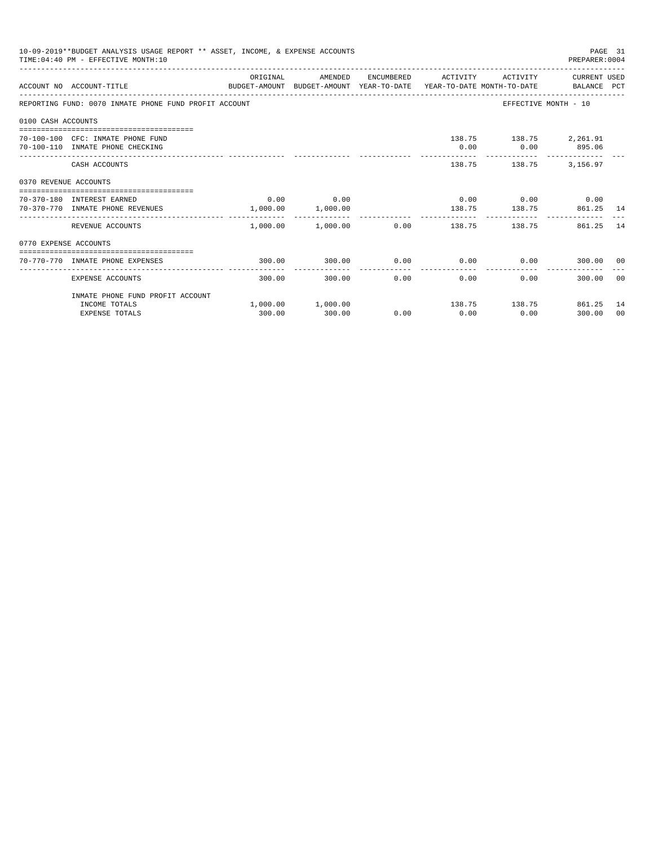|                       | 10-09-2019**BUDGET ANALYSIS USAGE REPORT ** ASSET, INCOME, & EXPENSE ACCOUNTS<br>TIME: 04:40 PM - EFFECTIVE MONTH: 10 |          |                                  |      |                     |                                                                                 | PAGE 31<br>PREPARER: 0004 |    |
|-----------------------|-----------------------------------------------------------------------------------------------------------------------|----------|----------------------------------|------|---------------------|---------------------------------------------------------------------------------|---------------------------|----|
|                       | ACCOUNT NO ACCOUNT-TITLE                                                                                              | ORIGINAL | AMENDED                          |      | ENCUMBERED ACTIVITY | BUDGET-AMOUNT BUDGET-AMOUNT YEAR-TO-DATE YEAR-TO-DATE MONTH-TO-DATE BALANCE PCT | ACTIVITY CURRENT USED     |    |
|                       | REPORTING FUND: 0070 INMATE PHONE FUND PROFIT ACCOUNT                                                                 |          |                                  |      |                     | EFFECTIVE MONTH - 10                                                            |                           |    |
| 0100 CASH ACCOUNTS    |                                                                                                                       |          |                                  |      |                     |                                                                                 |                           |    |
|                       | 70-100-100 CFC: INMATE PHONE FUND<br>70-100-110 INMATE PHONE CHECKING                                                 |          |                                  |      | 0.00                | 138.75 138.75 2,261.91<br>$0.00$ 895.06<br>_________________________________    |                           |    |
|                       | CASH ACCOUNTS                                                                                                         |          |                                  |      |                     | 138.75 138.75 3.156.97                                                          |                           |    |
| 0370 REVENUE ACCOUNTS |                                                                                                                       |          |                                  |      |                     |                                                                                 |                           |    |
|                       | 70-370-180 INTEREST EARNED<br>70-370-770 INMATE PHONE REVENUES                                                        |          | $0.00$ 0.00<br>1,000.00 1,000.00 |      |                     | $0.00$ $0.00$ $0.00$ $0.00$<br>138.75 138.75 861.25 14                          |                           |    |
|                       | REVENUE ACCOUNTS                                                                                                      |          | -------------------------        |      |                     | $1,000.00$ $1,000.00$ $0.00$ $138.75$ $138.75$                                  | 861.25                    | 14 |
| 0770 EXPENSE ACCOUNTS |                                                                                                                       |          |                                  |      |                     |                                                                                 |                           |    |
|                       | 70-770-770 INMATE PHONE EXPENSES                                                                                      | 300.00   | 300.00                           |      |                     | $0.00$ $0.00$ $0.00$ $0.00$                                                     | 300.00 00                 |    |
|                       | EXPENSE ACCOUNTS                                                                                                      | 300.00   | 300.00                           | 0.00 | 0.00                | 0.00                                                                            | 300.00 00                 |    |
|                       | INMATE PHONE FUND PROFIT ACCOUNT                                                                                      |          |                                  |      |                     |                                                                                 |                           |    |
|                       | INCOME TOTALS<br><b>EXPENSE TOTALS</b>                                                                                | 300.00   | $1,000.00$ $1,000.00$<br>300.00  | 0.00 | 0.00                | 138.75 138.75 861.25 14<br>0.00                                                 | 300.00                    | 00 |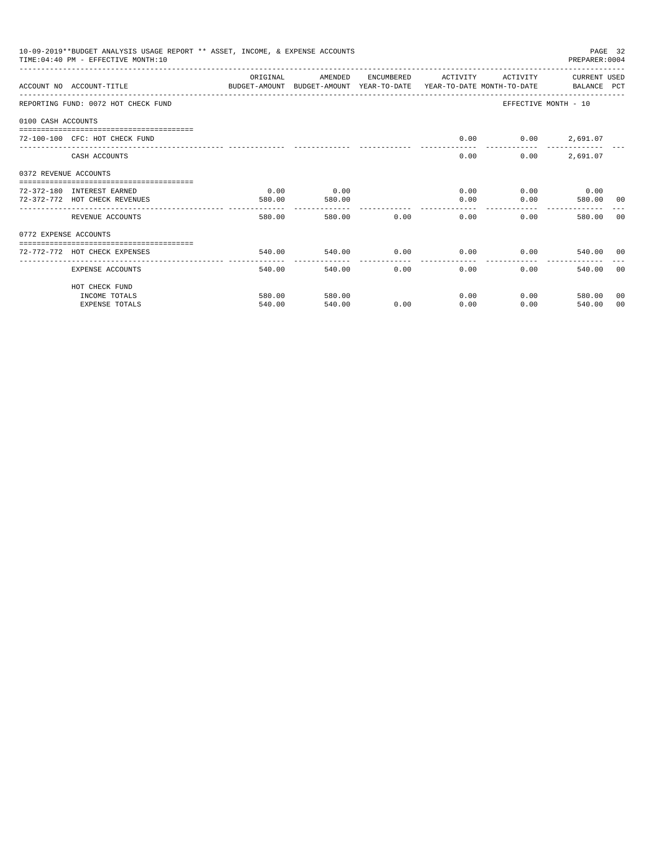| 10-09-2019**BUDGET ANALYSIS USAGE REPORT ** ASSET, INCOME, & EXPENSE ACCOUNTS<br>PAGE 32<br>TIME: 04:40 PM - EFFECTIVE MONTH: 10<br>PREPARER: 0004<br>CURRENT USED<br>ORIGINAL<br>AMENDED<br>ENCUMBERED<br>ACTIVITY<br>ACTIVITY<br>ACCOUNT NO ACCOUNT-TITLE CONTROL SUDGET-AMOUNT BUDGET-AMOUNT YEAR-TO-DATE YEAR-TO-DATE MONTH-TO-DATE BALANCE PCT<br>EFFECTIVE MONTH - 10<br>REPORTING FUND: 0072 HOT CHECK FUND<br>0100 CASH ACCOUNTS<br>0.00<br>72-100-100 CFC: HOT CHECK FUND<br>$0.00$ 2,691.07<br>2,691.07<br>CASH ACCOUNTS<br>0.00<br>0.00<br>0372 REVENUE ACCOUNTS<br>0.00<br>$0.00$ 0.00<br>72-372-180 INTEREST EARNED<br>0.00<br>0.00<br>72-372-772 HOT CHECK REVENUES<br>0.00<br>0.00<br>580.00 00<br>580.00<br>580.00<br>--------------<br>580.00 0.00<br>0.00<br>580.00<br>0.00<br>580.00<br>REVENUE ACCOUNTS<br>0772 EXPENSE ACCOUNTS |                               |                                               |                        |                      |                        |      |                             |       |
|------------------------------------------------------------------------------------------------------------------------------------------------------------------------------------------------------------------------------------------------------------------------------------------------------------------------------------------------------------------------------------------------------------------------------------------------------------------------------------------------------------------------------------------------------------------------------------------------------------------------------------------------------------------------------------------------------------------------------------------------------------------------------------------------------------------------------------------------------|-------------------------------|-----------------------------------------------|------------------------|----------------------|------------------------|------|-----------------------------|-------|
|                                                                                                                                                                                                                                                                                                                                                                                                                                                                                                                                                                                                                                                                                                                                                                                                                                                      |                               |                                               |                        |                      |                        |      |                             |       |
|                                                                                                                                                                                                                                                                                                                                                                                                                                                                                                                                                                                                                                                                                                                                                                                                                                                      |                               |                                               |                        |                      |                        |      |                             |       |
|                                                                                                                                                                                                                                                                                                                                                                                                                                                                                                                                                                                                                                                                                                                                                                                                                                                      |                               |                                               |                        |                      |                        |      |                             |       |
|                                                                                                                                                                                                                                                                                                                                                                                                                                                                                                                                                                                                                                                                                                                                                                                                                                                      |                               |                                               |                        |                      |                        |      |                             |       |
|                                                                                                                                                                                                                                                                                                                                                                                                                                                                                                                                                                                                                                                                                                                                                                                                                                                      |                               |                                               |                        |                      |                        |      |                             |       |
|                                                                                                                                                                                                                                                                                                                                                                                                                                                                                                                                                                                                                                                                                                                                                                                                                                                      |                               |                                               |                        |                      |                        |      |                             |       |
|                                                                                                                                                                                                                                                                                                                                                                                                                                                                                                                                                                                                                                                                                                                                                                                                                                                      |                               |                                               |                        |                      |                        |      |                             |       |
|                                                                                                                                                                                                                                                                                                                                                                                                                                                                                                                                                                                                                                                                                                                                                                                                                                                      |                               |                                               |                        |                      |                        |      |                             |       |
|                                                                                                                                                                                                                                                                                                                                                                                                                                                                                                                                                                                                                                                                                                                                                                                                                                                      |                               |                                               |                        |                      |                        |      |                             | - 0.0 |
|                                                                                                                                                                                                                                                                                                                                                                                                                                                                                                                                                                                                                                                                                                                                                                                                                                                      |                               |                                               |                        |                      |                        |      |                             |       |
|                                                                                                                                                                                                                                                                                                                                                                                                                                                                                                                                                                                                                                                                                                                                                                                                                                                      | 72-772-772 HOT CHECK EXPENSES | 540.00                                        | 540.00                 | 0.00                 | 0.00                   |      | 0.00<br>540.00 00           |       |
|                                                                                                                                                                                                                                                                                                                                                                                                                                                                                                                                                                                                                                                                                                                                                                                                                                                      | EXPENSE ACCOUNTS              | -------------------- --------------<br>540.00 | ------------<br>540.00 | ------------<br>0.00 | --------------<br>0.00 | 0.00 | 540.00 00                   |       |
|                                                                                                                                                                                                                                                                                                                                                                                                                                                                                                                                                                                                                                                                                                                                                                                                                                                      | HOT CHECK FUND                |                                               |                        |                      |                        |      |                             |       |
|                                                                                                                                                                                                                                                                                                                                                                                                                                                                                                                                                                                                                                                                                                                                                                                                                                                      | INCOME TOTALS                 | 580.00                                        | 580.00                 |                      | 0.00                   |      | $0.00$ and $0.00$<br>580.00 | 00    |
|                                                                                                                                                                                                                                                                                                                                                                                                                                                                                                                                                                                                                                                                                                                                                                                                                                                      | <b>EXPENSE TOTALS</b>         | 540.00                                        | 540.00                 | 0.00                 | 0.00                   | 0.00 | 540.00                      | 00    |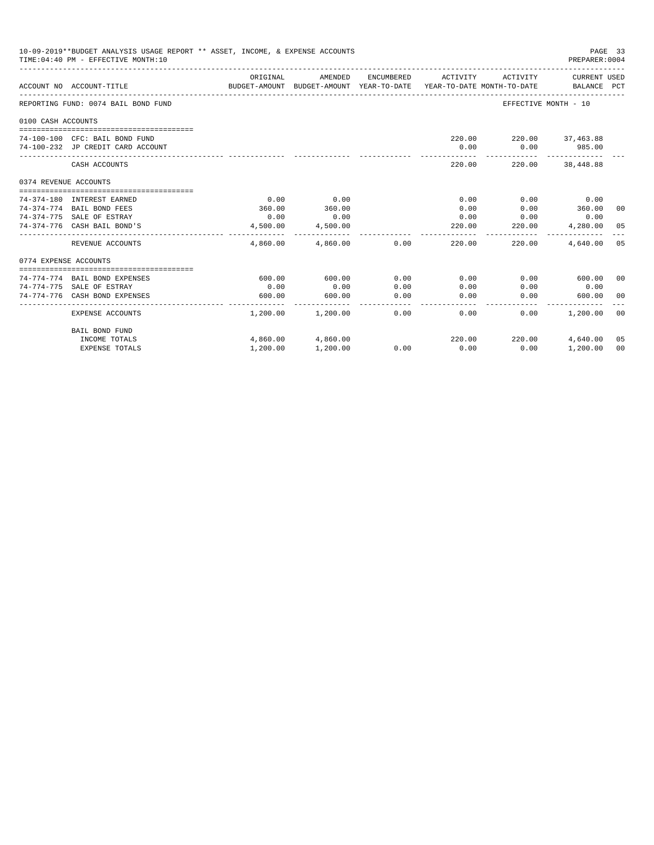| 10-09-2019**BUDGET ANALYSIS USAGE REPORT ** ASSET, INCOME, & EXPENSE ACCOUNTS<br>PAGE 33<br>TIME: 04:40 PM - EFFECTIVE MONTH: 10<br>PREPARER:0004<br><b>CURRENT USED</b><br>ORIGINAL<br>AMENDED<br>ENCUMBERED<br>ACTIVITY<br>ACTIVITY<br>ACCOUNT NO ACCOUNT-TITLE<br>BUDGET-AMOUNT BUDGET-AMOUNT YEAR-TO-DATE<br>YEAR-TO-DATE MONTH-TO-DATE<br>BALANCE PCT<br>REPORTING FUND: 0074 BAIL BOND FUND<br>EFFECTIVE MONTH - 10<br>0100 CASH ACCOUNTS<br>220.00 220.00 37,463.88<br>74-100-100 CFC: BAIL BOND FUND<br>985.00<br>74-100-232 JP CREDIT CARD ACCOUNT<br>0.00<br>0.00<br>-------<br>$- - - - - - - - -$<br>CASH ACCOUNTS<br>220.00<br>220.00<br>38,448.88<br>0374 REVENUE ACCOUNTS<br>0.00<br>0.00<br>0.00<br>0.00<br>74-374-180 INTEREST EARNED<br>0.00<br>360.00<br>360.00<br>74-374-774 BAIL BOND FEES<br>360.00<br>0.00<br>0.00<br>74-374-775 SALE OF ESTRAY<br>0.00<br>0.00<br>0.00<br>0.00<br>0.00<br>74-374-776 CASH BAIL BOND'S<br>4,500.00<br>4,500.00<br>220.00<br>220.00<br>4,280.00<br>----------<br>-------------<br>-------------<br>-------------<br>-------------<br>REVENUE ACCOUNTS<br>4,860.00<br>4,860.00<br>0.00<br>220.00<br>220.00<br>4,640.00<br>0774 EXPENSE ACCOUNTS<br>74-774-774 BAIL BOND EXPENSES<br>600.00<br>0.00<br>0.00<br>0.00<br>600.00<br>600.00<br>0.00<br>0.00<br>0.00<br>0.00<br>0.00<br>0.00<br>74-774-775 SALE OF ESTRAY<br>74-774-776 CASH BOND EXPENSES<br>600.00<br>600.00<br>0.00<br>0.00<br>0.00<br>600.00 |                       |          |                   |      |        |        |          |                |
|-----------------------------------------------------------------------------------------------------------------------------------------------------------------------------------------------------------------------------------------------------------------------------------------------------------------------------------------------------------------------------------------------------------------------------------------------------------------------------------------------------------------------------------------------------------------------------------------------------------------------------------------------------------------------------------------------------------------------------------------------------------------------------------------------------------------------------------------------------------------------------------------------------------------------------------------------------------------------------------------------------------------------------------------------------------------------------------------------------------------------------------------------------------------------------------------------------------------------------------------------------------------------------------------------------------------------------------------------------------------------------------------------------------------------------------------------------------------|-----------------------|----------|-------------------|------|--------|--------|----------|----------------|
|                                                                                                                                                                                                                                                                                                                                                                                                                                                                                                                                                                                                                                                                                                                                                                                                                                                                                                                                                                                                                                                                                                                                                                                                                                                                                                                                                                                                                                                                 |                       |          |                   |      |        |        |          |                |
|                                                                                                                                                                                                                                                                                                                                                                                                                                                                                                                                                                                                                                                                                                                                                                                                                                                                                                                                                                                                                                                                                                                                                                                                                                                                                                                                                                                                                                                                 |                       |          |                   |      |        |        |          |                |
|                                                                                                                                                                                                                                                                                                                                                                                                                                                                                                                                                                                                                                                                                                                                                                                                                                                                                                                                                                                                                                                                                                                                                                                                                                                                                                                                                                                                                                                                 |                       |          |                   |      |        |        |          |                |
|                                                                                                                                                                                                                                                                                                                                                                                                                                                                                                                                                                                                                                                                                                                                                                                                                                                                                                                                                                                                                                                                                                                                                                                                                                                                                                                                                                                                                                                                 |                       |          |                   |      |        |        |          |                |
|                                                                                                                                                                                                                                                                                                                                                                                                                                                                                                                                                                                                                                                                                                                                                                                                                                                                                                                                                                                                                                                                                                                                                                                                                                                                                                                                                                                                                                                                 |                       |          |                   |      |        |        |          |                |
|                                                                                                                                                                                                                                                                                                                                                                                                                                                                                                                                                                                                                                                                                                                                                                                                                                                                                                                                                                                                                                                                                                                                                                                                                                                                                                                                                                                                                                                                 |                       |          |                   |      |        |        |          |                |
|                                                                                                                                                                                                                                                                                                                                                                                                                                                                                                                                                                                                                                                                                                                                                                                                                                                                                                                                                                                                                                                                                                                                                                                                                                                                                                                                                                                                                                                                 |                       |          |                   |      |        |        |          |                |
|                                                                                                                                                                                                                                                                                                                                                                                                                                                                                                                                                                                                                                                                                                                                                                                                                                                                                                                                                                                                                                                                                                                                                                                                                                                                                                                                                                                                                                                                 |                       |          |                   |      |        |        |          |                |
|                                                                                                                                                                                                                                                                                                                                                                                                                                                                                                                                                                                                                                                                                                                                                                                                                                                                                                                                                                                                                                                                                                                                                                                                                                                                                                                                                                                                                                                                 |                       |          |                   |      |        |        |          | 00             |
|                                                                                                                                                                                                                                                                                                                                                                                                                                                                                                                                                                                                                                                                                                                                                                                                                                                                                                                                                                                                                                                                                                                                                                                                                                                                                                                                                                                                                                                                 |                       |          |                   |      |        |        |          |                |
|                                                                                                                                                                                                                                                                                                                                                                                                                                                                                                                                                                                                                                                                                                                                                                                                                                                                                                                                                                                                                                                                                                                                                                                                                                                                                                                                                                                                                                                                 |                       |          |                   |      |        |        |          | 05             |
|                                                                                                                                                                                                                                                                                                                                                                                                                                                                                                                                                                                                                                                                                                                                                                                                                                                                                                                                                                                                                                                                                                                                                                                                                                                                                                                                                                                                                                                                 |                       |          |                   |      |        |        |          | 05             |
|                                                                                                                                                                                                                                                                                                                                                                                                                                                                                                                                                                                                                                                                                                                                                                                                                                                                                                                                                                                                                                                                                                                                                                                                                                                                                                                                                                                                                                                                 |                       |          |                   |      |        |        |          |                |
|                                                                                                                                                                                                                                                                                                                                                                                                                                                                                                                                                                                                                                                                                                                                                                                                                                                                                                                                                                                                                                                                                                                                                                                                                                                                                                                                                                                                                                                                 |                       |          |                   |      |        |        |          |                |
|                                                                                                                                                                                                                                                                                                                                                                                                                                                                                                                                                                                                                                                                                                                                                                                                                                                                                                                                                                                                                                                                                                                                                                                                                                                                                                                                                                                                                                                                 |                       |          |                   |      |        |        |          | 00             |
|                                                                                                                                                                                                                                                                                                                                                                                                                                                                                                                                                                                                                                                                                                                                                                                                                                                                                                                                                                                                                                                                                                                                                                                                                                                                                                                                                                                                                                                                 |                       |          |                   |      |        |        |          |                |
|                                                                                                                                                                                                                                                                                                                                                                                                                                                                                                                                                                                                                                                                                                                                                                                                                                                                                                                                                                                                                                                                                                                                                                                                                                                                                                                                                                                                                                                                 |                       |          |                   |      |        |        |          | 0 <sup>0</sup> |
|                                                                                                                                                                                                                                                                                                                                                                                                                                                                                                                                                                                                                                                                                                                                                                                                                                                                                                                                                                                                                                                                                                                                                                                                                                                                                                                                                                                                                                                                 | EXPENSE ACCOUNTS      | 1,200.00 | 1,200.00          | 0.00 | 0.00   | 0.00   | 1,200.00 | 0 <sup>0</sup> |
|                                                                                                                                                                                                                                                                                                                                                                                                                                                                                                                                                                                                                                                                                                                                                                                                                                                                                                                                                                                                                                                                                                                                                                                                                                                                                                                                                                                                                                                                 | <b>BAIL BOND FUND</b> |          |                   |      |        |        |          |                |
|                                                                                                                                                                                                                                                                                                                                                                                                                                                                                                                                                                                                                                                                                                                                                                                                                                                                                                                                                                                                                                                                                                                                                                                                                                                                                                                                                                                                                                                                 | INCOME TOTALS         |          | 4,860.00 4,860.00 |      | 220.00 | 220.00 | 4,640.00 | 05             |
|                                                                                                                                                                                                                                                                                                                                                                                                                                                                                                                                                                                                                                                                                                                                                                                                                                                                                                                                                                                                                                                                                                                                                                                                                                                                                                                                                                                                                                                                 | <b>EXPENSE TOTALS</b> | 1,200.00 | 1,200.00          | 0.00 | 0.00   | 0.00   | 1,200.00 | 0 <sub>0</sub> |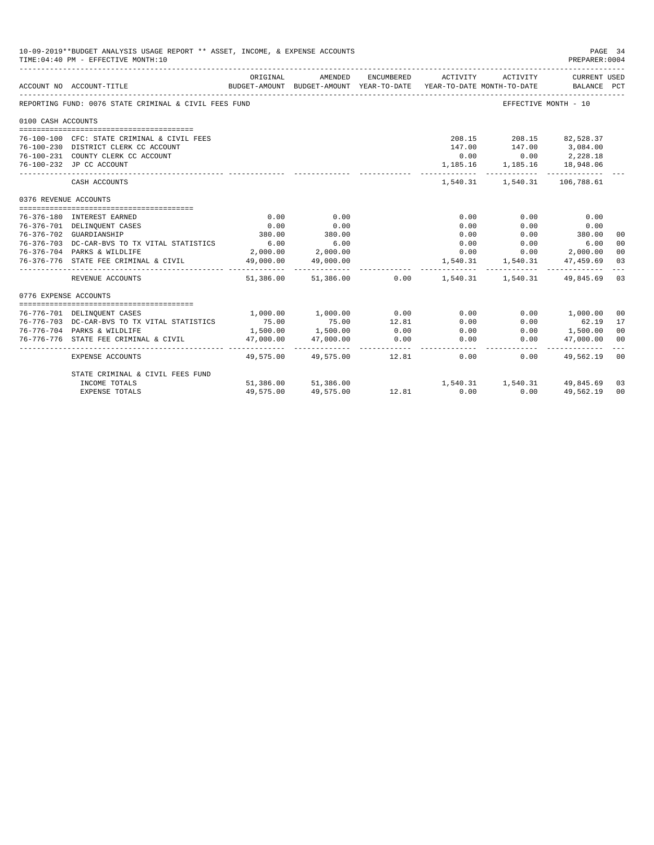|                       | 10-09-2019**BUDGET ANALYSIS USAGE REPORT ** ASSET, INCOME, & EXPENSE ACCOUNTS<br>TIME: 04:40 PM - EFFECTIVE MONTH: 10 |                |                           |                      |                                                                                             |                                                    | PAGE 34<br>PREPARER: 0004                 |                |
|-----------------------|-----------------------------------------------------------------------------------------------------------------------|----------------|---------------------------|----------------------|---------------------------------------------------------------------------------------------|----------------------------------------------------|-------------------------------------------|----------------|
|                       | ACCOUNT NO ACCOUNT-TITLE                                                                                              | ORIGINAL       | AMENDED                   | ENCUMBERED           | ACTIVITY<br>BUDGET-AMOUNT BUDGET-AMOUNT YEAR-TO-DATE YEAR-TO-DATE MONTH-TO-DATE BALANCE PCT | ACTIVITY                                           | CURRENT USED                              |                |
|                       | REPORTING FUND: 0076 STATE CRIMINAL & CIVIL FEES FUND                                                                 |                |                           |                      |                                                                                             |                                                    | EFFECTIVE MONTH - 10                      |                |
| 0100 CASH ACCOUNTS    |                                                                                                                       |                |                           |                      |                                                                                             |                                                    |                                           |                |
|                       |                                                                                                                       |                |                           |                      |                                                                                             |                                                    |                                           |                |
|                       | 76-100-100 CFC: STATE CRIMINAL & CIVIL FEES                                                                           |                |                           |                      |                                                                                             | 208.15 208.15 82,528.37                            |                                           |                |
|                       | 76-100-230 DISTRICT CLERK CC ACCOUNT<br>76-100-231 COUNTY CLERK CC ACCOUNT                                            |                |                           |                      | 147.00                                                                                      | 147.00 3,084.00                                    |                                           |                |
|                       | 76-100-232 JP CC ACCOUNT                                                                                              |                |                           |                      |                                                                                             | $0.00$ $0.00$<br>$1,185.16$ $1,185.16$ $18,948.06$ | 2,228.18                                  |                |
|                       | CASH ACCOUNTS                                                                                                         |                |                           |                      |                                                                                             |                                                    | 1,540.31 1,540.31 106,788.61              |                |
| 0376 REVENUE ACCOUNTS |                                                                                                                       |                |                           |                      |                                                                                             |                                                    |                                           |                |
|                       |                                                                                                                       |                |                           |                      |                                                                                             |                                                    |                                           |                |
|                       | 76-376-180 INTEREST EARNED                                                                                            | 0.00           | 0.00                      |                      | 0.00                                                                                        | 0.00                                               | 0.00                                      |                |
|                       | 76-376-701 DELINQUENT CASES<br>76-376-702 GUARDIANSHIP                                                                | 0.00<br>380.00 | 0.00<br>380.00            |                      | 0.00<br>0.00                                                                                | 0.00                                               | 0.00<br>$0.00$ 380.00                     | 00             |
|                       | 76-376-703 DC-CAR-BVS TO TX VITAL STATISTICS                                                                          | 6.00           | 6.00                      |                      | 0.00                                                                                        |                                                    | $0.00$ 6.00                               | 00             |
|                       | 76-376-704 PARKS & WILDLIFE                                                                                           |                | 2,000.00 2,000.00         |                      | 0.00                                                                                        |                                                    | $0.00$ 2,000.00                           | 0 <sub>0</sub> |
|                       | 76-376-776 STATE FEE CRIMINAL & CIVIL                                                                                 | 49,000.00      | 49,000.00                 |                      |                                                                                             |                                                    | 1,540.31 1,540.31 47,459.69               | 03             |
|                       | REVENUE ACCOUNTS                                                                                                      |                |                           |                      | 51,386.00 51,386.00 0.00 1,540.31 1,540.31 49,845.69 03                                     |                                                    |                                           | $- - -$        |
| 0776 EXPENSE ACCOUNTS |                                                                                                                       |                |                           |                      |                                                                                             |                                                    |                                           |                |
|                       |                                                                                                                       |                |                           |                      |                                                                                             |                                                    |                                           |                |
|                       | 76-776-701 DELINQUENT CASES                                                                                           |                | 1,000.00 1,000.00         | 0.00                 | 0.00                                                                                        |                                                    | 0.00 1,000.00                             | 0 <sup>0</sup> |
|                       | 76-776-703 DC-CAR-BVS TO TX VITAL STATISTICS                                                                          | 75.00          | 75.00<br>1,500.00         | 12.81                | 0.00                                                                                        | 0.00                                               | 62.19<br>$0.00$ 1,500.00                  | 17             |
|                       | 76-776-704 PARKS & WILDLIFE                                                                                           | 1,500.00       |                           | 0.00                 | 0.00<br>0.00                                                                                |                                                    |                                           | 0 <sup>0</sup> |
|                       | 76-776-776 STATE FEE CRIMINAL & CIVIL                                                                                 | 47,000.00      | 47,000.00                 | 0.00<br>____________ |                                                                                             | 0.00                                               | 47,000.00<br>____________________________ | 00             |
|                       | EXPENSE ACCOUNTS                                                                                                      |                | 49,575.00 49,575.00 12.81 |                      | 0.00                                                                                        | 0.00                                               | 49,562.19                                 | 00             |
|                       | STATE CRIMINAL & CIVIL FEES FUND                                                                                      |                |                           |                      |                                                                                             |                                                    |                                           |                |
|                       | INCOME TOTALS                                                                                                         |                | 51,386.00 51,386.00       |                      |                                                                                             |                                                    | 1,540.31 1,540.31 49,845.69               | 03             |
|                       | <b>EXPENSE TOTALS</b>                                                                                                 | 49,575.00      | 49,575.00                 | 12.81                | 0.00                                                                                        | 0.00                                               | 49,562.19                                 | 00             |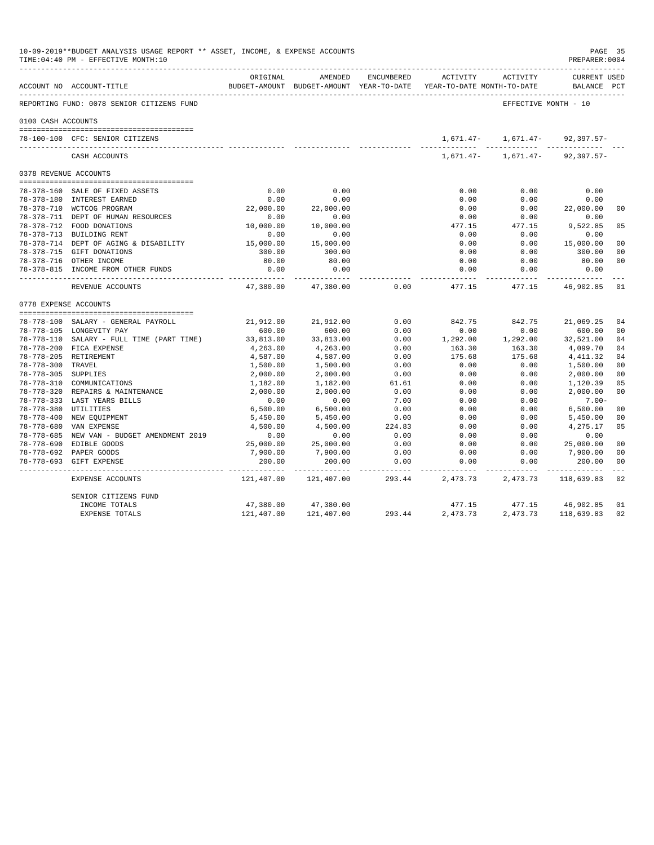|                       | 10-09-2019**BUDGET ANALYSIS USAGE REPORT ** ASSET, INCOME, & EXPENSE ACCOUNTS<br>TIME: 04:40 PM - EFFECTIVE MONTH: 10 |                          |                         |              |                                                                     |                                     | PAGE 35<br>PREPARER: 0004          |                      |
|-----------------------|-----------------------------------------------------------------------------------------------------------------------|--------------------------|-------------------------|--------------|---------------------------------------------------------------------|-------------------------------------|------------------------------------|----------------------|
|                       | ACCOUNT NO ACCOUNT-TITLE                                                                                              | ORIGINAL                 | AMENDED                 | ENCUMBERED   | BUDGET-AMOUNT BUDGET-AMOUNT YEAR-TO-DATE YEAR-TO-DATE MONTH-TO-DATE | ACTIVITY ACTIVITY                   | <b>CURRENT USED</b><br>BALANCE PCT |                      |
|                       | REPORTING FUND: 0078 SENIOR CITIZENS FUND                                                                             |                          |                         |              |                                                                     | EFFECTIVE MONTH - 10                |                                    |                      |
| 0100 CASH ACCOUNTS    |                                                                                                                       |                          |                         |              |                                                                     |                                     |                                    |                      |
|                       | 78-100-100 CFC: SENIOR CITIZENS                                                                                       |                          |                         |              |                                                                     | $1,671.47 - 1,671.47 - 92,397.57 -$ |                                    |                      |
|                       | CASH ACCOUNTS                                                                                                         |                          |                         |              |                                                                     | $1.671.47 - 1.671.47 - 92.397.57 -$ |                                    |                      |
| 0378 REVENUE ACCOUNTS |                                                                                                                       |                          |                         |              |                                                                     |                                     |                                    |                      |
|                       |                                                                                                                       |                          |                         |              |                                                                     |                                     |                                    |                      |
|                       | 78-378-160 SALE OF FIXED ASSETS                                                                                       | 0.00                     | 0.00                    |              | 0.00                                                                | 0.00                                | 0.00                               |                      |
|                       | 78-378-180 INTEREST EARNED                                                                                            | 0.00                     | 0.00                    |              | 0.00                                                                | 0.00                                | 0.00                               |                      |
|                       | 78-378-710 WCTCOG PROGRAM                                                                                             | 22,000.00                | 22,000.00               |              | 0.00                                                                | 0.00                                | 22,000.00                          | 0 <sup>0</sup>       |
|                       | 78-378-711 DEPT OF HUMAN RESOURCES                                                                                    | 0.00                     | 0.00                    |              | 0.00                                                                | 0.00                                | 0.00                               |                      |
|                       | 78-378-712 FOOD DONATIONS<br>78-378-713 BUILDING RENT                                                                 | 10,000.00                | 10,000.00               |              | 477.15<br>0.00                                                      | 477.15                              | 9,522.85<br>0.00                   | 05                   |
|                       |                                                                                                                       | 0.00<br>15,000.00        | 0.00                    |              | 0.00                                                                | 0.00                                |                                    | 0 <sub>0</sub>       |
|                       | 78-378-714 DEPT OF AGING & DISABILITY<br>78-378-715 GIFT DONATIONS                                                    | 300.00                   | 15,000.00<br>300.00     |              | 0.00                                                                | 0.00<br>0.00                        | 15,000.00<br>300.00                | 0 <sub>0</sub>       |
|                       | 78-378-716 OTHER INCOME                                                                                               | 80.00                    | 80.00                   |              | 0.00                                                                | 0.00                                | 80.00                              | 0 <sub>0</sub>       |
|                       | 78-378-815 INCOME FROM OTHER FUNDS                                                                                    | 0.00                     | 0.00                    |              | 0.00                                                                | 0.00                                | 0.00                               |                      |
|                       | REVENUE ACCOUNTS                                                                                                      | -----------<br>47,380.00 | ----------<br>47,380.00 | 0.00         | 477.15                                                              | $- - - - - - -$<br>477.15           | 46,902.85                          | 01                   |
| 0778 EXPENSE ACCOUNTS |                                                                                                                       |                          |                         |              |                                                                     |                                     |                                    |                      |
|                       |                                                                                                                       |                          |                         |              |                                                                     |                                     |                                    |                      |
|                       | 78-778-100 SALARY - GENERAL PAYROLL                                                                                   | 21,912.00                | 21,912.00               | 0.00         | 842.75                                                              | 842.75                              | 21,069.25                          | 04                   |
|                       | 78-778-105 LONGEVITY PAY                                                                                              | 600.00                   | 600.00                  | 0.00         | 0.00                                                                | 0.00                                | 600.00                             | 0 <sup>0</sup>       |
|                       | 78-778-110 SALARY - FULL TIME (PART TIME)                                                                             | 33,813.00                | 33,813.00               | 0.00         | 1,292.00                                                            | 1,292.00                            | 32,521.00                          | 04                   |
|                       | 78-778-200 FICA EXPENSE                                                                                               | 4,263.00                 | 4,263.00                | 0.00         | 163.30                                                              | 163.30                              | 4,099.70                           | 04                   |
|                       | 78-778-205 RETIREMENT                                                                                                 | 4,587.00                 | 4,587.00                | 0.00         | 175.68                                                              | 175.68                              | 4, 411.32                          | 04                   |
| 78-778-300 TRAVEL     |                                                                                                                       | 1,500.00                 | 1,500.00                | 0.00         | 0.00                                                                | 0.00                                | 1,500.00                           | 0 <sup>0</sup>       |
| 78-778-305 SUPPLIES   |                                                                                                                       | 2,000.00                 | 2,000.00                | 0.00         | 0.00                                                                | 0.00                                | 2,000.00                           | 0 <sub>0</sub>       |
|                       | 78-778-310 COMMUNICATIONS                                                                                             | 1,182.00                 | 1,182.00                | 61.61        | 0.00                                                                | 0.00                                | 1,120.39                           | 05                   |
|                       | 78-778-320 REPAIRS & MAINTENANCE                                                                                      | 2,000.00                 | 2,000.00                | 0.00         | 0.00                                                                | 0.00                                | 2,000.00                           | 0 <sup>0</sup>       |
|                       | 78-778-333 LAST YEARS BILLS                                                                                           | 0.00                     | 0.00                    | 7.00         | 0.00                                                                | 0.00                                | $7.00 -$                           |                      |
| 78-778-380 UTILITIES  |                                                                                                                       | 6,500.00                 | 6,500.00                | 0.00         | 0.00                                                                | 0.00                                | 6,500.00                           | 0 <sub>0</sub>       |
|                       | 78-778-400 NEW EQUIPMENT                                                                                              | 5,450.00                 | 5,450.00                | 0.00         | 0.00                                                                | 0.00                                | 5,450.00                           | 0 <sup>0</sup>       |
|                       | 78-778-680 VAN EXPENSE                                                                                                | 4,500.00                 | 4,500.00                | 224.83       | 0.00                                                                | 0.00                                | 4,275.17                           | 05                   |
|                       | 78-778-685 NEW VAN - BUDGET AMENDMENT 2019                                                                            | 0.00                     | 0.00                    | 0.00         | 0.00                                                                | 0.00                                | 0.00                               |                      |
|                       | 78-778-690 EDIBLE GOODS                                                                                               | 25,000.00                | 25,000.00               | 0.00         | 0.00                                                                | 0.00                                | 25,000.00                          | 0 <sub>0</sub>       |
|                       | 78-778-692 PAPER GOODS<br>78-778-693 GIFT EXPENSE                                                                     | 7,900.00<br>200.00       | 7,900.00<br>200.00      | 0.00<br>0.00 | 0.00<br>0.00                                                        | 0.00<br>0.00                        | 7,900.00<br>200.00                 | 0 <sub>0</sub><br>00 |
|                       |                                                                                                                       | .                        |                         |              |                                                                     | $- - - - -$                         |                                    |                      |
|                       | EXPENSE ACCOUNTS                                                                                                      | 121,407.00               | 121,407.00              | 293.44       | 2,473.73                                                            | 2,473.73                            | 118,639.83                         | 02                   |
|                       | SENIOR CITIZENS FUND                                                                                                  |                          |                         |              |                                                                     |                                     |                                    |                      |
|                       | INCOME TOTALS                                                                                                         | 47,380.00                | 47,380.00               |              | 477.15                                                              | 477.15                              | 46,902.85                          | 01                   |
|                       | <b>EXPENSE TOTALS</b>                                                                                                 | 121,407.00               | 121,407.00              | 293.44       | 2,473.73                                                            | 2,473.73                            | 118,639.83                         | 02                   |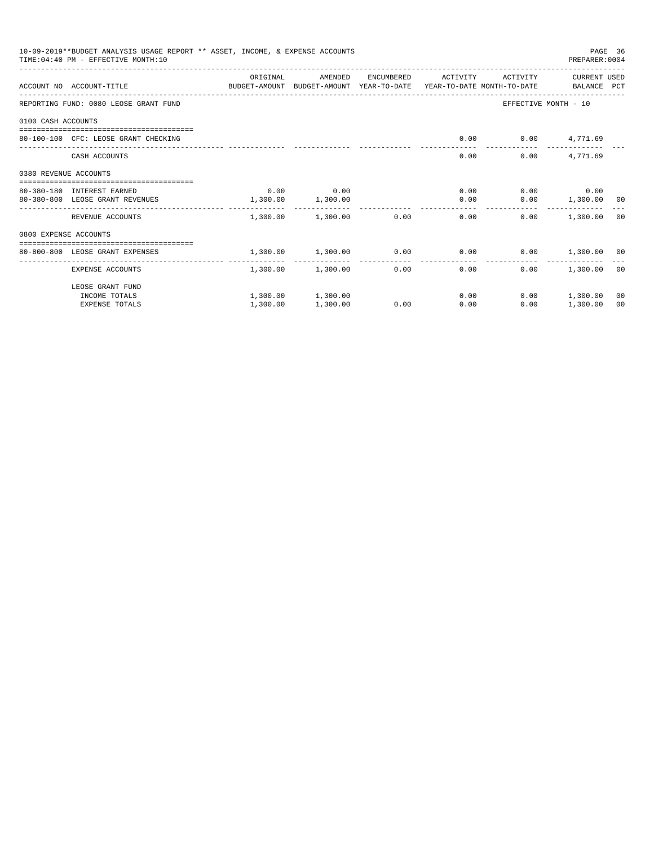|                       | 10-09-2019**BUDGET ANALYSIS USAGE REPORT ** ASSET, INCOME, & EXPENSE ACCOUNTS<br>PAGE 36<br>TIME: 04:40 PM - EFFECTIVE MONTH: 10<br>PREPARER: 0004<br>ORIGINAL<br>AMENDED<br>ENCUMBERED<br>ACTIVITY<br>ACTIVITY<br>CURRENT USED<br>ACCOUNT NO ACCOUNT-TITLE COMPUTE BUDGET-AMOUNT BUDGET-AMOUNT YEAR-TO-DATE YEAR-TO-DATE MONTH-TO-DATE BALANCE PCT<br>REPORTING FUND: 0080 LEOSE GRANT FUND |          |                   |                                                                                                                                                                                                                                                                                                                                                                        |      |  |          |  |
|-----------------------|----------------------------------------------------------------------------------------------------------------------------------------------------------------------------------------------------------------------------------------------------------------------------------------------------------------------------------------------------------------------------------------------|----------|-------------------|------------------------------------------------------------------------------------------------------------------------------------------------------------------------------------------------------------------------------------------------------------------------------------------------------------------------------------------------------------------------|------|--|----------|--|
|                       |                                                                                                                                                                                                                                                                                                                                                                                              |          |                   |                                                                                                                                                                                                                                                                                                                                                                        |      |  |          |  |
|                       |                                                                                                                                                                                                                                                                                                                                                                                              |          |                   |                                                                                                                                                                                                                                                                                                                                                                        |      |  |          |  |
|                       |                                                                                                                                                                                                                                                                                                                                                                                              |          |                   |                                                                                                                                                                                                                                                                                                                                                                        |      |  |          |  |
| 0100 CASH ACCOUNTS    |                                                                                                                                                                                                                                                                                                                                                                                              |          |                   |                                                                                                                                                                                                                                                                                                                                                                        |      |  |          |  |
|                       | 80-100-100 CFC: LEOSE GRANT CHECKING                                                                                                                                                                                                                                                                                                                                                         |          |                   |                                                                                                                                                                                                                                                                                                                                                                        |      |  |          |  |
|                       | CASH ACCOUNTS                                                                                                                                                                                                                                                                                                                                                                                |          |                   |                                                                                                                                                                                                                                                                                                                                                                        | 0.00 |  | 4,771.69 |  |
| 0380 REVENUE ACCOUNTS |                                                                                                                                                                                                                                                                                                                                                                                              |          |                   |                                                                                                                                                                                                                                                                                                                                                                        |      |  |          |  |
|                       | 80-380-180 INTEREST EARNED                                                                                                                                                                                                                                                                                                                                                                   | 0.00     | 0.00              |                                                                                                                                                                                                                                                                                                                                                                        |      |  |          |  |
|                       | 80-380-800 LEOSE GRANT REVENUES                                                                                                                                                                                                                                                                                                                                                              | 1,300.00 | 1,300.00          | EFFECTIVE MONTH - 10<br>$0.00$ $0.00$ $4,771.69$<br>0.00<br>$0.00$ 0.00<br>0.00<br>$0.00$ 1,300.00 00<br>0.00<br>1,300.00 1,300.00 0.00<br>0.00<br>0.00<br>1,300.00 00<br>$1,300.00$ $1,300.00$ $0.00$ $0.00$ $0.00$ $1,300.00$ $0$<br>-------------<br>0.00<br>0.00<br>0.00<br>1,300.00 00<br>0.00<br>$0.00$ 1,300.00<br>00<br>0.00<br>0.00<br>0.00<br>1,300.00<br>00 |      |  |          |  |
|                       | REVENUE ACCOUNTS                                                                                                                                                                                                                                                                                                                                                                             |          |                   |                                                                                                                                                                                                                                                                                                                                                                        |      |  |          |  |
| 0800 EXPENSE ACCOUNTS |                                                                                                                                                                                                                                                                                                                                                                                              |          |                   |                                                                                                                                                                                                                                                                                                                                                                        |      |  |          |  |
|                       | -------------------------------------<br>80-800-800 LEOSE GRANT EXPENSES                                                                                                                                                                                                                                                                                                                     |          |                   |                                                                                                                                                                                                                                                                                                                                                                        |      |  |          |  |
|                       | -------------------- ----<br>EXPENSE ACCOUNTS                                                                                                                                                                                                                                                                                                                                                |          | 1,300.00 1,300.00 |                                                                                                                                                                                                                                                                                                                                                                        |      |  |          |  |
|                       | LEOSE GRANT FUND                                                                                                                                                                                                                                                                                                                                                                             |          |                   |                                                                                                                                                                                                                                                                                                                                                                        |      |  |          |  |
|                       | INCOME TOTALS                                                                                                                                                                                                                                                                                                                                                                                |          | 1,300.00 1,300.00 |                                                                                                                                                                                                                                                                                                                                                                        |      |  |          |  |
|                       | <b>EXPENSE TOTALS</b>                                                                                                                                                                                                                                                                                                                                                                        | 1,300.00 | 1,300.00          |                                                                                                                                                                                                                                                                                                                                                                        |      |  |          |  |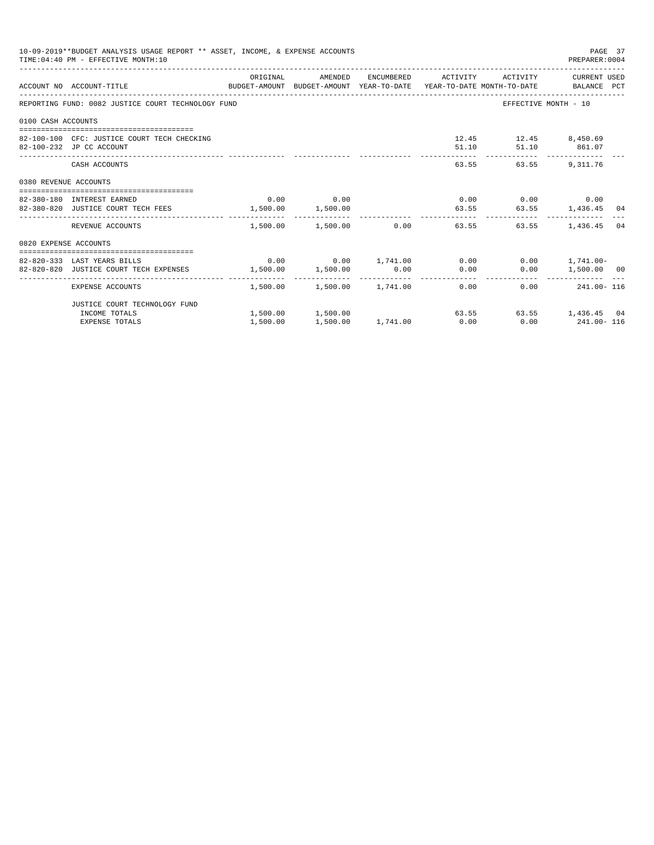|                       | 10-09-2019**BUDGET ANALYSIS USAGE REPORT ** ASSET, INCOME, & EXPENSE ACCOUNTS<br>TIME: 04:40 PM - EFFECTIVE MONTH: 10 |          |                        |                                                           |                                                         | PAGE 37<br>PREPARER: 0004 |    |
|-----------------------|-----------------------------------------------------------------------------------------------------------------------|----------|------------------------|-----------------------------------------------------------|---------------------------------------------------------|---------------------------|----|
|                       | ACCOUNT NO ACCOUNT-TITLE CONTROL SUDGET-AMOUNT BUDGET-AMOUNT YEAR-TO-DATE YEAR-TO-DATE MONTH-TO-DATE BALANCE PCT      |          |                        | ORIGINAL AMENDED ENCUMBERED ACTIVITY ACTIVITY CURRENTUSED |                                                         |                           |    |
|                       | REPORTING FUND: 0082 JUSTICE COURT TECHNOLOGY FUND                                                                    |          |                        |                                                           | EFFECTIVE MONTH - 10                                    |                           |    |
| 0100 CASH ACCOUNTS    |                                                                                                                       |          |                        |                                                           |                                                         |                           |    |
|                       | 82-100-100 CFC: JUSTICE COURT TECH CHECKING<br>82-100-232 JP CC ACCOUNT                                               |          |                        |                                                           | 12.45   12.45   8,450.69<br>51.10   51.10   861.07      |                           |    |
|                       | CASH ACCOUNTS                                                                                                         |          |                        |                                                           | _______________________________<br>63.55 63.55 9.311.76 |                           |    |
| 0380 REVENUE ACCOUNTS |                                                                                                                       |          |                        |                                                           |                                                         |                           |    |
|                       | 82-380-180 INTEREST EARNED                                                                                            |          | $0.00$ 0.00            |                                                           | $0.00$ $0.00$ $0.00$ $0.00$                             |                           |    |
|                       | 82-380-820 JUSTICE COURT TECH FEES 1,500.00 1,500.00                                                                  |          |                        |                                                           |                                                         |                           |    |
|                       | REVENUE ACCOUNTS                                                                                                      |          | 1,500.00 1,500.00 0.00 | 63.55                                                     |                                                         | 63.55 1.436.45            | 04 |
| 0820 EXPENSE ACCOUNTS |                                                                                                                       |          |                        |                                                           |                                                         |                           |    |
|                       | 82-820-333 LAST YEARS BILLS                                                                                           |          |                        | $0.00$ $0.00$ $1,741.00$ $0.00$ $0.00$ $1,741.00$         |                                                         |                           |    |
|                       | 82-820-820 JUSTICE COURT TECH EXPENSES                                                                                |          |                        | $1,500.00$ $1,500.00$ $0.00$ $0.00$                       |                                                         | $0.00$ 1,500.00 00        |    |
|                       | EXPENSE ACCOUNTS                                                                                                      |          |                        | $1.500.00$ $1.500.00$ $1.741.00$ 0.00                     |                                                         | $0.00$ 241.00 - 116       |    |
|                       | JUSTICE COURT TECHNOLOGY FUND                                                                                         |          |                        |                                                           |                                                         |                           |    |
|                       | INCOME TOTALS                                                                                                         |          | 1,500.00 1,500.00      |                                                           | 63.55 63.55 1,436.45 04                                 |                           |    |
|                       | <b>EXPENSE TOTALS</b>                                                                                                 | 1,500.00 |                        | $1.500.00$ $1.741.00$ $0.00$ $0.00$ $241.00 - 116$        |                                                         |                           |    |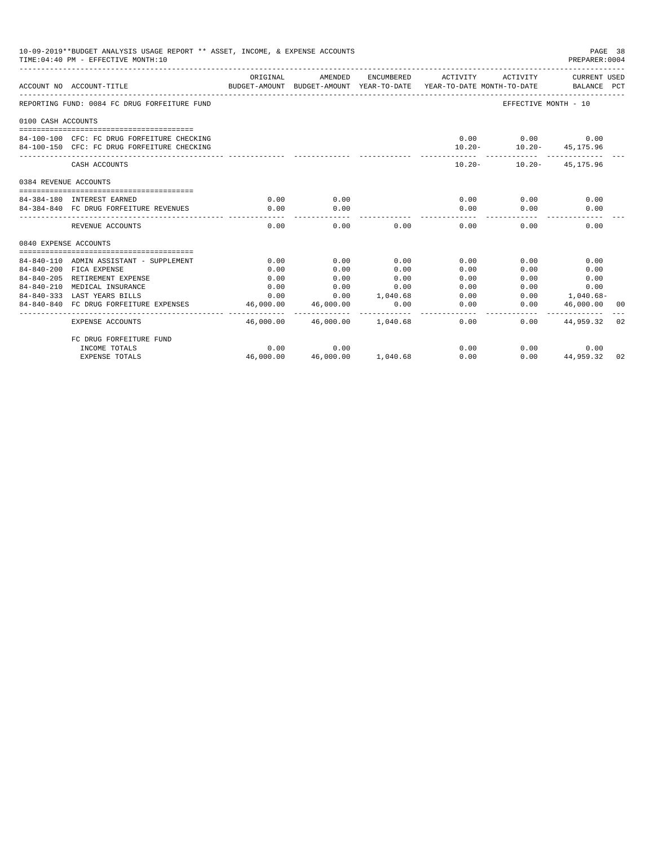| 10-09-2019**BUDGET ANALYSIS USAGE REPORT ** ASSET, INCOME, & EXPENSE ACCOUNTS<br>PAGE 38<br>TIME: 04:40 PM - EFFECTIVE MONTH: 10<br>PREPARER: 0004<br>ORIGINAL<br>AMENDED<br>ENCUMBERED ACTIVITY<br>ACTIVITY<br>CURRENT USED<br>BUDGET-AMOUNT BUDGET-AMOUNT YEAR-TO-DATE YEAR-TO-DATE MONTH-TO-DATE BALANCE PCT<br>ACCOUNT NO ACCOUNT-TITLE<br>REPORTING FUND: 0084 FC DRUG FORFEITURE FUND<br>EFFECTIVE MONTH - 10<br>0100 CASH ACCOUNTS<br>$0.00$ $0.00$ $0.00$<br>84-100-100 CFC: FC DRUG FORFEITURE CHECKING<br>84-100-150 CFC: FC DRUG FORFEITURE CHECKING<br>$10.20 - 10.20 - 45,175.96$<br>$10.20 - 10.20 - 45.175.96$<br>CASH ACCOUNTS<br>0384 REVENUE ACCOUNTS<br>0.00<br>0.00<br>0.00<br>84-384-180 INTEREST EARNED<br>0.00<br>0.00<br>84-384-840 FC DRUG FORFEITURE REVENUES<br>0.00<br>0.00<br>0.00<br>0.00<br>0.00<br>------<br>0.00<br>0.00<br>0.00<br>0.00<br>0.00<br>0.00<br>REVENUE ACCOUNTS<br>0840 EXPENSE ACCOUNTS<br>84-840-110 ADMIN ASSISTANT - SUPPLEMENT<br>0.00<br>0.00<br>0.00<br>0.00<br>0.00<br>0.00<br>0.00<br>84-840-200 FICA EXPENSE<br>0.00<br>0.00<br>0.00<br>0.00<br>0.00<br>84-840-205 RETIREMENT EXPENSE<br>0.00<br>0.00<br>0.00<br>0.00<br>0.00<br>0.00<br>84-840-210 MEDICAL INSURANCE<br>0.00<br>0.00<br>0.00<br>0.00<br>0.00<br>0.00<br>$1,040.68-$<br>0.00<br>0.00<br>1,040.68<br>0.00<br>84-840-333 LAST YEARS BILLS<br>0.00<br>84-840-840 FC DRUG FORFEITURE EXPENSES<br>46,000.00<br>46,000.00<br>0.00<br>0.00<br>0.00<br>46,000.00<br>00 |                         |      |                                |      |      |                       |  |
|----------------------------------------------------------------------------------------------------------------------------------------------------------------------------------------------------------------------------------------------------------------------------------------------------------------------------------------------------------------------------------------------------------------------------------------------------------------------------------------------------------------------------------------------------------------------------------------------------------------------------------------------------------------------------------------------------------------------------------------------------------------------------------------------------------------------------------------------------------------------------------------------------------------------------------------------------------------------------------------------------------------------------------------------------------------------------------------------------------------------------------------------------------------------------------------------------------------------------------------------------------------------------------------------------------------------------------------------------------------------------------------------------------------------------------------------------------------------------------------|-------------------------|------|--------------------------------|------|------|-----------------------|--|
|                                                                                                                                                                                                                                                                                                                                                                                                                                                                                                                                                                                                                                                                                                                                                                                                                                                                                                                                                                                                                                                                                                                                                                                                                                                                                                                                                                                                                                                                                        |                         |      |                                |      |      |                       |  |
|                                                                                                                                                                                                                                                                                                                                                                                                                                                                                                                                                                                                                                                                                                                                                                                                                                                                                                                                                                                                                                                                                                                                                                                                                                                                                                                                                                                                                                                                                        |                         |      |                                |      |      |                       |  |
|                                                                                                                                                                                                                                                                                                                                                                                                                                                                                                                                                                                                                                                                                                                                                                                                                                                                                                                                                                                                                                                                                                                                                                                                                                                                                                                                                                                                                                                                                        |                         |      |                                |      |      |                       |  |
|                                                                                                                                                                                                                                                                                                                                                                                                                                                                                                                                                                                                                                                                                                                                                                                                                                                                                                                                                                                                                                                                                                                                                                                                                                                                                                                                                                                                                                                                                        |                         |      |                                |      |      |                       |  |
|                                                                                                                                                                                                                                                                                                                                                                                                                                                                                                                                                                                                                                                                                                                                                                                                                                                                                                                                                                                                                                                                                                                                                                                                                                                                                                                                                                                                                                                                                        |                         |      |                                |      |      |                       |  |
|                                                                                                                                                                                                                                                                                                                                                                                                                                                                                                                                                                                                                                                                                                                                                                                                                                                                                                                                                                                                                                                                                                                                                                                                                                                                                                                                                                                                                                                                                        |                         |      |                                |      |      |                       |  |
|                                                                                                                                                                                                                                                                                                                                                                                                                                                                                                                                                                                                                                                                                                                                                                                                                                                                                                                                                                                                                                                                                                                                                                                                                                                                                                                                                                                                                                                                                        |                         |      |                                |      |      |                       |  |
|                                                                                                                                                                                                                                                                                                                                                                                                                                                                                                                                                                                                                                                                                                                                                                                                                                                                                                                                                                                                                                                                                                                                                                                                                                                                                                                                                                                                                                                                                        |                         |      |                                |      |      |                       |  |
|                                                                                                                                                                                                                                                                                                                                                                                                                                                                                                                                                                                                                                                                                                                                                                                                                                                                                                                                                                                                                                                                                                                                                                                                                                                                                                                                                                                                                                                                                        |                         |      |                                |      |      |                       |  |
|                                                                                                                                                                                                                                                                                                                                                                                                                                                                                                                                                                                                                                                                                                                                                                                                                                                                                                                                                                                                                                                                                                                                                                                                                                                                                                                                                                                                                                                                                        |                         |      |                                |      |      |                       |  |
|                                                                                                                                                                                                                                                                                                                                                                                                                                                                                                                                                                                                                                                                                                                                                                                                                                                                                                                                                                                                                                                                                                                                                                                                                                                                                                                                                                                                                                                                                        |                         |      |                                |      |      |                       |  |
|                                                                                                                                                                                                                                                                                                                                                                                                                                                                                                                                                                                                                                                                                                                                                                                                                                                                                                                                                                                                                                                                                                                                                                                                                                                                                                                                                                                                                                                                                        |                         |      |                                |      |      |                       |  |
|                                                                                                                                                                                                                                                                                                                                                                                                                                                                                                                                                                                                                                                                                                                                                                                                                                                                                                                                                                                                                                                                                                                                                                                                                                                                                                                                                                                                                                                                                        |                         |      |                                |      |      |                       |  |
|                                                                                                                                                                                                                                                                                                                                                                                                                                                                                                                                                                                                                                                                                                                                                                                                                                                                                                                                                                                                                                                                                                                                                                                                                                                                                                                                                                                                                                                                                        |                         |      |                                |      |      |                       |  |
|                                                                                                                                                                                                                                                                                                                                                                                                                                                                                                                                                                                                                                                                                                                                                                                                                                                                                                                                                                                                                                                                                                                                                                                                                                                                                                                                                                                                                                                                                        |                         |      |                                |      |      |                       |  |
|                                                                                                                                                                                                                                                                                                                                                                                                                                                                                                                                                                                                                                                                                                                                                                                                                                                                                                                                                                                                                                                                                                                                                                                                                                                                                                                                                                                                                                                                                        |                         |      |                                |      |      |                       |  |
|                                                                                                                                                                                                                                                                                                                                                                                                                                                                                                                                                                                                                                                                                                                                                                                                                                                                                                                                                                                                                                                                                                                                                                                                                                                                                                                                                                                                                                                                                        |                         |      |                                |      |      |                       |  |
|                                                                                                                                                                                                                                                                                                                                                                                                                                                                                                                                                                                                                                                                                                                                                                                                                                                                                                                                                                                                                                                                                                                                                                                                                                                                                                                                                                                                                                                                                        |                         |      |                                |      |      |                       |  |
|                                                                                                                                                                                                                                                                                                                                                                                                                                                                                                                                                                                                                                                                                                                                                                                                                                                                                                                                                                                                                                                                                                                                                                                                                                                                                                                                                                                                                                                                                        | EXPENSE ACCOUNTS        |      | 46,000.00 46,000.00 1,040.68   | 0.00 |      | $0.00$ $44,959.32$ 02 |  |
|                                                                                                                                                                                                                                                                                                                                                                                                                                                                                                                                                                                                                                                                                                                                                                                                                                                                                                                                                                                                                                                                                                                                                                                                                                                                                                                                                                                                                                                                                        | FC DRUG FORFEITURE FUND |      |                                |      |      |                       |  |
|                                                                                                                                                                                                                                                                                                                                                                                                                                                                                                                                                                                                                                                                                                                                                                                                                                                                                                                                                                                                                                                                                                                                                                                                                                                                                                                                                                                                                                                                                        | INCOME TOTALS           | 0.00 | 0.00                           | 0.00 | 0.00 | 0.00                  |  |
|                                                                                                                                                                                                                                                                                                                                                                                                                                                                                                                                                                                                                                                                                                                                                                                                                                                                                                                                                                                                                                                                                                                                                                                                                                                                                                                                                                                                                                                                                        | <b>EXPENSE TOTALS</b>   |      | 46,000.00  46,000.00  1,040.68 | 0.00 |      | $0.00$ $44,959.32$ 02 |  |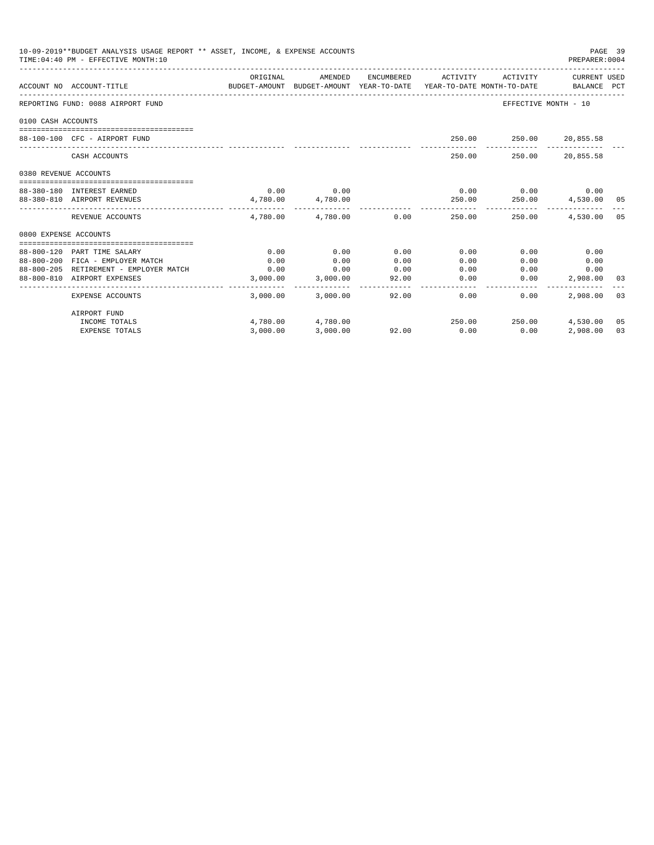| 10-09-2019**BUDGET ANALYSIS USAGE REPORT ** ASSET, INCOME, & EXPENSE ACCOUNTS<br>TIME: 04:40 PM - EFFECTIVE MONTH: 10<br>PREPARER: 0004<br>ORIGINAL<br>AMENDED<br>ENCUMBERED ACTIVITY ACTIVITY CURRENT USED |                                        |                                                                                 |                            |       |               |                                             |              | PAGE 39 |
|-------------------------------------------------------------------------------------------------------------------------------------------------------------------------------------------------------------|----------------------------------------|---------------------------------------------------------------------------------|----------------------------|-------|---------------|---------------------------------------------|--------------|---------|
|                                                                                                                                                                                                             | ACCOUNT NO ACCOUNT-TITLE               | BUDGET-AMOUNT BUDGET-AMOUNT YEAR-TO-DATE YEAR-TO-DATE MONTH-TO-DATE BALANCE PCT |                            |       |               |                                             |              |         |
|                                                                                                                                                                                                             | REPORTING FUND: 0088 AIRPORT FUND      |                                                                                 |                            |       |               | EFFECTIVE MONTH - 10                        |              |         |
| 0100 CASH ACCOUNTS                                                                                                                                                                                          |                                        |                                                                                 |                            |       |               |                                             |              |         |
|                                                                                                                                                                                                             | 88-100-100 CFC - AIRPORT FUND          |                                                                                 |                            |       |               | 250.00 250.00 20,855.58                     |              |         |
|                                                                                                                                                                                                             | CASH ACCOUNTS                          |                                                                                 |                            |       |               | 250.00 250.00 20,855.58                     |              |         |
| 0380 REVENUE ACCOUNTS                                                                                                                                                                                       |                                        |                                                                                 |                            |       |               |                                             |              |         |
|                                                                                                                                                                                                             | 88-380-180 INTEREST EARNED             |                                                                                 | $0.00$ 0.00                |       |               | $0.00$ $0.00$ $0.00$ $0.00$                 |              |         |
|                                                                                                                                                                                                             | 88-380-810 AIRPORT REVENUES            |                                                                                 | 4,780.00 4,780.00          |       |               | 250.00  250.00  4,530.00  05                |              |         |
|                                                                                                                                                                                                             | REVENUE ACCOUNTS                       |                                                                                 | 4,780.00   4,780.00   0.00 |       | 250.00        | 250.00                                      | 4,530.00 05  |         |
| 0800 EXPENSE ACCOUNTS                                                                                                                                                                                       |                                        |                                                                                 |                            |       |               |                                             |              |         |
|                                                                                                                                                                                                             | 88-800-120 PART TIME SALARY            | 0.00                                                                            | 0.00                       | 0.00  | 0.00          | 0.00                                        | 0.00         |         |
|                                                                                                                                                                                                             | 88-800-200 FICA - EMPLOYER MATCH       | 0.00                                                                            | 0.00                       | 0.00  | 0.00          | 0.00                                        | 0.00         |         |
|                                                                                                                                                                                                             | 88-800-205 RETIREMENT - EMPLOYER MATCH | 0.00                                                                            | $\sim$ 0.00                | 0.00  | 0.00          |                                             | 0.00<br>0.00 |         |
|                                                                                                                                                                                                             | 88-800-810 AIRPORT EXPENSES            |                                                                                 | 3,000.00 3,000.00          | 92.00 | 0.00          | 0.00                                        | 2,908.00     | 03      |
|                                                                                                                                                                                                             | EXPENSE ACCOUNTS                       |                                                                                 | 3,000.00 3,000.00          |       | 92.00<br>0.00 | _______________________________<br>$0.00 -$ | 2,908.00     | 03      |
|                                                                                                                                                                                                             | AIRPORT FUND                           |                                                                                 |                            |       |               |                                             |              |         |
|                                                                                                                                                                                                             | INCOME TOTALS                          |                                                                                 | 4,780.00 4,780.00          |       |               | 250.00 250.00 4.530.00                      |              | 05      |
|                                                                                                                                                                                                             | <b>EXPENSE TOTALS</b>                  | 3.000.00                                                                        | 3,000.00                   | 92.00 | 0.00          | 0.00                                        | 2,908.00     | 03      |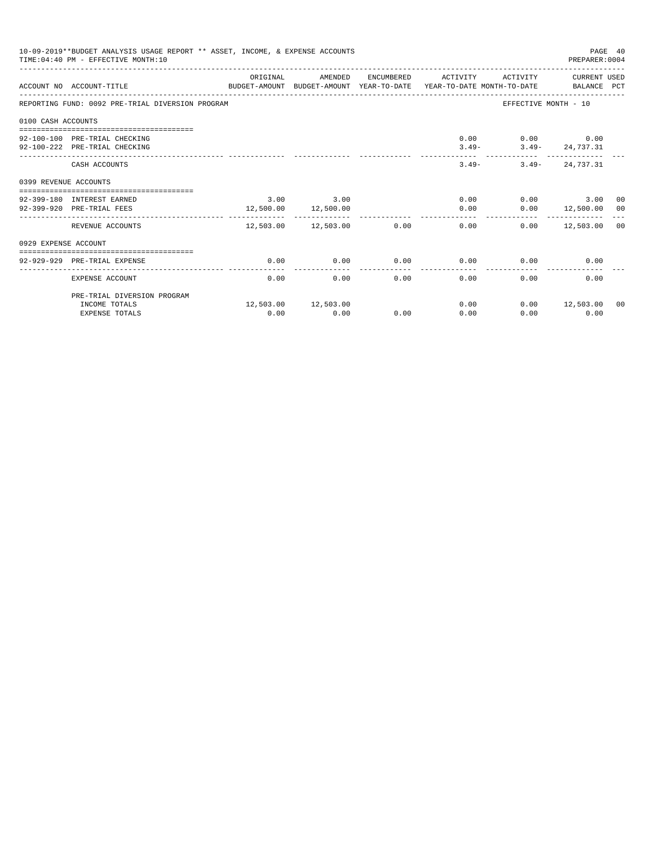|                                                                                                                       | 10-09-2019**BUDGET ANALYSIS USAGE REPORT ** ASSET, INCOME, & EXPENSE ACCOUNTS<br>PAGE 40<br>TIME: 04:40 PM - EFFECTIVE MONTH: 10<br>PREPARER: 0004<br>ORIGINAL<br>AMENDED<br>ENCUMBERED ACTIVITY<br>ACTIVITY<br>CURRENT USED<br>ACCOUNT NO ACCOUNT-TITLE CONTROL SUDGET-AMOUNT BUDGET-AMOUNT YEAR-TO-DATE YEAR-TO-DATE MONTH-TO-DATE BALANCE PCT<br>EFFECTIVE MONTH - 10 |      |                            |      |      |                           |                     |  |
|-----------------------------------------------------------------------------------------------------------------------|--------------------------------------------------------------------------------------------------------------------------------------------------------------------------------------------------------------------------------------------------------------------------------------------------------------------------------------------------------------------------|------|----------------------------|------|------|---------------------------|---------------------|--|
|                                                                                                                       |                                                                                                                                                                                                                                                                                                                                                                          |      |                            |      |      |                           |                     |  |
|                                                                                                                       | REPORTING FUND: 0092 PRE-TRIAL DIVERSION PROGRAM                                                                                                                                                                                                                                                                                                                         |      |                            |      |      |                           |                     |  |
| 0100 CASH ACCOUNTS                                                                                                    |                                                                                                                                                                                                                                                                                                                                                                          |      |                            |      |      |                           |                     |  |
|                                                                                                                       |                                                                                                                                                                                                                                                                                                                                                                          |      |                            |      |      |                           |                     |  |
|                                                                                                                       |                                                                                                                                                                                                                                                                                                                                                                          |      |                            |      |      | $0.00$ $0.00$ $0.00$      |                     |  |
| 92-100-100 PRE-TRIAL CHECKING<br>92-100-222 PRE-TRIAL CHECKING<br>0399 REVENUE ACCOUNTS<br>92-399-180 INTEREST EARNED |                                                                                                                                                                                                                                                                                                                                                                          |      |                            |      |      | $3.49 - 3.49 - 24,737.31$ |                     |  |
|                                                                                                                       | CASH ACCOUNTS                                                                                                                                                                                                                                                                                                                                                            |      |                            |      |      | $3.49-$                   | $3.49 - 24.737.31$  |  |
|                                                                                                                       |                                                                                                                                                                                                                                                                                                                                                                          |      |                            |      |      |                           |                     |  |
|                                                                                                                       |                                                                                                                                                                                                                                                                                                                                                                          |      | $3.00$ $3.00$              |      |      | 0.00                      | $0.00$ 3.00 00      |  |
|                                                                                                                       | 92-399-920 PRE-TRIAL FEES                                                                                                                                                                                                                                                                                                                                                |      | 12,500.00 12,500.00        |      | 0.00 |                           | $0.00$ 12,500.00 00 |  |
|                                                                                                                       |                                                                                                                                                                                                                                                                                                                                                                          |      | __________________________ |      |      |                           |                     |  |
|                                                                                                                       | REVENUE ACCOUNTS                                                                                                                                                                                                                                                                                                                                                         |      | 12,503.00 12,503.00        | 0.00 |      | 0.00                      | $0.00$ 12,503.00 00 |  |
| 0929 EXPENSE ACCOUNT                                                                                                  |                                                                                                                                                                                                                                                                                                                                                                          |      |                            |      |      |                           |                     |  |
|                                                                                                                       |                                                                                                                                                                                                                                                                                                                                                                          |      |                            |      |      |                           |                     |  |
|                                                                                                                       | 92-929-929 PRE-TRIAL EXPENSE                                                                                                                                                                                                                                                                                                                                             | 0.00 | 0.00                       | 0.00 | 0.00 | 0.00                      | 0.00                |  |
|                                                                                                                       | EXPENSE ACCOUNT                                                                                                                                                                                                                                                                                                                                                          | 0.00 | 0.00                       | 0.00 | 0.00 | 0.00                      | 0.00                |  |
|                                                                                                                       | PRE-TRIAL DIVERSION PROGRAM                                                                                                                                                                                                                                                                                                                                              |      |                            |      |      |                           |                     |  |
|                                                                                                                       | INCOME TOTALS                                                                                                                                                                                                                                                                                                                                                            |      | 12,503.00 12,503.00        |      | 0.00 |                           | $0.00$ 12,503.00 00 |  |
|                                                                                                                       | <b>EXPENSE TOTALS</b>                                                                                                                                                                                                                                                                                                                                                    | 0.00 | 0.00                       | 0.00 | 0.00 | 0.00                      | 0.00                |  |